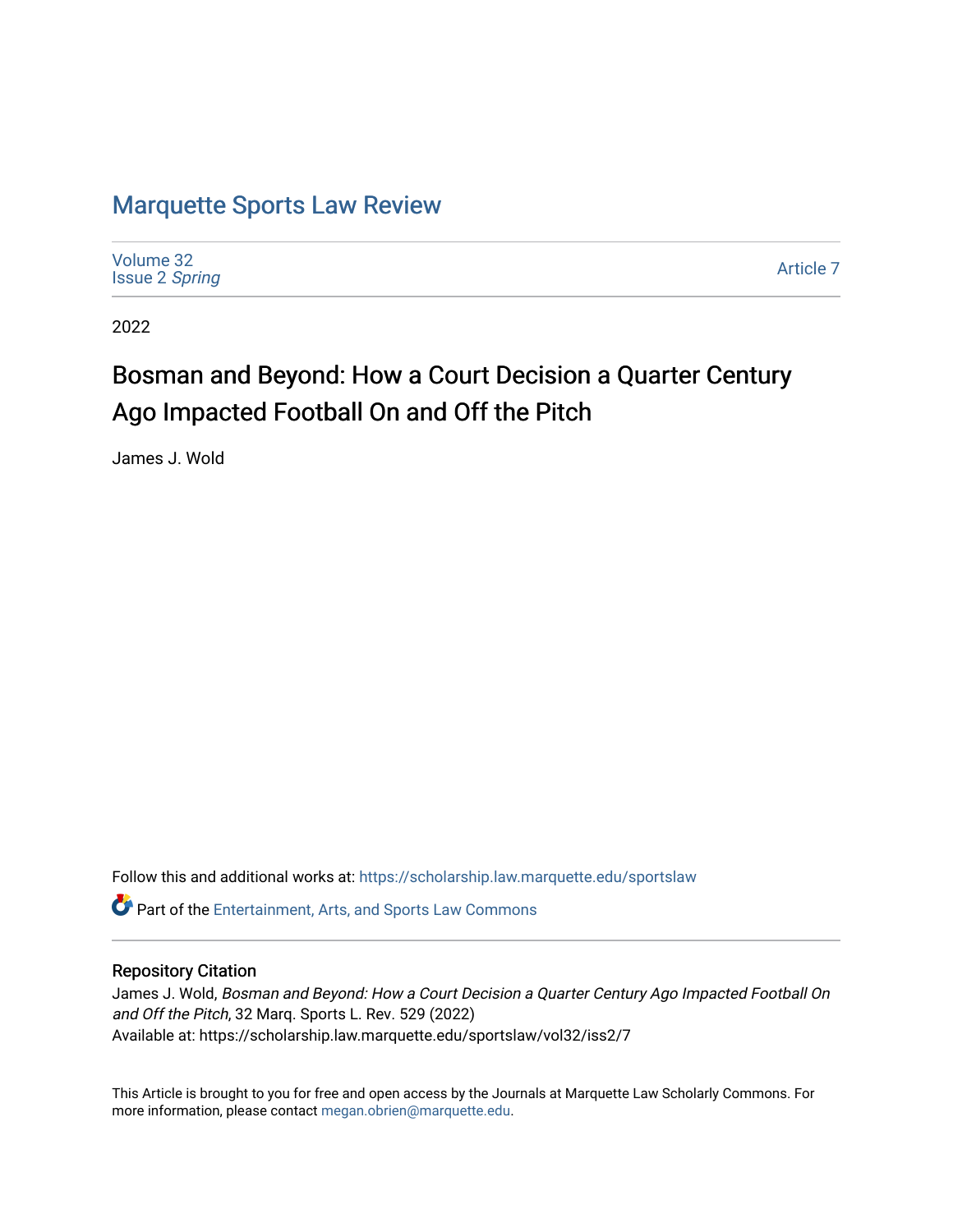# [Marquette Sports Law Review](https://scholarship.law.marquette.edu/sportslaw)

| Volume 32<br><b>Issue 2 Spring</b> | Article 7 |
|------------------------------------|-----------|
|------------------------------------|-----------|

2022

# Bosman and Beyond: How a Court Decision a Quarter Century Ago Impacted Football On and Off the Pitch

James J. Wold

Follow this and additional works at: [https://scholarship.law.marquette.edu/sportslaw](https://scholarship.law.marquette.edu/sportslaw?utm_source=scholarship.law.marquette.edu%2Fsportslaw%2Fvol32%2Fiss2%2F7&utm_medium=PDF&utm_campaign=PDFCoverPages) 

Part of the [Entertainment, Arts, and Sports Law Commons](https://network.bepress.com/hgg/discipline/893?utm_source=scholarship.law.marquette.edu%2Fsportslaw%2Fvol32%2Fiss2%2F7&utm_medium=PDF&utm_campaign=PDFCoverPages)

# Repository Citation

James J. Wold, Bosman and Beyond: How a Court Decision a Quarter Century Ago Impacted Football On and Off the Pitch, 32 Marq. Sports L. Rev. 529 (2022) Available at: https://scholarship.law.marquette.edu/sportslaw/vol32/iss2/7

This Article is brought to you for free and open access by the Journals at Marquette Law Scholarly Commons. For more information, please contact [megan.obrien@marquette.edu](mailto:megan.obrien@marquette.edu).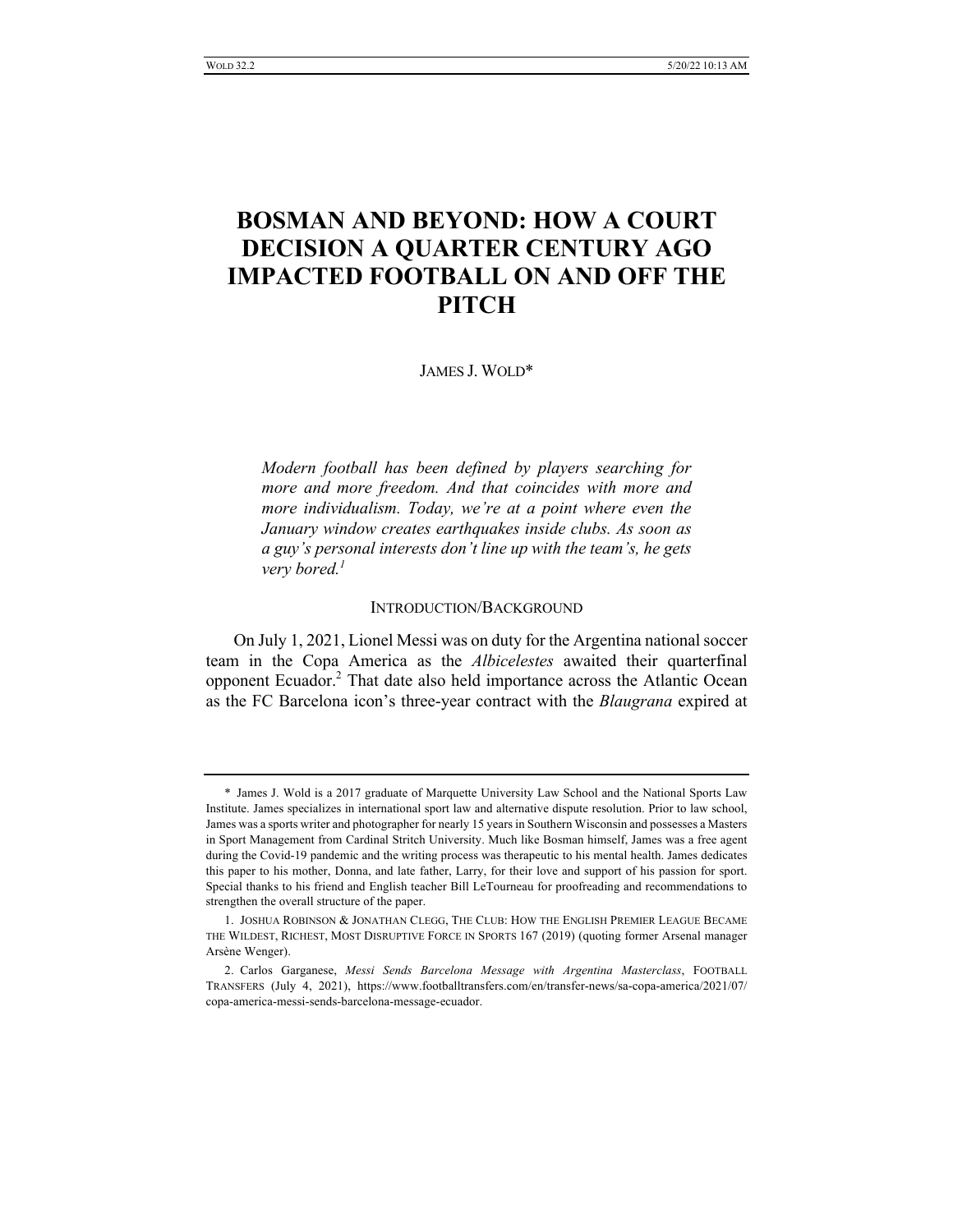# **BOSMAN AND BEYOND: HOW A COURT DECISION A QUARTER CENTURY AGO IMPACTED FOOTBALL ON AND OFF THE PITCH**

JAMES J. WOLD\*

*Modern football has been defined by players searching for more and more freedom. And that coincides with more and more individualism. Today, we're at a point where even the January window creates earthquakes inside clubs. As soon as a guy's personal interests don't line up with the team's, he gets very bored.<sup>1</sup>*

#### INTRODUCTION/BACKGROUND

On July 1, 2021, Lionel Messi was on duty for the Argentina national soccer team in the Copa America as the *Albicelestes* awaited their quarterfinal opponent Ecuador.<sup>2</sup> That date also held importance across the Atlantic Ocean as the FC Barcelona icon's three-year contract with the *Blaugrana* expired at

<sup>\*</sup> James J. Wold is a 2017 graduate of Marquette University Law School and the National Sports Law Institute. James specializes in international sport law and alternative dispute resolution. Prior to law school, James was a sports writer and photographer for nearly 15 years in Southern Wisconsin and possesses a Masters in Sport Management from Cardinal Stritch University. Much like Bosman himself, James was a free agent during the Covid-19 pandemic and the writing process was therapeutic to his mental health. James dedicates this paper to his mother, Donna, and late father, Larry, for their love and support of his passion for sport. Special thanks to his friend and English teacher Bill LeTourneau for proofreading and recommendations to strengthen the overall structure of the paper.

<sup>1.</sup> JOSHUA ROBINSON & JONATHAN CLEGG, THE CLUB: HOW THE ENGLISH PREMIER LEAGUE BECAME THE WILDEST, RICHEST, MOST DISRUPTIVE FORCE IN SPORTS 167 (2019) (quoting former Arsenal manager Arsène Wenger).

<sup>2.</sup> Carlos Garganese, *Messi Sends Barcelona Message with Argentina Masterclass*, FOOTBALL TRANSFERS (July 4, 2021), https://www.footballtransfers.com/en/transfer-news/sa-copa-america/2021/07/ copa-america-messi-sends-barcelona-message-ecuador.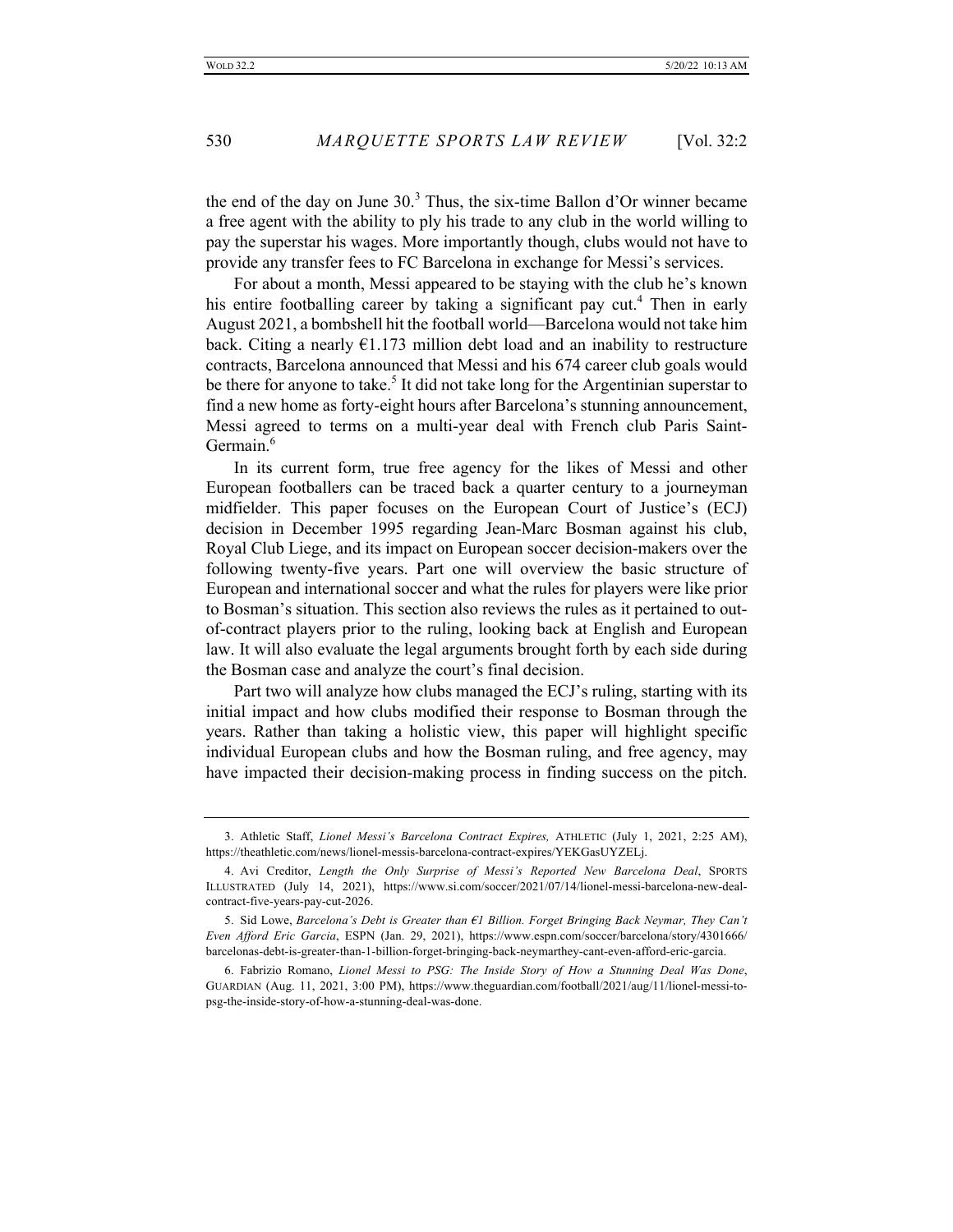the end of the day on June  $30<sup>3</sup>$ . Thus, the six-time Ballon d'Or winner became a free agent with the ability to ply his trade to any club in the world willing to pay the superstar his wages. More importantly though, clubs would not have to provide any transfer fees to FC Barcelona in exchange for Messi's services.

For about a month, Messi appeared to be staying with the club he's known his entire footballing career by taking a significant pay cut.<sup>4</sup> Then in early August 2021, a bombshell hit the football world—Barcelona would not take him back. Citing a nearly €1.173 million debt load and an inability to restructure contracts, Barcelona announced that Messi and his 674 career club goals would be there for anyone to take.<sup>5</sup> It did not take long for the Argentinian superstar to find a new home as forty-eight hours after Barcelona's stunning announcement, Messi agreed to terms on a multi-year deal with French club Paris Saint-Germain.<sup>6</sup>

In its current form, true free agency for the likes of Messi and other European footballers can be traced back a quarter century to a journeyman midfielder. This paper focuses on the European Court of Justice's (ECJ) decision in December 1995 regarding Jean-Marc Bosman against his club, Royal Club Liege, and its impact on European soccer decision-makers over the following twenty-five years. Part one will overview the basic structure of European and international soccer and what the rules for players were like prior to Bosman's situation. This section also reviews the rules as it pertained to outof-contract players prior to the ruling, looking back at English and European law. It will also evaluate the legal arguments brought forth by each side during the Bosman case and analyze the court's final decision.

Part two will analyze how clubs managed the ECJ's ruling, starting with its initial impact and how clubs modified their response to Bosman through the years. Rather than taking a holistic view, this paper will highlight specific individual European clubs and how the Bosman ruling, and free agency, may have impacted their decision-making process in finding success on the pitch.

<sup>3.</sup> Athletic Staff, *Lionel Messi's Barcelona Contract Expires,* ATHLETIC (July 1, 2021, 2:25 AM), https://theathletic.com/news/lionel-messis-barcelona-contract-expires/YEKGasUYZELj.

<sup>4.</sup> Avi Creditor, *Length the Only Surprise of Messi's Reported New Barcelona Deal*, SPORTS ILLUSTRATED (July 14, 2021), https://www.si.com/soccer/2021/07/14/lionel-messi-barcelona-new-dealcontract-five-years-pay-cut-2026.

<sup>5.</sup> Sid Lowe, *Barcelona's Debt is Greater than €1 Billion. Forget Bringing Back Neymar, They Can't Even Afford Eric Garcia*, ESPN (Jan. 29, 2021), https://www.espn.com/soccer/barcelona/story/4301666/ barcelonas-debt-is-greater-than-1-billion-forget-bringing-back-neymarthey-cant-even-afford-eric-garcia.

<sup>6.</sup> Fabrizio Romano, *Lionel Messi to PSG: The Inside Story of How a Stunning Deal Was Done*, GUARDIAN (Aug. 11, 2021, 3:00 PM), https://www.theguardian.com/football/2021/aug/11/lionel-messi-topsg-the-inside-story-of-how-a-stunning-deal-was-done.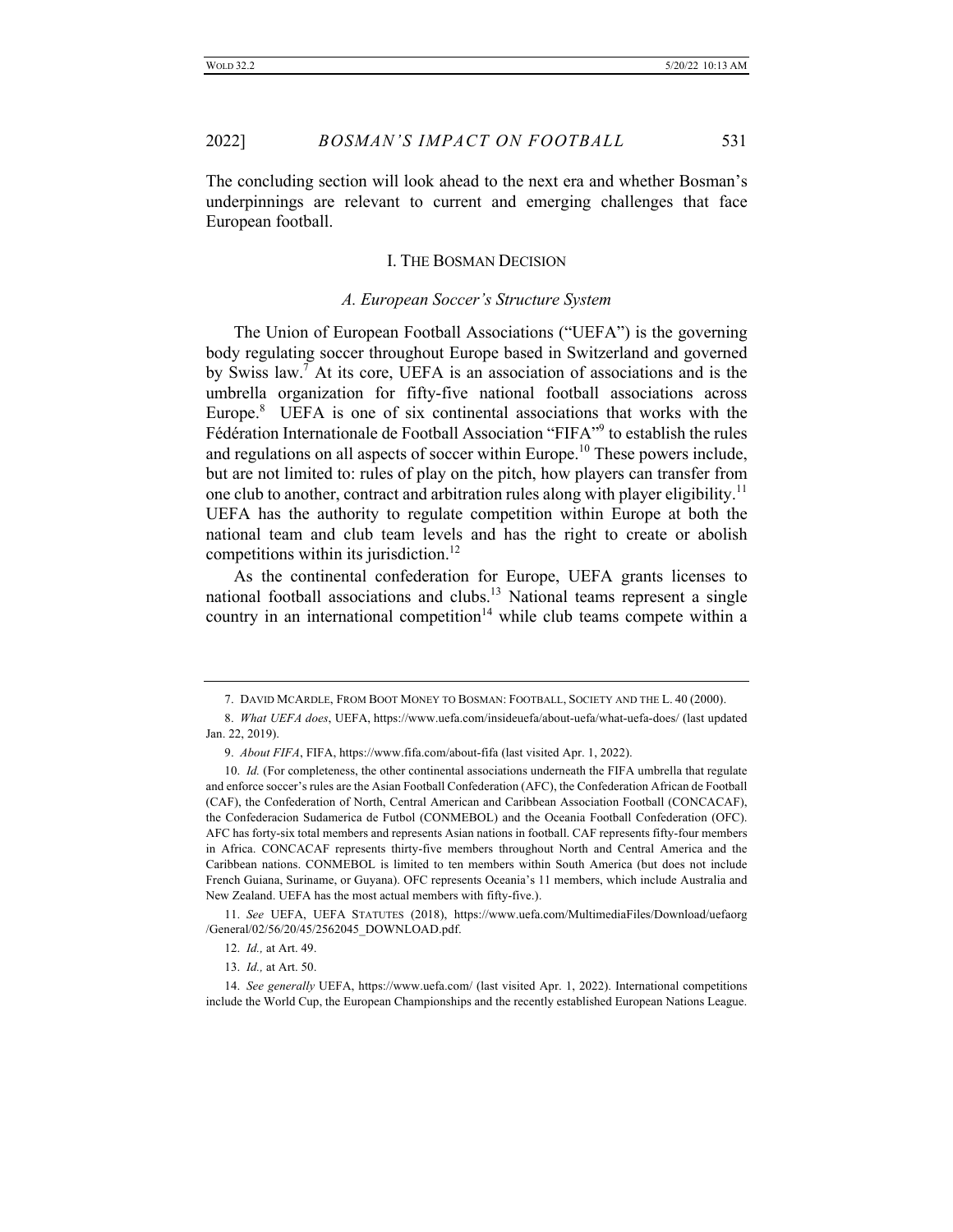The concluding section will look ahead to the next era and whether Bosman's underpinnings are relevant to current and emerging challenges that face European football.

#### I. THE BOSMAN DECISION

#### *A. European Soccer's Structure System*

The Union of European Football Associations ("UEFA") is the governing body regulating soccer throughout Europe based in Switzerland and governed by Swiss law.7 At its core, UEFA is an association of associations and is the umbrella organization for fifty-five national football associations across Europe.<sup>8</sup> UEFA is one of six continental associations that works with the Fédération Internationale de Football Association "FIFA"9 to establish the rules and regulations on all aspects of soccer within Europe.<sup>10</sup> These powers include, but are not limited to: rules of play on the pitch, how players can transfer from one club to another, contract and arbitration rules along with player eligibility.<sup>11</sup> UEFA has the authority to regulate competition within Europe at both the national team and club team levels and has the right to create or abolish competitions within its jurisdiction.<sup>12</sup>

As the continental confederation for Europe, UEFA grants licenses to national football associations and clubs.<sup>13</sup> National teams represent a single country in an international competition<sup>14</sup> while club teams compete within a

<sup>7.</sup> DAVID MCARDLE, FROM BOOT MONEY TO BOSMAN: FOOTBALL, SOCIETY AND THE L. 40 (2000).

<sup>8.</sup> *What UEFA does*, UEFA, https://www.uefa.com/insideuefa/about-uefa/what-uefa-does/ (last updated Jan. 22, 2019).

<sup>9.</sup> *About FIFA*, FIFA, https://www.fifa.com/about-fifa (last visited Apr. 1, 2022).

<sup>10.</sup> *Id.* (For completeness, the other continental associations underneath the FIFA umbrella that regulate and enforce soccer's rules are the Asian Football Confederation (AFC), the Confederation African de Football (CAF), the Confederation of North, Central American and Caribbean Association Football (CONCACAF), the Confederacion Sudamerica de Futbol (CONMEBOL) and the Oceania Football Confederation (OFC). AFC has forty-six total members and represents Asian nations in football. CAF represents fifty-four members in Africa. CONCACAF represents thirty-five members throughout North and Central America and the Caribbean nations. CONMEBOL is limited to ten members within South America (but does not include French Guiana, Suriname, or Guyana). OFC represents Oceania's 11 members, which include Australia and New Zealand. UEFA has the most actual members with fifty-five.).

<sup>11.</sup> *See* UEFA, UEFA STATUTES (2018), https://www.uefa.com/MultimediaFiles/Download/uefaorg /General/02/56/20/45/2562045\_DOWNLOAD.pdf.

<sup>12.</sup> *Id.,* at Art. 49.

<sup>13.</sup> *Id.,* at Art. 50.

<sup>14.</sup> *See generally* UEFA, https://www.uefa.com/ (last visited Apr. 1, 2022). International competitions include the World Cup, the European Championships and the recently established European Nations League.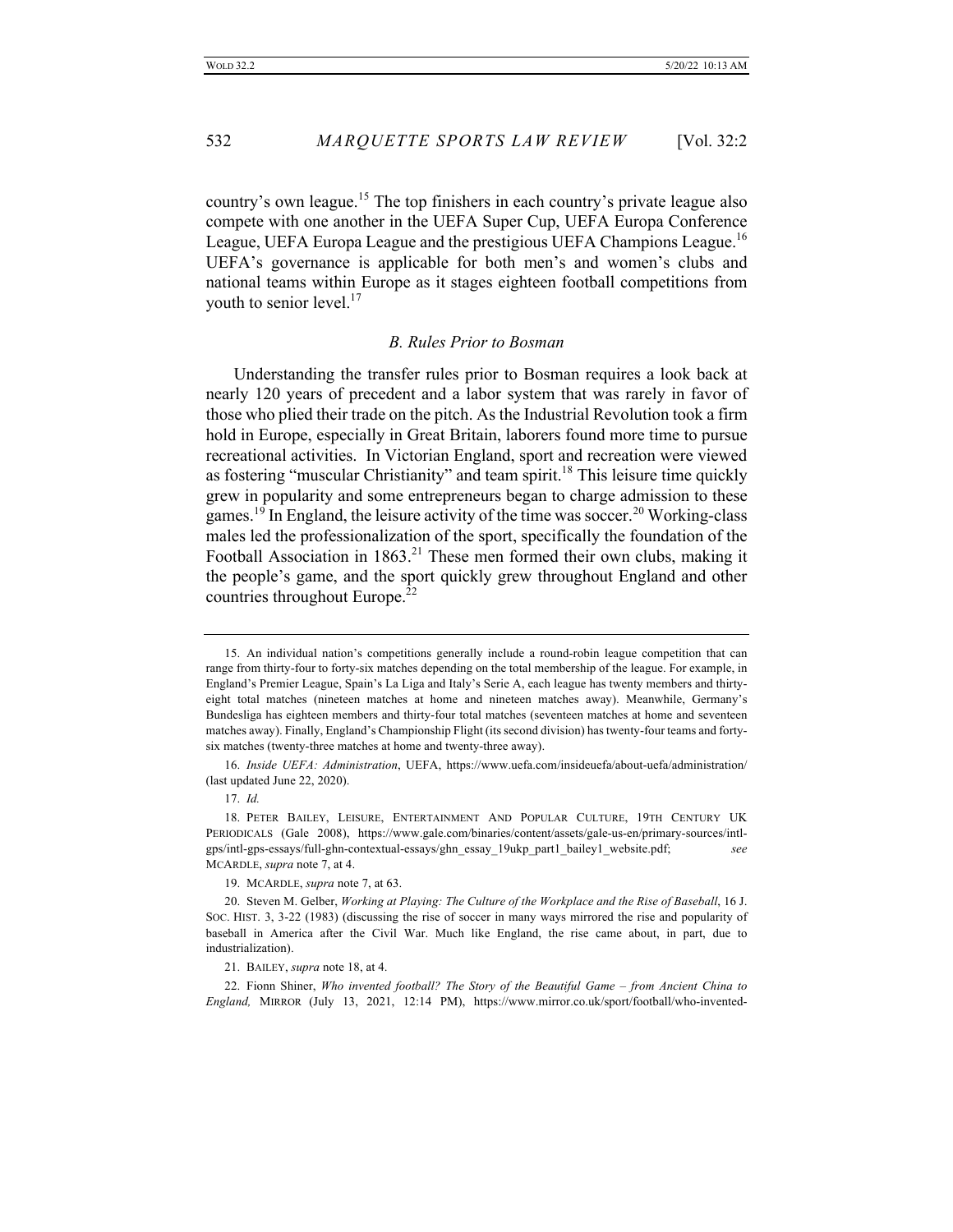532 *MARQUETTE SPORTS LAW REVIEW* [Vol. 32:2

country's own league.<sup>15</sup> The top finishers in each country's private league also compete with one another in the UEFA Super Cup, UEFA Europa Conference League, UEFA Europa League and the prestigious UEFA Champions League.<sup>16</sup> UEFA's governance is applicable for both men's and women's clubs and national teams within Europe as it stages eighteen football competitions from youth to senior level. $17$ 

# *B. Rules Prior to Bosman*

Understanding the transfer rules prior to Bosman requires a look back at nearly 120 years of precedent and a labor system that was rarely in favor of those who plied their trade on the pitch. As the Industrial Revolution took a firm hold in Europe, especially in Great Britain, laborers found more time to pursue recreational activities. In Victorian England, sport and recreation were viewed as fostering "muscular Christianity" and team spirit.<sup>18</sup> This leisure time quickly grew in popularity and some entrepreneurs began to charge admission to these games.<sup>19</sup> In England, the leisure activity of the time was soccer.<sup>20</sup> Working-class males led the professionalization of the sport, specifically the foundation of the Football Association in  $1863<sup>21</sup>$  These men formed their own clubs, making it the people's game, and the sport quickly grew throughout England and other countries throughout Europe.<sup>22</sup>

21. BAILEY, *supra* note 18, at 4.

22. Fionn Shiner, *Who invented football? The Story of the Beautiful Game – from Ancient China to England,* MIRROR (July 13, 2021, 12:14 PM), https://www.mirror.co.uk/sport/football/who-invented-

<sup>15.</sup> An individual nation's competitions generally include a round-robin league competition that can range from thirty-four to forty-six matches depending on the total membership of the league. For example, in England's Premier League, Spain's La Liga and Italy's Serie A, each league has twenty members and thirtyeight total matches (nineteen matches at home and nineteen matches away). Meanwhile, Germany's Bundesliga has eighteen members and thirty-four total matches (seventeen matches at home and seventeen matches away). Finally, England's Championship Flight (its second division) has twenty-four teams and fortysix matches (twenty-three matches at home and twenty-three away).

<sup>16.</sup> *Inside UEFA: Administration*, UEFA, https://www.uefa.com/insideuefa/about-uefa/administration/ (last updated June 22, 2020).

<sup>17.</sup> *Id.*

<sup>18.</sup> PETER BAILEY, LEISURE, ENTERTAINMENT AND POPULAR CULTURE, 19TH CENTURY UK PERIODICALS (Gale 2008), https://www.gale.com/binaries/content/assets/gale-us-en/primary-sources/intlgps/intl-gps-essays/full-ghn-contextual-essays/ghn\_essay\_19ukp\_part1\_bailey1\_website.pdf; *see* MCARDLE, *supra* note 7, at 4.

<sup>19.</sup> MCARDLE, *supra* note 7, at 63.

<sup>20.</sup> Steven M. Gelber, *Working at Playing: The Culture of the Workplace and the Rise of Baseball*, 16 J. SOC. HIST. 3, 3-22 (1983) (discussing the rise of soccer in many ways mirrored the rise and popularity of baseball in America after the Civil War. Much like England, the rise came about, in part, due to industrialization).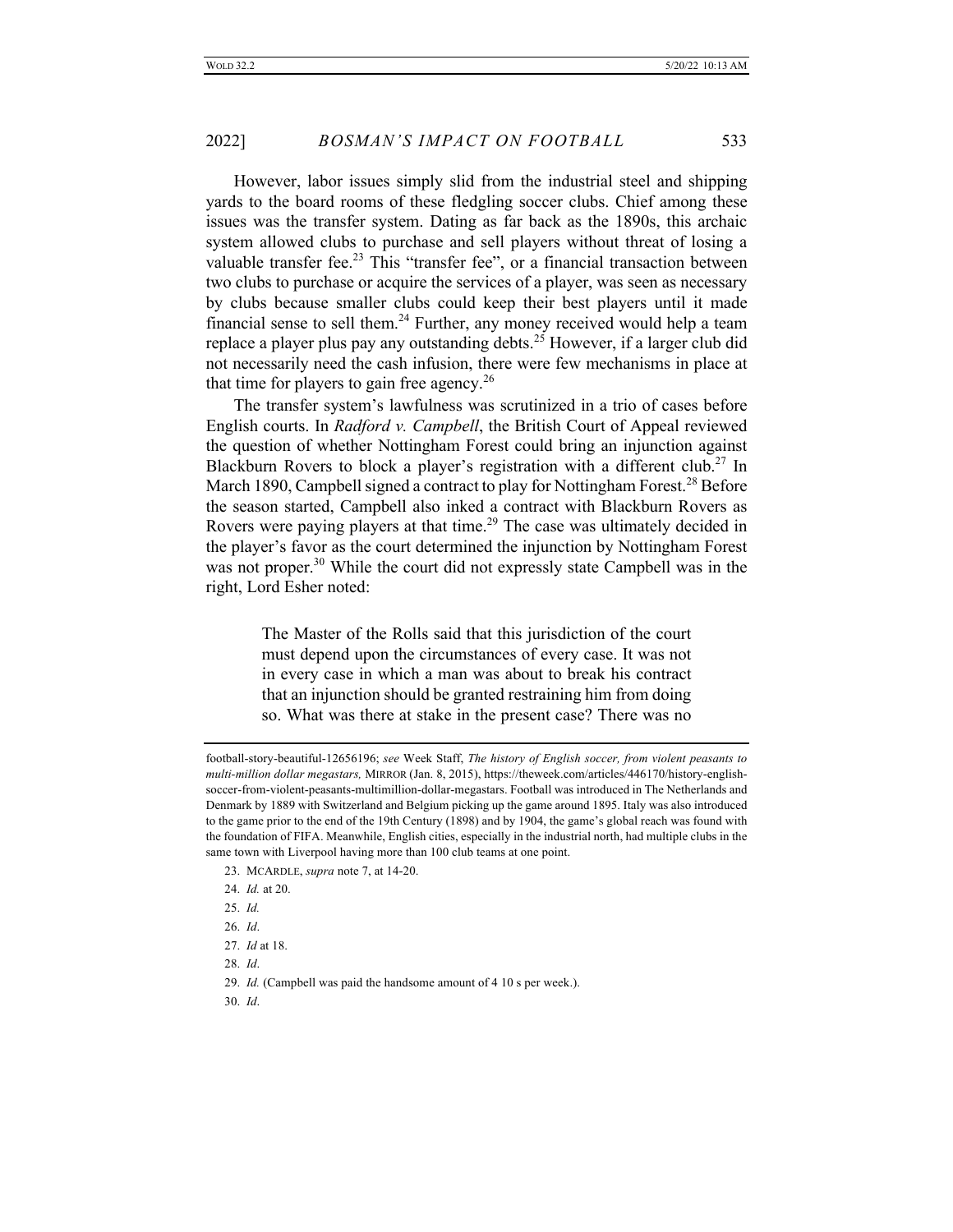However, labor issues simply slid from the industrial steel and shipping yards to the board rooms of these fledgling soccer clubs. Chief among these issues was the transfer system. Dating as far back as the 1890s, this archaic system allowed clubs to purchase and sell players without threat of losing a valuable transfer fee.<sup>23</sup> This "transfer fee", or a financial transaction between two clubs to purchase or acquire the services of a player, was seen as necessary by clubs because smaller clubs could keep their best players until it made financial sense to sell them.<sup>24</sup> Further, any money received would help a team replace a player plus pay any outstanding debts.<sup>25</sup> However, if a larger club did not necessarily need the cash infusion, there were few mechanisms in place at that time for players to gain free agency.<sup>26</sup>

The transfer system's lawfulness was scrutinized in a trio of cases before English courts. In *Radford v. Campbell*, the British Court of Appeal reviewed the question of whether Nottingham Forest could bring an injunction against Blackburn Rovers to block a player's registration with a different club.<sup>27</sup> In March 1890, Campbell signed a contract to play for Nottingham Forest.<sup>28</sup> Before the season started, Campbell also inked a contract with Blackburn Rovers as Rovers were paying players at that time.<sup>29</sup> The case was ultimately decided in the player's favor as the court determined the injunction by Nottingham Forest was not proper.<sup>30</sup> While the court did not expressly state Campbell was in the right, Lord Esher noted:

> The Master of the Rolls said that this jurisdiction of the court must depend upon the circumstances of every case. It was not in every case in which a man was about to break his contract that an injunction should be granted restraining him from doing so. What was there at stake in the present case? There was no

28. *Id*.

football-story-beautiful-12656196; *see* Week Staff, *The history of English soccer, from violent peasants to multi-million dollar megastars,* MIRROR (Jan. 8, 2015), https://theweek.com/articles/446170/history-englishsoccer-from-violent-peasants-multimillion-dollar-megastars. Football was introduced in The Netherlands and Denmark by 1889 with Switzerland and Belgium picking up the game around 1895. Italy was also introduced to the game prior to the end of the 19th Century (1898) and by 1904, the game's global reach was found with the foundation of FIFA. Meanwhile, English cities, especially in the industrial north, had multiple clubs in the same town with Liverpool having more than 100 club teams at one point.

<sup>23.</sup> MCARDLE, *supra* note 7, at 14-20.

<sup>24.</sup> *Id.* at 20.

<sup>25.</sup> *Id.*

<sup>26.</sup> *Id*.

<sup>27.</sup> *Id* at 18.

<sup>29.</sup> *Id.* (Campbell was paid the handsome amount of 4 10 s per week.).

<sup>30.</sup> *Id*.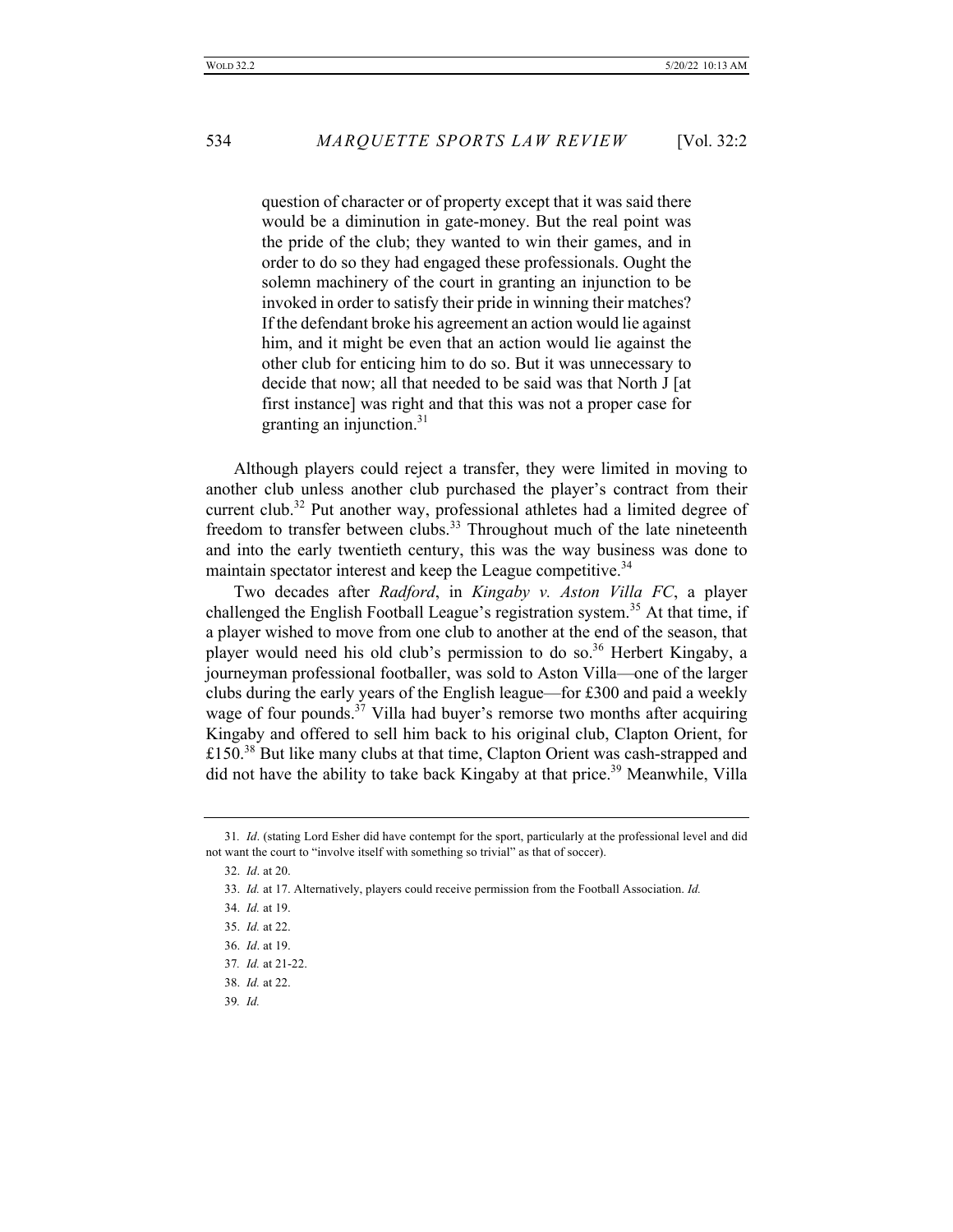question of character or of property except that it was said there would be a diminution in gate-money. But the real point was the pride of the club; they wanted to win their games, and in order to do so they had engaged these professionals. Ought the solemn machinery of the court in granting an injunction to be invoked in order to satisfy their pride in winning their matches? If the defendant broke his agreement an action would lie against him, and it might be even that an action would lie against the other club for enticing him to do so. But it was unnecessary to decide that now; all that needed to be said was that North J [at first instance] was right and that this was not a proper case for granting an injunction. $31$ 

Although players could reject a transfer, they were limited in moving to another club unless another club purchased the player's contract from their current club.<sup>32</sup> Put another way, professional athletes had a limited degree of freedom to transfer between clubs.<sup>33</sup> Throughout much of the late nineteenth and into the early twentieth century, this was the way business was done to maintain spectator interest and keep the League competitive.<sup>34</sup>

Two decades after *Radford*, in *Kingaby v. Aston Villa FC*, a player challenged the English Football League's registration system.<sup>35</sup> At that time, if a player wished to move from one club to another at the end of the season, that player would need his old club's permission to do so.<sup>36</sup> Herbert Kingaby, a journeyman professional footballer, was sold to Aston Villa—one of the larger clubs during the early years of the English league—for £300 and paid a weekly wage of four pounds.<sup>37</sup> Villa had buyer's remorse two months after acquiring Kingaby and offered to sell him back to his original club, Clapton Orient, for £150.<sup>38</sup> But like many clubs at that time, Clapton Orient was cash-strapped and did not have the ability to take back Kingaby at that price.<sup>39</sup> Meanwhile, Villa

<sup>31</sup>*. Id*. (stating Lord Esher did have contempt for the sport, particularly at the professional level and did not want the court to "involve itself with something so trivial" as that of soccer).

<sup>32.</sup> *Id*. at 20.

<sup>33.</sup> *Id.* at 17. Alternatively, players could receive permission from the Football Association. *Id.*

<sup>34.</sup> *Id.* at 19.

<sup>35.</sup> *Id.* at 22.

<sup>36.</sup> *Id*. at 19.

<sup>37</sup>*. Id.* at 21-22.

<sup>38.</sup> *Id.* at 22.

<sup>39</sup>*. Id.*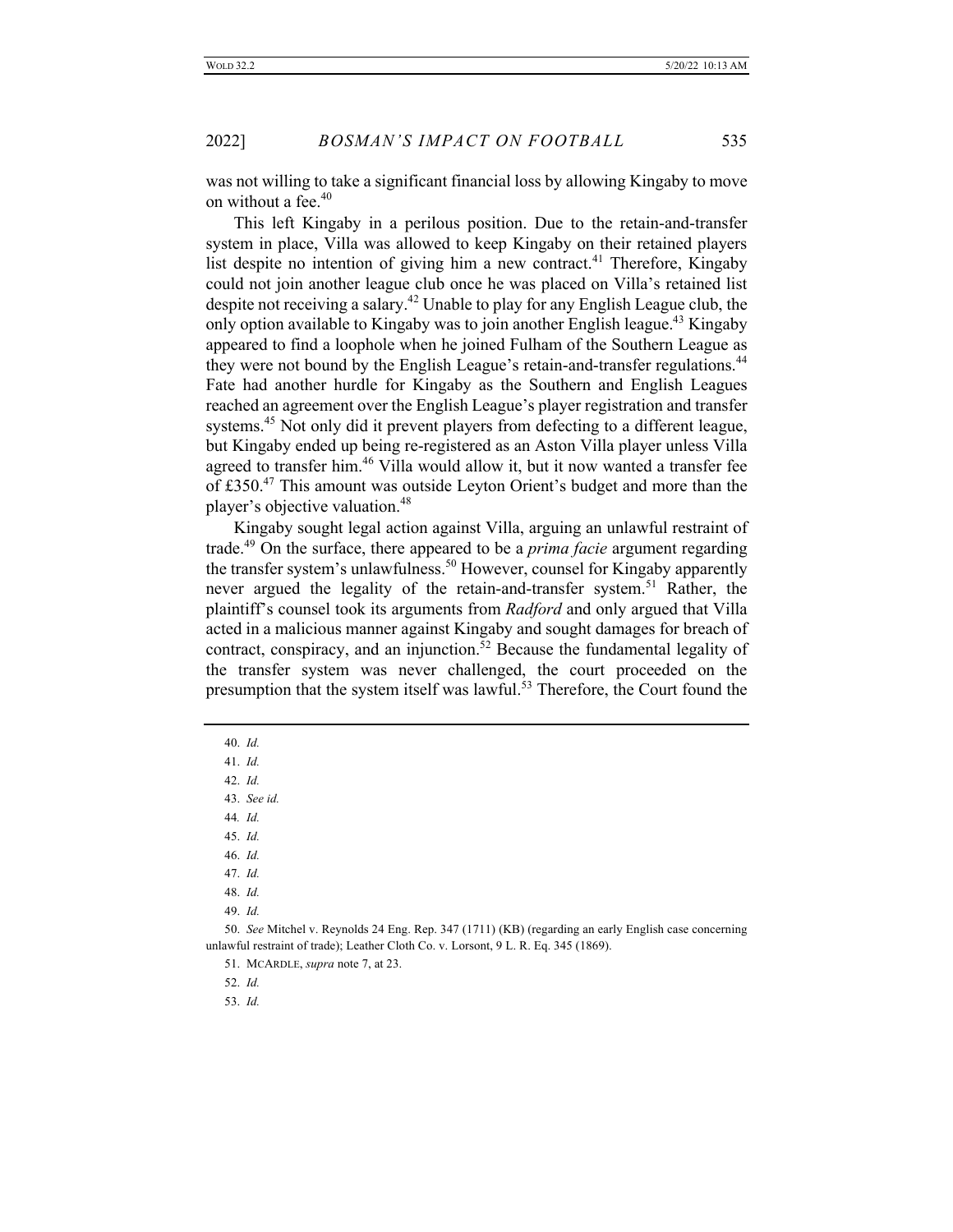was not willing to take a significant financial loss by allowing Kingaby to move on without a fee.<sup>40</sup>

This left Kingaby in a perilous position. Due to the retain-and-transfer system in place, Villa was allowed to keep Kingaby on their retained players list despite no intention of giving him a new contract.<sup>41</sup> Therefore, Kingaby could not join another league club once he was placed on Villa's retained list despite not receiving a salary.<sup>42</sup> Unable to play for any English League club, the only option available to Kingaby was to join another English league.<sup>43</sup> Kingaby appeared to find a loophole when he joined Fulham of the Southern League as they were not bound by the English League's retain-and-transfer regulations.<sup>44</sup> Fate had another hurdle for Kingaby as the Southern and English Leagues reached an agreement over the English League's player registration and transfer systems.<sup>45</sup> Not only did it prevent players from defecting to a different league, but Kingaby ended up being re-registered as an Aston Villa player unless Villa agreed to transfer him.<sup>46</sup> Villa would allow it, but it now wanted a transfer fee of £350.<sup>47</sup> This amount was outside Leyton Orient's budget and more than the player's objective valuation.<sup>48</sup>

Kingaby sought legal action against Villa, arguing an unlawful restraint of trade.49 On the surface, there appeared to be a *prima facie* argument regarding the transfer system's unlawfulness.<sup>50</sup> However, counsel for Kingaby apparently never argued the legality of the retain-and-transfer system.<sup>51</sup> Rather, the plaintiff's counsel took its arguments from *Radford* and only argued that Villa acted in a malicious manner against Kingaby and sought damages for breach of contract, conspiracy, and an injunction.<sup>52</sup> Because the fundamental legality of the transfer system was never challenged, the court proceeded on the presumption that the system itself was lawful.<sup>53</sup> Therefore, the Court found the

- 40. *Id.*
- 41. *Id.*
- 42. *Id.*
- 43. *See id.*
- 44*. Id.*
- 45. *Id.*
- 46. *Id.*
- 47. *Id.*
- 48. *Id.*
- 49. *Id.*

50. *See* Mitchel v. Reynolds 24 Eng. Rep. 347 (1711) (KB) (regarding an early English case concerning unlawful restraint of trade); Leather Cloth Co. v. Lorsont, 9 L. R. Eq. 345 (1869).

- 52. *Id.*
- 53. *Id.*

<sup>51.</sup> MCARDLE, *supra* note 7, at 23.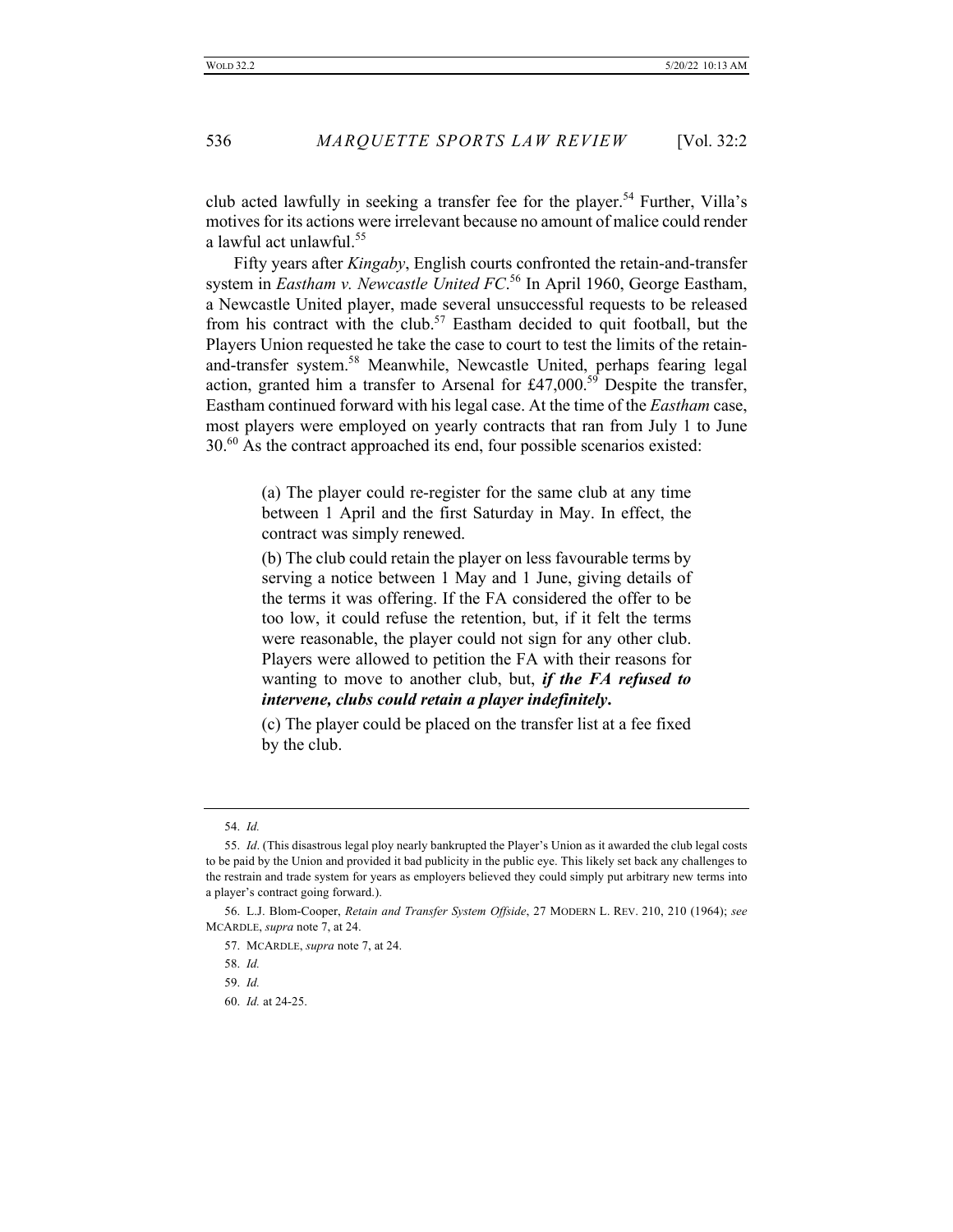club acted lawfully in seeking a transfer fee for the player.<sup>54</sup> Further, Villa's motives for its actions were irrelevant because no amount of malice could render a lawful act unlawful.<sup>55</sup>

Fifty years after *Kingaby*, English courts confronted the retain-and-transfer system in *Eastham v. Newcastle United FC*. <sup>56</sup> In April 1960, George Eastham, a Newcastle United player, made several unsuccessful requests to be released from his contract with the club.<sup>57</sup> Eastham decided to quit football, but the Players Union requested he take the case to court to test the limits of the retainand-transfer system.<sup>58</sup> Meanwhile, Newcastle United, perhaps fearing legal action, granted him a transfer to Arsenal for £47,000.<sup>59</sup> Despite the transfer, Eastham continued forward with his legal case. At the time of the *Eastham* case, most players were employed on yearly contracts that ran from July 1 to June  $30<sup>60</sup>$  As the contract approached its end, four possible scenarios existed:

> (a) The player could re-register for the same club at any time between 1 April and the first Saturday in May. In effect, the contract was simply renewed.

> (b) The club could retain the player on less favourable terms by serving a notice between 1 May and 1 June, giving details of the terms it was offering. If the FA considered the offer to be too low, it could refuse the retention, but, if it felt the terms were reasonable, the player could not sign for any other club. Players were allowed to petition the FA with their reasons for wanting to move to another club, but, *if the FA refused to intervene, clubs could retain a player indefinitely***.**

> (c) The player could be placed on the transfer list at a fee fixed by the club.

<sup>54.</sup> *Id.*

<sup>55.</sup> *Id*. (This disastrous legal ploy nearly bankrupted the Player's Union as it awarded the club legal costs to be paid by the Union and provided it bad publicity in the public eye. This likely set back any challenges to the restrain and trade system for years as employers believed they could simply put arbitrary new terms into a player's contract going forward.).

<sup>56.</sup> L.J. Blom-Cooper, *Retain and Transfer System Offside*, 27 MODERN L. REV. 210, 210 (1964); *see* MCARDLE, *supra* note 7, at 24.

<sup>57.</sup> MCARDLE, *supra* note 7, at 24.

<sup>58.</sup> *Id.*

<sup>59.</sup> *Id.*

<sup>60.</sup> *Id.* at 24-25.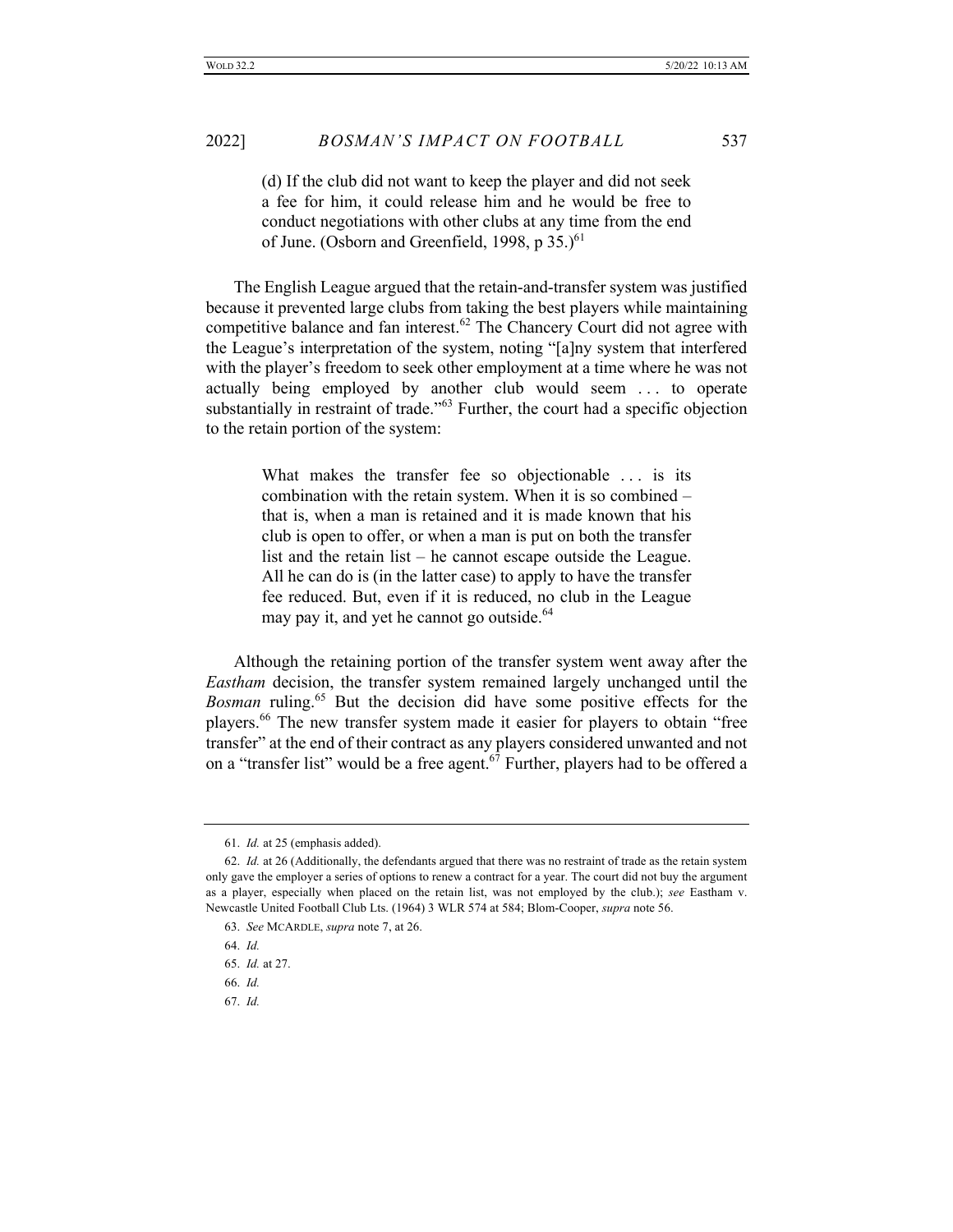(d) If the club did not want to keep the player and did not seek a fee for him, it could release him and he would be free to conduct negotiations with other clubs at any time from the end of June. (Osborn and Greenfield, 1998, p  $35.$ )<sup>61</sup>

The English League argued that the retain-and-transfer system was justified because it prevented large clubs from taking the best players while maintaining competitive balance and fan interest.<sup>62</sup> The Chancery Court did not agree with the League's interpretation of the system, noting "[a]ny system that interfered with the player's freedom to seek other employment at a time where he was not actually being employed by another club would seem . . . to operate substantially in restraint of trade.<sup> $103$ </sup> Further, the court had a specific objection to the retain portion of the system:

> What makes the transfer fee so objectionable ... is its combination with the retain system. When it is so combined – that is, when a man is retained and it is made known that his club is open to offer, or when a man is put on both the transfer list and the retain list – he cannot escape outside the League. All he can do is (in the latter case) to apply to have the transfer fee reduced. But, even if it is reduced, no club in the League may pay it, and yet he cannot go outside.<sup>64</sup>

Although the retaining portion of the transfer system went away after the *Eastham* decision, the transfer system remained largely unchanged until the *Bosman* ruling.<sup>65</sup> But the decision did have some positive effects for the players.<sup>66</sup> The new transfer system made it easier for players to obtain "free transfer" at the end of their contract as any players considered unwanted and not on a "transfer list" would be a free agent.<sup>67</sup> Further, players had to be offered a

67. *Id.*

<sup>61.</sup> *Id.* at 25 (emphasis added).

<sup>62.</sup> *Id.* at 26 (Additionally, the defendants argued that there was no restraint of trade as the retain system only gave the employer a series of options to renew a contract for a year. The court did not buy the argument as a player, especially when placed on the retain list, was not employed by the club.); *see* Eastham v. Newcastle United Football Club Lts. (1964) 3 WLR 574 at 584; Blom-Cooper, *supra* note 56.

<sup>63.</sup> *See* MCARDLE, *supra* note 7, at 26.

<sup>64.</sup> *Id.*

<sup>65.</sup> *Id.* at 27.

<sup>66.</sup> *Id.*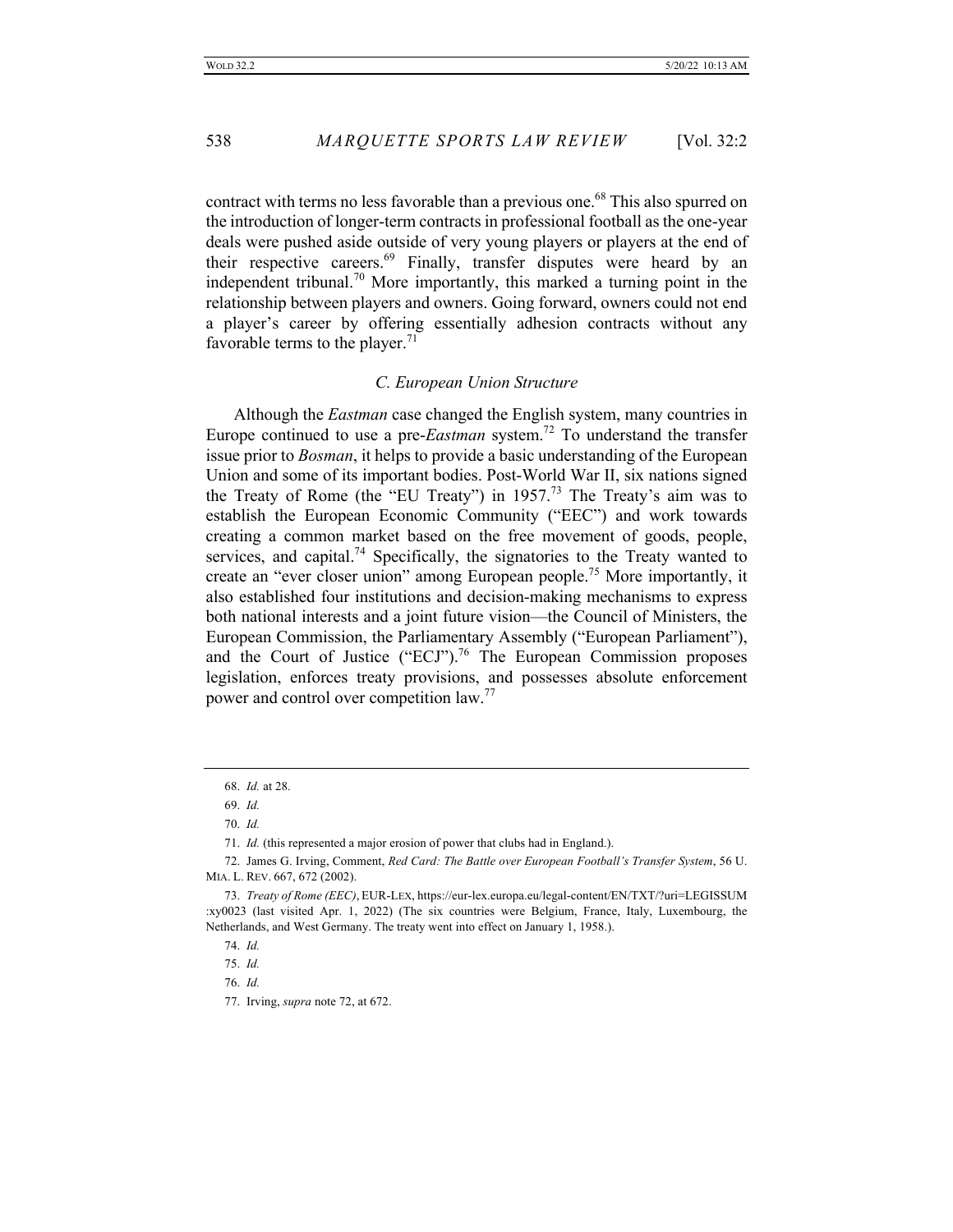contract with terms no less favorable than a previous one.<sup>68</sup> This also spurred on the introduction of longer-term contracts in professional football as the one-year deals were pushed aside outside of very young players or players at the end of their respective careers.<sup>69</sup> Finally, transfer disputes were heard by an independent tribunal.<sup>70</sup> More importantly, this marked a turning point in the relationship between players and owners. Going forward, owners could not end a player's career by offering essentially adhesion contracts without any favorable terms to the player.<sup>71</sup>

# *C. European Union Structure*

Although the *Eastman* case changed the English system, many countries in Europe continued to use a pre-*Eastman* system.72 To understand the transfer issue prior to *Bosman*, it helps to provide a basic understanding of the European Union and some of its important bodies. Post-World War II, six nations signed the Treaty of Rome (the "EU Treaty") in 1957.<sup>73</sup> The Treaty's aim was to establish the European Economic Community ("EEC") and work towards creating a common market based on the free movement of goods, people, services, and capital.<sup>74</sup> Specifically, the signatories to the Treaty wanted to create an "ever closer union" among European people.<sup>75</sup> More importantly, it also established four institutions and decision-making mechanisms to express both national interests and a joint future vision—the Council of Ministers, the European Commission, the Parliamentary Assembly ("European Parliament"), and the Court of Justice ("ECJ").<sup>76</sup> The European Commission proposes legislation, enforces treaty provisions, and possesses absolute enforcement power and control over competition law.<sup>77</sup>

<sup>68.</sup> *Id.* at 28.

<sup>69.</sup> *Id.*

<sup>70.</sup> *Id.*

<sup>71.</sup> *Id.* (this represented a major erosion of power that clubs had in England.).

<sup>72.</sup> James G. Irving, Comment, *Red Card: The Battle over European Football's Transfer System*, 56 U. MIA. L. REV. 667, 672 (2002).

<sup>73.</sup> *Treaty of Rome (EEC)*, EUR-LEX, https://eur-lex.europa.eu/legal-content/EN/TXT/?uri=LEGISSUM :xy0023 (last visited Apr. 1, 2022) (The six countries were Belgium, France, Italy, Luxembourg, the Netherlands, and West Germany. The treaty went into effect on January 1, 1958.).

<sup>74.</sup> *Id.*

<sup>75.</sup> *Id.*

<sup>76.</sup> *Id.*

<sup>77.</sup> Irving, *supra* note 72, at 672.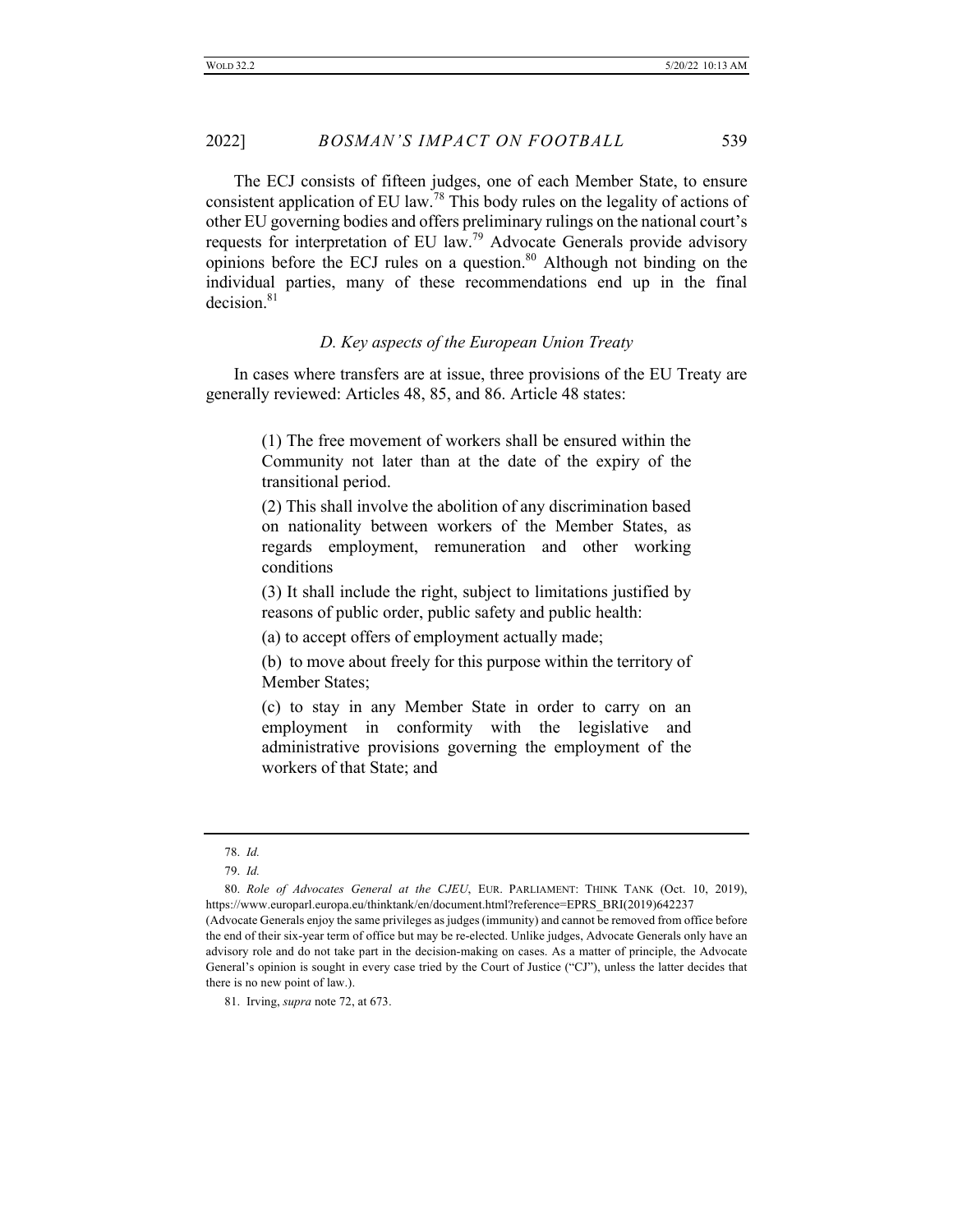The ECJ consists of fifteen judges, one of each Member State, to ensure consistent application of EU law.<sup>78</sup> This body rules on the legality of actions of other EU governing bodies and offers preliminary rulings on the national court's requests for interpretation of EU law.<sup>79</sup> Advocate Generals provide advisory opinions before the ECJ rules on a question. $80$  Although not binding on the individual parties, many of these recommendations end up in the final decision.<sup>81</sup>

# *D. Key aspects of the European Union Treaty*

In cases where transfers are at issue, three provisions of the EU Treaty are generally reviewed: Articles 48, 85, and 86. Article 48 states:

> (1) The free movement of workers shall be ensured within the Community not later than at the date of the expiry of the transitional period.

> (2) This shall involve the abolition of any discrimination based on nationality between workers of the Member States, as regards employment, remuneration and other working conditions

> (3) It shall include the right, subject to limitations justified by reasons of public order, public safety and public health:

(a) to accept offers of employment actually made;

(b) to move about freely for this purpose within the territory of Member States;

(c) to stay in any Member State in order to carry on an employment in conformity with the legislative and administrative provisions governing the employment of the workers of that State; and

<sup>78.</sup> *Id.*

<sup>79.</sup> *Id.*

<sup>80.</sup> *Role of Advocates General at the CJEU*, EUR. PARLIAMENT: THINK TANK (Oct. 10, 2019), https://www.europarl.europa.eu/thinktank/en/document.html?reference=EPRS\_BRI(2019)642237 (Advocate Generals enjoy the same privileges as judges (immunity) and cannot be removed from office before the end of their six-year term of office but may be re-elected. Unlike judges, Advocate Generals only have an advisory role and do not take part in the decision-making on cases. As a matter of principle, the Advocate General's opinion is sought in every case tried by the Court of Justice ("CJ"), unless the latter decides that there is no new point of law.).

<sup>81.</sup> Irving, *supra* note 72, at 673.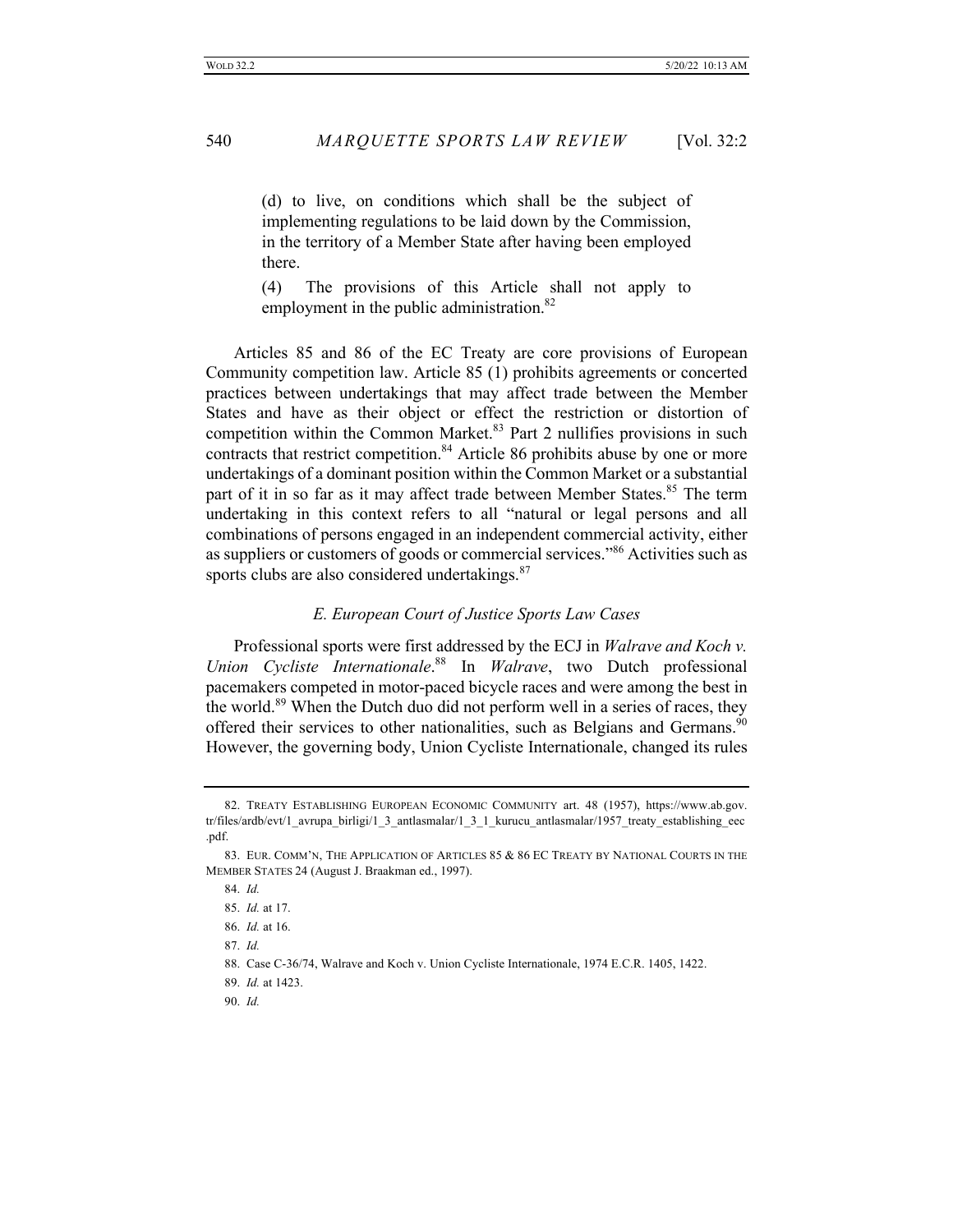(d) to live, on conditions which shall be the subject of implementing regulations to be laid down by the Commission, in the territory of a Member State after having been employed there.

(4) The provisions of this Article shall not apply to employment in the public administration.<sup>82</sup>

Articles 85 and 86 of the EC Treaty are core provisions of European Community competition law. Article 85 (1) prohibits agreements or concerted practices between undertakings that may affect trade between the Member States and have as their object or effect the restriction or distortion of competition within the Common Market.<sup>83</sup> Part 2 nullifies provisions in such contracts that restrict competition.<sup>84</sup> Article 86 prohibits abuse by one or more undertakings of a dominant position within the Common Market or a substantial part of it in so far as it may affect trade between Member States.<sup>85</sup> The term undertaking in this context refers to all "natural or legal persons and all combinations of persons engaged in an independent commercial activity, either as suppliers or customers of goods or commercial services."<sup>86</sup> Activities such as sports clubs are also considered undertakings.<sup>87</sup>

### *E. European Court of Justice Sports Law Cases*

Professional sports were first addressed by the ECJ in *Walrave and Koch v. Union Cycliste Internationale*. <sup>88</sup> In *Walrave*, two Dutch professional pacemakers competed in motor-paced bicycle races and were among the best in the world.<sup>89</sup> When the Dutch duo did not perform well in a series of races, they offered their services to other nationalities, such as Belgians and Germans.<sup>90</sup> However, the governing body, Union Cycliste Internationale, changed its rules

87. *Id.*

88. Case C-36/74, Walrave and Koch v. Union Cycliste Internationale, 1974 E.C.R. 1405, 1422.

89. *Id.* at 1423.

90. *Id.*

<sup>82.</sup> TREATY ESTABLISHING EUROPEAN ECONOMIC COMMUNITY art. 48 (1957), https://www.ab.gov. tr/files/ardb/evt/1\_avrupa\_birligi/1\_3\_antlasmalar/1\_3\_1\_kurucu\_antlasmalar/1957\_treaty\_establishing\_eec .pdf.

<sup>83.</sup> EUR. COMM'N, THE APPLICATION OF ARTICLES 85 & 86 EC TREATY BY NATIONAL COURTS IN THE MEMBER STATES 24 (August J. Braakman ed., 1997).

<sup>84.</sup> *Id.*

<sup>85.</sup> *Id.* at 17.

<sup>86.</sup> *Id.* at 16.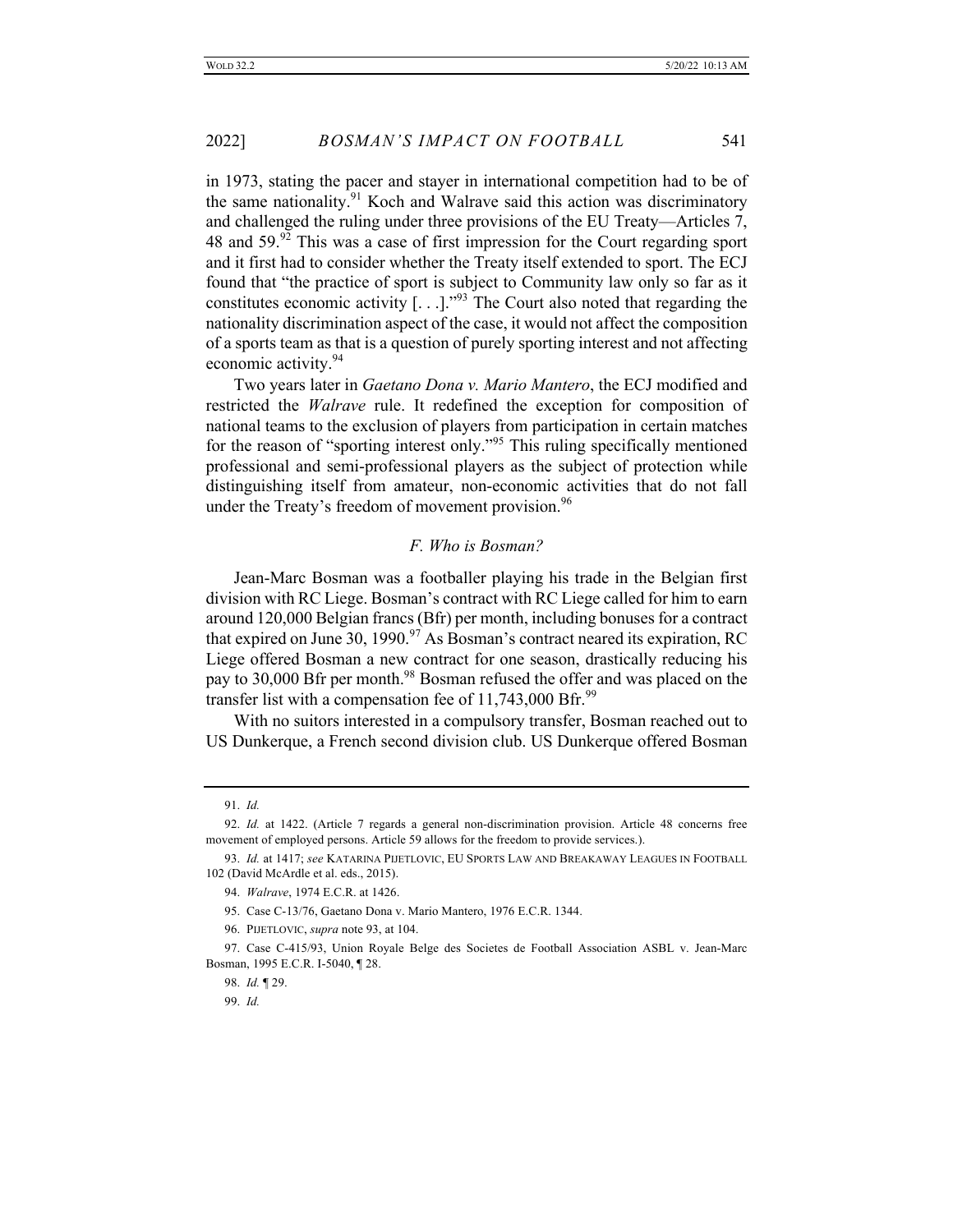in 1973, stating the pacer and stayer in international competition had to be of the same nationality.<sup>91</sup> Koch and Walrave said this action was discriminatory and challenged the ruling under three provisions of the EU Treaty—Articles 7, 48 and  $59.^{92}$  This was a case of first impression for the Court regarding sport and it first had to consider whether the Treaty itself extended to sport. The ECJ found that "the practice of sport is subject to Community law only so far as it constitutes economic activity  $[...]^{93}$  The Court also noted that regarding the nationality discrimination aspect of the case, it would not affect the composition of a sports team as that is a question of purely sporting interest and not affecting economic activity.<sup>94</sup>

Two years later in *Gaetano Dona v. Mario Mantero*, the ECJ modified and restricted the *Walrave* rule. It redefined the exception for composition of national teams to the exclusion of players from participation in certain matches for the reason of "sporting interest only."<sup>95</sup> This ruling specifically mentioned professional and semi-professional players as the subject of protection while distinguishing itself from amateur, non-economic activities that do not fall under the Treaty's freedom of movement provision.  $96$ 

# *F. Who is Bosman?*

Jean-Marc Bosman was a footballer playing his trade in the Belgian first division with RC Liege. Bosman's contract with RC Liege called for him to earn around 120,000 Belgian francs (Bfr) per month, including bonuses for a contract that expired on June 30, 1990.<sup>97</sup> As Bosman's contract neared its expiration, RC Liege offered Bosman a new contract for one season, drastically reducing his pay to 30,000 Bfr per month.<sup>98</sup> Bosman refused the offer and was placed on the transfer list with a compensation fee of  $11,743,000$  Bfr.<sup>99</sup>

With no suitors interested in a compulsory transfer, Bosman reached out to US Dunkerque, a French second division club. US Dunkerque offered Bosman

<sup>91.</sup> *Id.*

<sup>92.</sup> *Id.* at 1422. (Article 7 regards a general non-discrimination provision. Article 48 concerns free movement of employed persons. Article 59 allows for the freedom to provide services.).

<sup>93.</sup> *Id.* at 1417; *see* KATARINA PIJETLOVIC, EU SPORTS LAW AND BREAKAWAY LEAGUES IN FOOTBALL 102 (David McArdle et al. eds., 2015).

<sup>94.</sup> *Walrave*, 1974 E.C.R. at 1426.

<sup>95.</sup> Case C-13/76, Gaetano Dona v. Mario Mantero, 1976 E.C.R. 1344.

<sup>96.</sup> PIJETLOVIC, *supra* note 93, at 104.

<sup>97.</sup> Case C-415/93, Union Royale Belge des Societes de Football Association ASBL v. Jean-Marc Bosman, 1995 E.C.R. I-5040, ¶ 28.

<sup>98.</sup> *Id.* ¶ 29.

<sup>99.</sup> *Id.*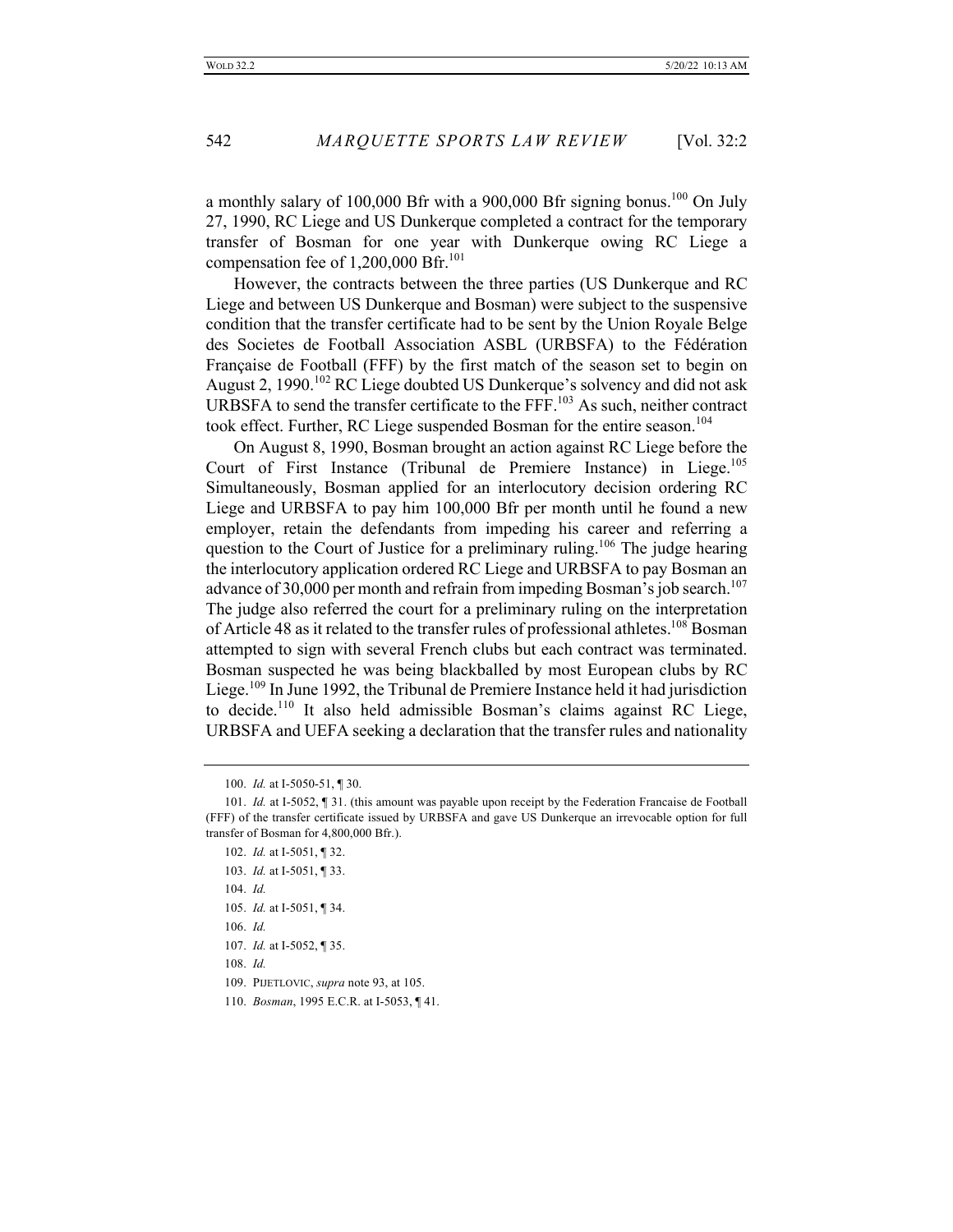a monthly salary of 100,000 Bfr with a 900,000 Bfr signing bonus.<sup>100</sup> On July 27, 1990, RC Liege and US Dunkerque completed a contract for the temporary transfer of Bosman for one year with Dunkerque owing RC Liege a compensation fee of  $1,200,000$  Bfr.<sup>101</sup>

However, the contracts between the three parties (US Dunkerque and RC Liege and between US Dunkerque and Bosman) were subject to the suspensive condition that the transfer certificate had to be sent by the Union Royale Belge des Societes de Football Association ASBL (URBSFA) to the Fédération Française de Football (FFF) by the first match of the season set to begin on August 2, 1990.<sup>102</sup> RC Liege doubted US Dunkerque's solvency and did not ask URBSFA to send the transfer certificate to the FFF.<sup>103</sup> As such, neither contract took effect. Further, RC Liege suspended Bosman for the entire season.<sup>104</sup>

On August 8, 1990, Bosman brought an action against RC Liege before the Court of First Instance (Tribunal de Premiere Instance) in Liege.<sup>105</sup> Simultaneously, Bosman applied for an interlocutory decision ordering RC Liege and URBSFA to pay him 100,000 Bfr per month until he found a new employer, retain the defendants from impeding his career and referring a question to the Court of Justice for a preliminary ruling.<sup>106</sup> The judge hearing the interlocutory application ordered RC Liege and URBSFA to pay Bosman an advance of 30,000 per month and refrain from impeding Bosman's job search.<sup>107</sup> The judge also referred the court for a preliminary ruling on the interpretation of Article 48 as it related to the transfer rules of professional athletes.<sup>108</sup> Bosman attempted to sign with several French clubs but each contract was terminated. Bosman suspected he was being blackballed by most European clubs by RC Liege.<sup>109</sup> In June 1992, the Tribunal de Premiere Instance held it had jurisdiction to decide.<sup>110</sup> It also held admissible Bosman's claims against RC Liege, URBSFA and UEFA seeking a declaration that the transfer rules and nationality

<sup>100.</sup> *Id.* at I-5050-51, ¶ 30.

<sup>101.</sup> *Id.* at I-5052, ¶ 31. (this amount was payable upon receipt by the Federation Francaise de Football (FFF) of the transfer certificate issued by URBSFA and gave US Dunkerque an irrevocable option for full transfer of Bosman for 4,800,000 Bfr.).

<sup>102.</sup> *Id.* at I-5051, ¶ 32.

<sup>103.</sup> *Id.* at I-5051, ¶ 33.

<sup>104.</sup> *Id.*

<sup>105.</sup> *Id.* at I-5051, ¶ 34.

<sup>106.</sup> *Id.*

<sup>107.</sup> *Id.* at I-5052, ¶ 35.

<sup>108.</sup> *Id.*

<sup>109.</sup> PIJETLOVIC, *supra* note 93, at 105.

<sup>110.</sup> *Bosman*, 1995 E.C.R. at I-5053, ¶ 41.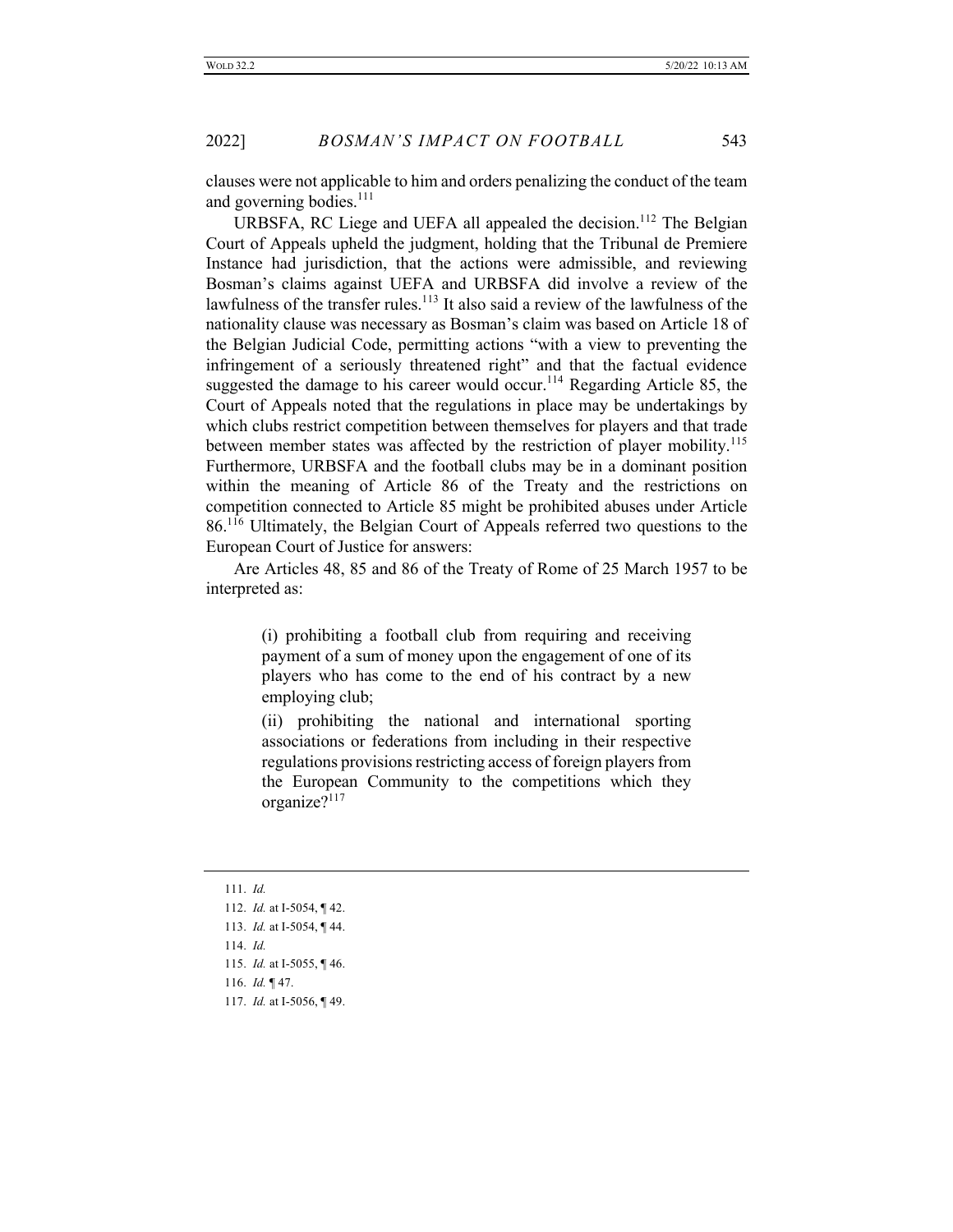clauses were not applicable to him and orders penalizing the conduct of the team and governing bodies. $^{111}$ 

URBSFA, RC Liege and UEFA all appealed the decision.<sup>112</sup> The Belgian Court of Appeals upheld the judgment, holding that the Tribunal de Premiere Instance had jurisdiction, that the actions were admissible, and reviewing Bosman's claims against UEFA and URBSFA did involve a review of the lawfulness of the transfer rules.<sup>113</sup> It also said a review of the lawfulness of the nationality clause was necessary as Bosman's claim was based on Article 18 of the Belgian Judicial Code, permitting actions "with a view to preventing the infringement of a seriously threatened right" and that the factual evidence suggested the damage to his career would occur.<sup>114</sup> Regarding Article 85, the Court of Appeals noted that the regulations in place may be undertakings by which clubs restrict competition between themselves for players and that trade between member states was affected by the restriction of player mobility.<sup>115</sup> Furthermore, URBSFA and the football clubs may be in a dominant position within the meaning of Article 86 of the Treaty and the restrictions on competition connected to Article 85 might be prohibited abuses under Article 86.<sup>116</sup> Ultimately, the Belgian Court of Appeals referred two questions to the European Court of Justice for answers:

Are Articles 48, 85 and 86 of the Treaty of Rome of 25 March 1957 to be interpreted as:

> (i) prohibiting a football club from requiring and receiving payment of a sum of money upon the engagement of one of its players who has come to the end of his contract by a new employing club;

> (ii) prohibiting the national and international sporting associations or federations from including in their respective regulations provisions restricting access of foreign players from the European Community to the competitions which they organize?<sup>117</sup>

- 111. *Id.*
- 112. *Id.* at I-5054, ¶ 42. 113. *Id.* at I-5054, ¶ 44. 114. *Id.* 115. *Id.* at I-5055, ¶ 46. 116. *Id.* ¶ 47. 117. *Id.* at I-5056, ¶ 49.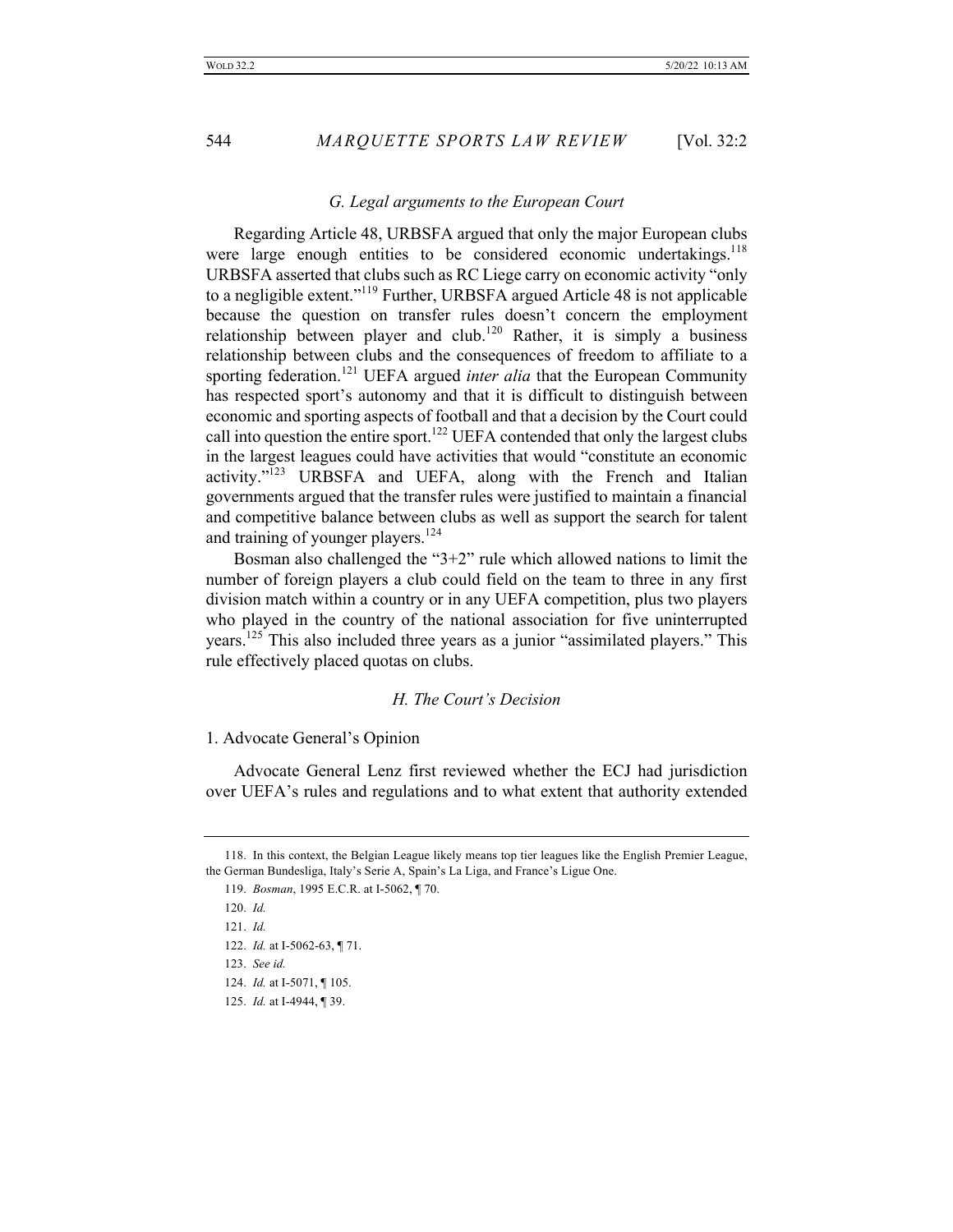#### *G. Legal arguments to the European Court*

Regarding Article 48, URBSFA argued that only the major European clubs were large enough entities to be considered economic undertakings.<sup>118</sup> URBSFA asserted that clubs such as RC Liege carry on economic activity "only to a negligible extent."<sup>119</sup> Further, URBSFA argued Article 48 is not applicable because the question on transfer rules doesn't concern the employment relationship between player and club.<sup>120</sup> Rather, it is simply a business relationship between clubs and the consequences of freedom to affiliate to a sporting federation.<sup>121</sup> UEFA argued *inter alia* that the European Community has respected sport's autonomy and that it is difficult to distinguish between economic and sporting aspects of football and that a decision by the Court could call into question the entire sport.<sup>122</sup> UEFA contended that only the largest clubs in the largest leagues could have activities that would "constitute an economic activity."<sup>123</sup> URBSFA and UEFA, along with the French and Italian governments argued that the transfer rules were justified to maintain a financial and competitive balance between clubs as well as support the search for talent and training of younger players.<sup>124</sup>

Bosman also challenged the " $3+2$ " rule which allowed nations to limit the number of foreign players a club could field on the team to three in any first division match within a country or in any UEFA competition, plus two players who played in the country of the national association for five uninterrupted years.<sup>125</sup> This also included three years as a junior "assimilated players." This rule effectively placed quotas on clubs.

#### *H. The Court's Decision*

1. Advocate General's Opinion

Advocate General Lenz first reviewed whether the ECJ had jurisdiction over UEFA's rules and regulations and to what extent that authority extended

<sup>118.</sup> In this context, the Belgian League likely means top tier leagues like the English Premier League, the German Bundesliga, Italy's Serie A, Spain's La Liga, and France's Ligue One.

<sup>119.</sup> *Bosman*, 1995 E.C.R. at I-5062, ¶ 70.

<sup>120.</sup> *Id.*

<sup>121.</sup> *Id.*

<sup>122.</sup> *Id.* at I-5062-63, ¶ 71.

<sup>123.</sup> *See id.*

<sup>124.</sup> *Id.* at I-5071, ¶ 105.

<sup>125.</sup> *Id.* at I-4944, ¶ 39.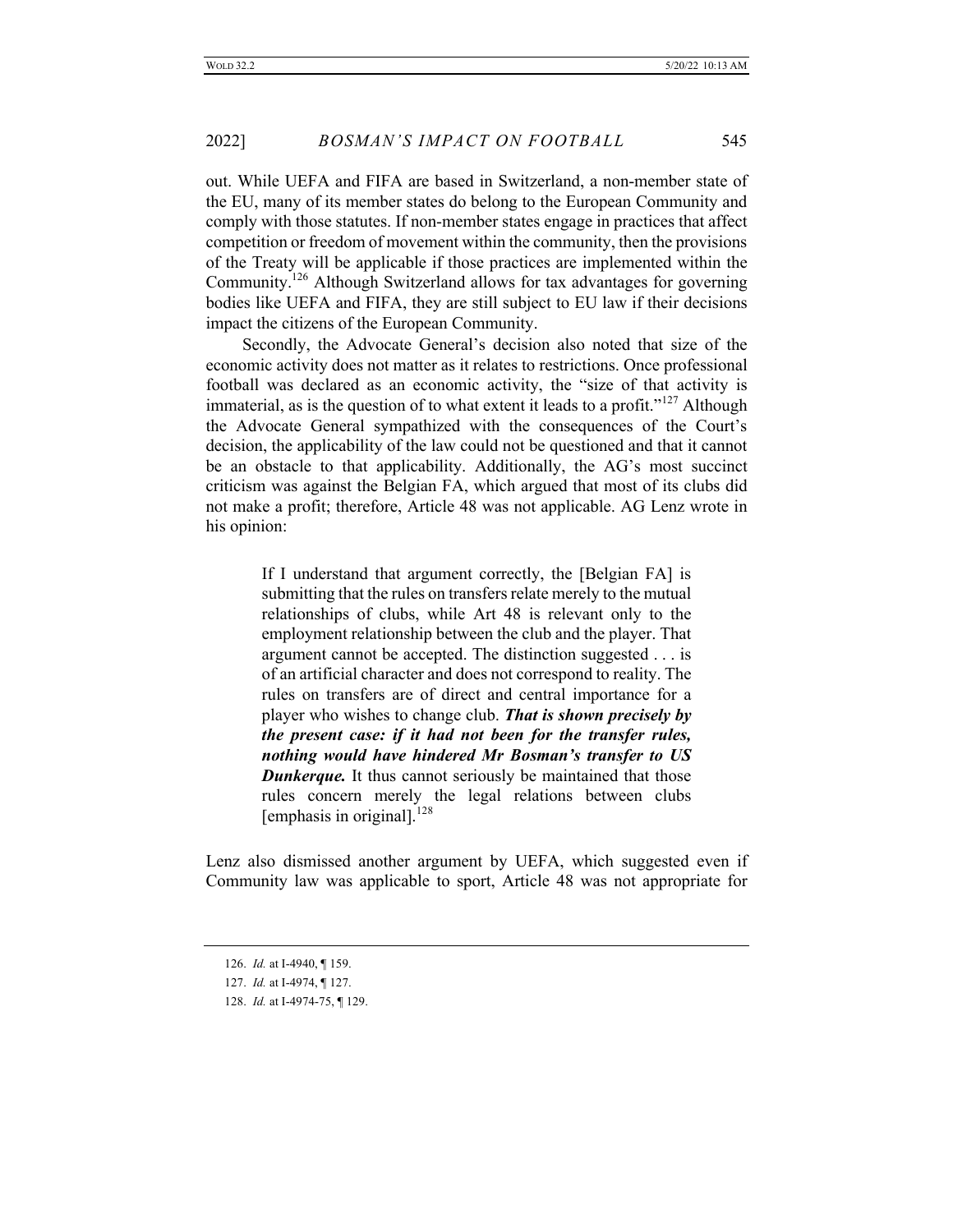out. While UEFA and FIFA are based in Switzerland, a non-member state of the EU, many of its member states do belong to the European Community and comply with those statutes. If non-member states engage in practices that affect competition or freedom of movement within the community, then the provisions of the Treaty will be applicable if those practices are implemented within the Community.<sup>126</sup> Although Switzerland allows for tax advantages for governing bodies like UEFA and FIFA, they are still subject to EU law if their decisions impact the citizens of the European Community.

 Secondly, the Advocate General's decision also noted that size of the economic activity does not matter as it relates to restrictions. Once professional football was declared as an economic activity, the "size of that activity is immaterial, as is the question of to what extent it leads to a profit."<sup>127</sup> Although the Advocate General sympathized with the consequences of the Court's decision, the applicability of the law could not be questioned and that it cannot be an obstacle to that applicability. Additionally, the AG's most succinct criticism was against the Belgian FA, which argued that most of its clubs did not make a profit; therefore, Article 48 was not applicable. AG Lenz wrote in his opinion:

> If I understand that argument correctly, the [Belgian FA] is submitting that the rules on transfers relate merely to the mutual relationships of clubs, while Art 48 is relevant only to the employment relationship between the club and the player. That argument cannot be accepted. The distinction suggested . . . is of an artificial character and does not correspond to reality. The rules on transfers are of direct and central importance for a player who wishes to change club. *That is shown precisely by the present case: if it had not been for the transfer rules, nothing would have hindered Mr Bosman's transfer to US Dunkerque.* It thus cannot seriously be maintained that those rules concern merely the legal relations between clubs [emphasis in original]. $^{128}$

Lenz also dismissed another argument by UEFA, which suggested even if Community law was applicable to sport, Article 48 was not appropriate for

<sup>126.</sup> *Id.* at I-4940, ¶ 159.

<sup>127.</sup> *Id.* at I-4974, ¶ 127.

<sup>128.</sup> *Id.* at I-4974-75, ¶ 129.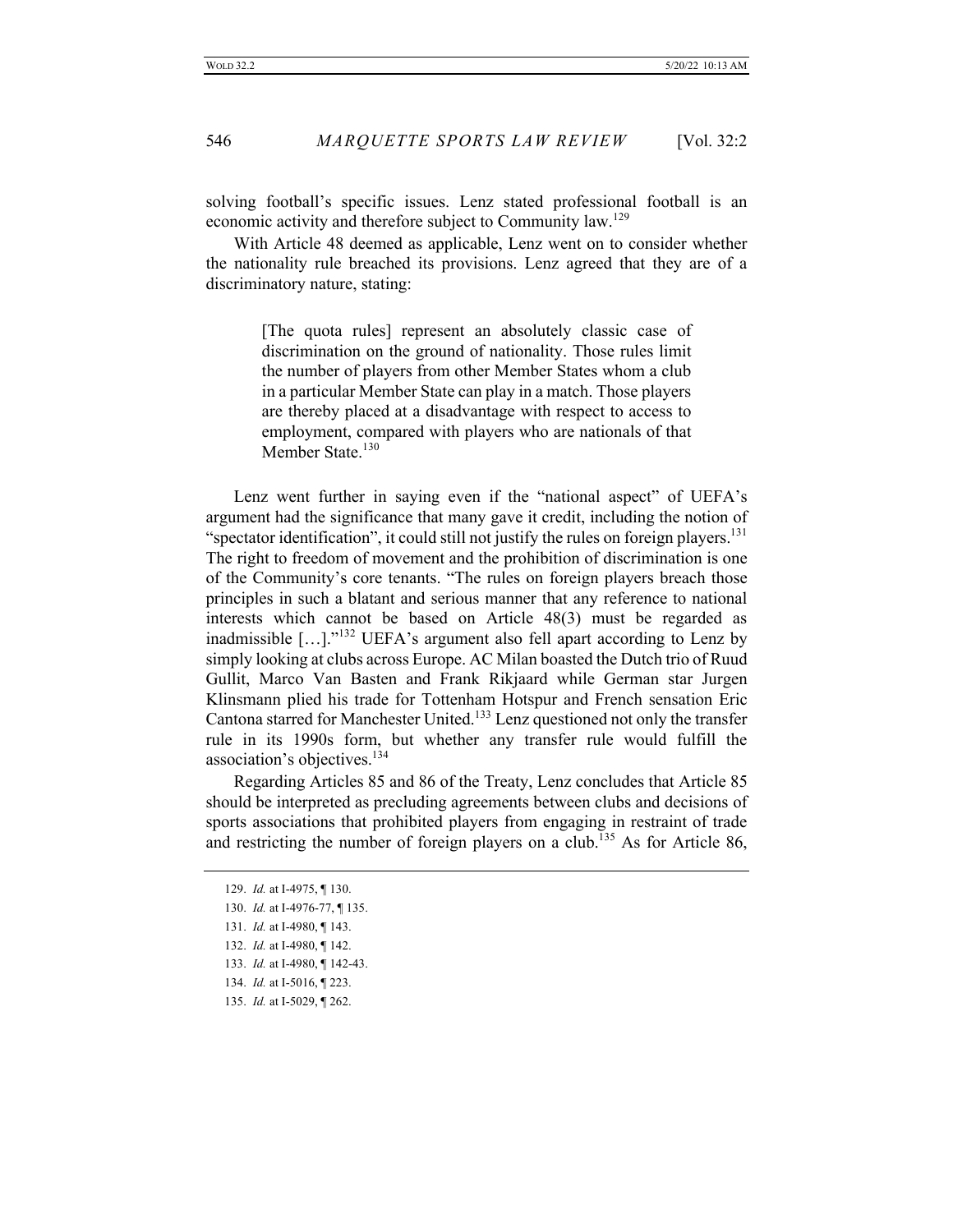solving football's specific issues. Lenz stated professional football is an economic activity and therefore subject to Community law.<sup>129</sup>

With Article 48 deemed as applicable, Lenz went on to consider whether the nationality rule breached its provisions. Lenz agreed that they are of a discriminatory nature, stating:

> [The quota rules] represent an absolutely classic case of discrimination on the ground of nationality. Those rules limit the number of players from other Member States whom a club in a particular Member State can play in a match. Those players are thereby placed at a disadvantage with respect to access to employment, compared with players who are nationals of that Member State.<sup>130</sup>

Lenz went further in saying even if the "national aspect" of UEFA's argument had the significance that many gave it credit, including the notion of "spectator identification", it could still not justify the rules on foreign players.  $^{131}$ The right to freedom of movement and the prohibition of discrimination is one of the Community's core tenants. "The rules on foreign players breach those principles in such a blatant and serious manner that any reference to national interests which cannot be based on Article 48(3) must be regarded as inadmissible [...]."<sup>132</sup> UEFA's argument also fell apart according to Lenz by simply looking at clubs across Europe. AC Milan boasted the Dutch trio of Ruud Gullit, Marco Van Basten and Frank Rikjaard while German star Jurgen Klinsmann plied his trade for Tottenham Hotspur and French sensation Eric Cantona starred for Manchester United.133 Lenz questioned not only the transfer rule in its 1990s form, but whether any transfer rule would fulfill the association's objectives.<sup>134</sup>

Regarding Articles 85 and 86 of the Treaty, Lenz concludes that Article 85 should be interpreted as precluding agreements between clubs and decisions of sports associations that prohibited players from engaging in restraint of trade and restricting the number of foreign players on a club.<sup>135</sup> As for Article 86,

<sup>129.</sup> *Id.* at I-4975, ¶ 130.

<sup>130.</sup> *Id.* at I-4976-77, ¶ 135.

<sup>131.</sup> *Id.* at I-4980, ¶ 143.

<sup>132.</sup> *Id.* at I-4980, ¶ 142.

<sup>133.</sup> *Id.* at I-4980, ¶ 142-43.

<sup>134.</sup> *Id.* at I-5016, ¶ 223.

<sup>135.</sup> *Id.* at I-5029, ¶ 262.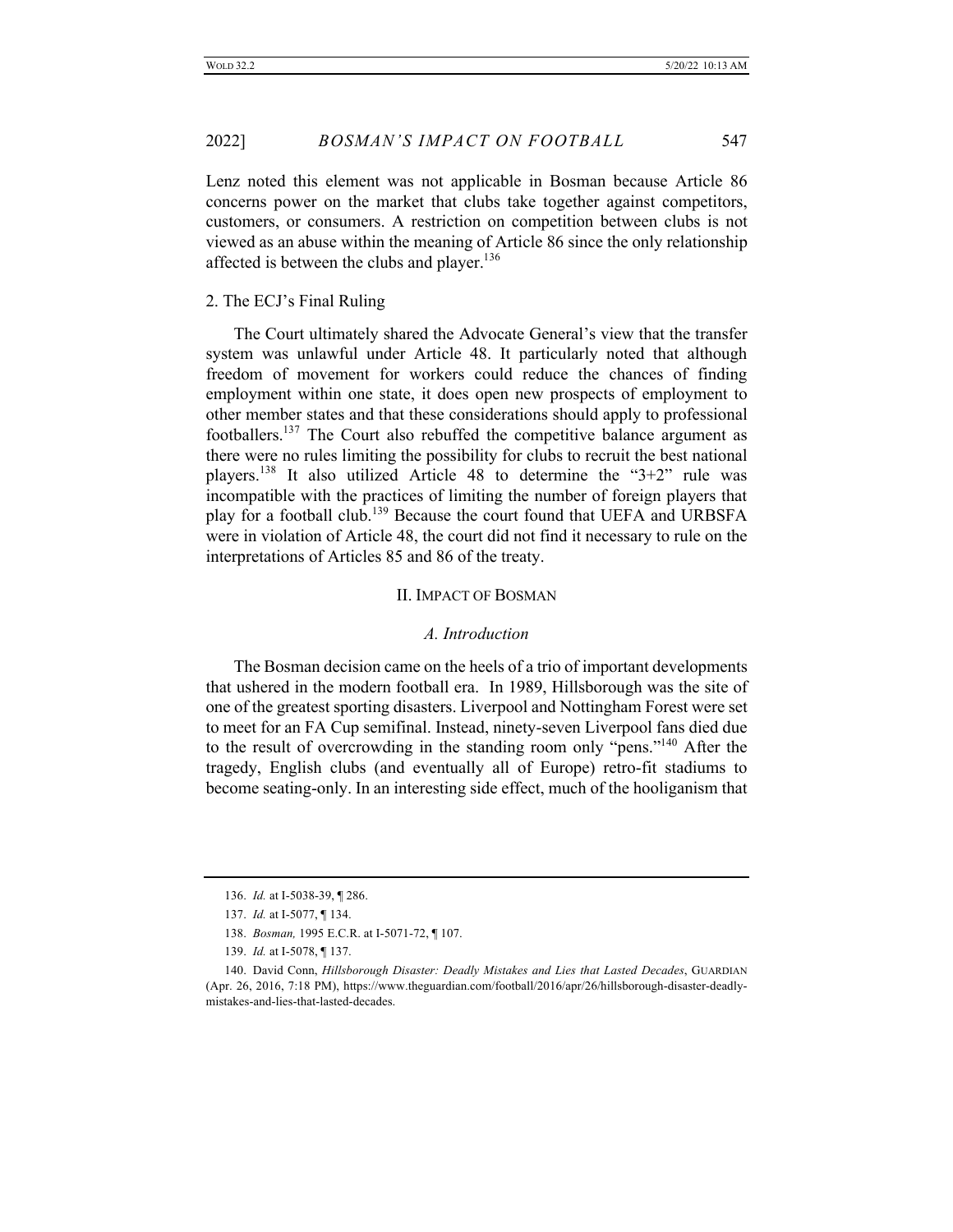Lenz noted this element was not applicable in Bosman because Article 86 concerns power on the market that clubs take together against competitors, customers, or consumers. A restriction on competition between clubs is not viewed as an abuse within the meaning of Article 86 since the only relationship affected is between the clubs and player.<sup>136</sup>

#### 2. The ECJ's Final Ruling

The Court ultimately shared the Advocate General's view that the transfer system was unlawful under Article 48. It particularly noted that although freedom of movement for workers could reduce the chances of finding employment within one state, it does open new prospects of employment to other member states and that these considerations should apply to professional footballers.<sup>137</sup> The Court also rebuffed the competitive balance argument as there were no rules limiting the possibility for clubs to recruit the best national players.<sup>138</sup> It also utilized Article 48 to determine the "3+2" rule was incompatible with the practices of limiting the number of foreign players that play for a football club.<sup>139</sup> Because the court found that UEFA and URBSFA were in violation of Article 48, the court did not find it necessary to rule on the interpretations of Articles 85 and 86 of the treaty.

#### II. IMPACT OF BOSMAN

#### *A. Introduction*

The Bosman decision came on the heels of a trio of important developments that ushered in the modern football era. In 1989, Hillsborough was the site of one of the greatest sporting disasters. Liverpool and Nottingham Forest were set to meet for an FA Cup semifinal. Instead, ninety-seven Liverpool fans died due to the result of overcrowding in the standing room only "pens."<sup>140</sup> After the tragedy, English clubs (and eventually all of Europe) retro-fit stadiums to become seating-only. In an interesting side effect, much of the hooliganism that

<sup>136.</sup> *Id.* at I-5038-39, ¶ 286.

<sup>137.</sup> *Id.* at I-5077, ¶ 134.

<sup>138.</sup> *Bosman,* 1995 E.C.R. at I-5071-72, ¶ 107.

<sup>139.</sup> *Id.* at I-5078, ¶ 137.

<sup>140.</sup> David Conn, *Hillsborough Disaster: Deadly Mistakes and Lies that Lasted Decades*, GUARDIAN (Apr. 26, 2016, 7:18 PM), https://www.theguardian.com/football/2016/apr/26/hillsborough-disaster-deadlymistakes-and-lies-that-lasted-decades.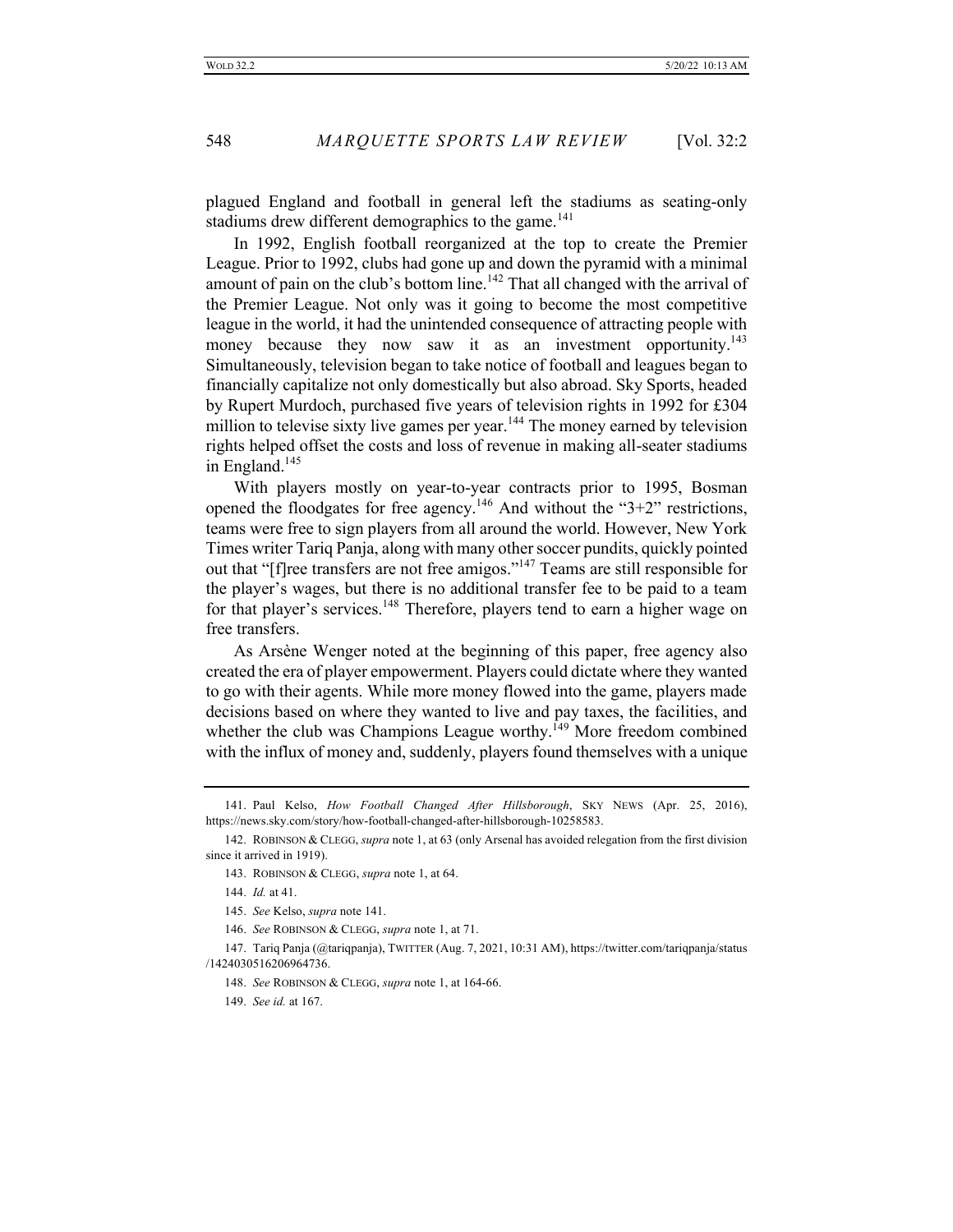plagued England and football in general left the stadiums as seating-only stadiums drew different demographics to the game. $141$ 

In 1992, English football reorganized at the top to create the Premier League. Prior to 1992, clubs had gone up and down the pyramid with a minimal amount of pain on the club's bottom line.<sup>142</sup> That all changed with the arrival of the Premier League. Not only was it going to become the most competitive league in the world, it had the unintended consequence of attracting people with money because they now saw it as an investment opportunity.<sup>143</sup> Simultaneously, television began to take notice of football and leagues began to financially capitalize not only domestically but also abroad. Sky Sports, headed by Rupert Murdoch, purchased five years of television rights in 1992 for £304 million to televise sixty live games per year. $144$  The money earned by television rights helped offset the costs and loss of revenue in making all-seater stadiums in England.<sup>145</sup>

With players mostly on year-to-year contracts prior to 1995, Bosman opened the floodgates for free agency.<sup>146</sup> And without the "3+2" restrictions, teams were free to sign players from all around the world. However, New York Times writer Tariq Panja, along with many other soccer pundits, quickly pointed out that "[f]ree transfers are not free amigos."<sup>147</sup> Teams are still responsible for the player's wages, but there is no additional transfer fee to be paid to a team for that player's services.<sup>148</sup> Therefore, players tend to earn a higher wage on free transfers.

As Arsène Wenger noted at the beginning of this paper, free agency also created the era of player empowerment. Players could dictate where they wanted to go with their agents. While more money flowed into the game, players made decisions based on where they wanted to live and pay taxes, the facilities, and whether the club was Champions League worthy.<sup>149</sup> More freedom combined with the influx of money and, suddenly, players found themselves with a unique

<sup>141.</sup> Paul Kelso, *How Football Changed After Hillsborough*, SKY NEWS (Apr. 25, 2016), https://news.sky.com/story/how-football-changed-after-hillsborough-10258583.

<sup>142.</sup> ROBINSON & CLEGG, *supra* note 1, at 63 (only Arsenal has avoided relegation from the first division since it arrived in 1919).

<sup>143.</sup> ROBINSON & CLEGG, *supra* note 1, at 64.

<sup>144.</sup> *Id.* at 41.

<sup>145.</sup> *See* Kelso, *supra* note 141.

<sup>146.</sup> *See* ROBINSON & CLEGG, *supra* note 1, at 71.

<sup>147.</sup> Tariq Panja (@tariqpanja), TWITTER (Aug. 7, 2021, 10:31 AM), https://twitter.com/tariqpanja/status /1424030516206964736.

<sup>148.</sup> *See* ROBINSON & CLEGG, *supra* note 1, at 164-66.

<sup>149.</sup> *See id.* at 167.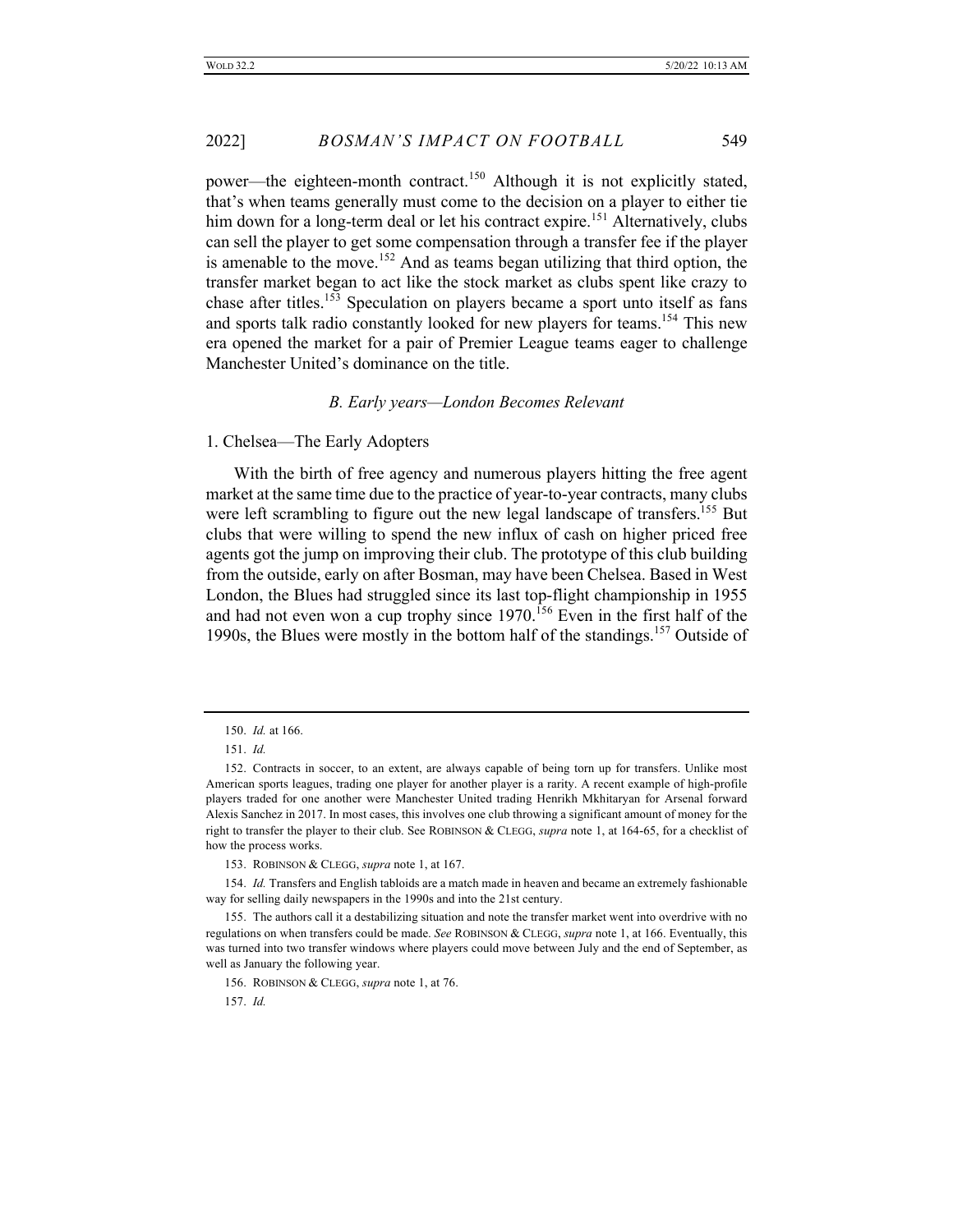power—the eighteen-month contract.<sup>150</sup> Although it is not explicitly stated, that's when teams generally must come to the decision on a player to either tie him down for a long-term deal or let his contract expire.<sup>151</sup> Alternatively, clubs can sell the player to get some compensation through a transfer fee if the player is amenable to the move.<sup>152</sup> And as teams began utilizing that third option, the transfer market began to act like the stock market as clubs spent like crazy to chase after titles.<sup>153</sup> Speculation on players became a sport unto itself as fans and sports talk radio constantly looked for new players for teams.<sup>154</sup> This new era opened the market for a pair of Premier League teams eager to challenge Manchester United's dominance on the title.

# *B. Early years—London Becomes Relevant*

# 1. Chelsea—The Early Adopters

With the birth of free agency and numerous players hitting the free agent market at the same time due to the practice of year-to-year contracts, many clubs were left scrambling to figure out the new legal landscape of transfers.<sup>155</sup> But clubs that were willing to spend the new influx of cash on higher priced free agents got the jump on improving their club. The prototype of this club building from the outside, early on after Bosman, may have been Chelsea. Based in West London, the Blues had struggled since its last top-flight championship in 1955 and had not even won a cup trophy since 1970.<sup>156</sup> Even in the first half of the 1990s, the Blues were mostly in the bottom half of the standings.157 Outside of

153. ROBINSON & CLEGG, *supra* note 1, at 167.

154. *Id.* Transfers and English tabloids are a match made in heaven and became an extremely fashionable way for selling daily newspapers in the 1990s and into the 21st century.

156. ROBINSON & CLEGG, *supra* note 1, at 76.

157. *Id.*

<sup>150.</sup> *Id.* at 166.

<sup>151.</sup> *Id.*

<sup>152.</sup> Contracts in soccer, to an extent, are always capable of being torn up for transfers. Unlike most American sports leagues, trading one player for another player is a rarity. A recent example of high-profile players traded for one another were Manchester United trading Henrikh Mkhitaryan for Arsenal forward Alexis Sanchez in 2017. In most cases, this involves one club throwing a significant amount of money for the right to transfer the player to their club. See ROBINSON & CLEGG, *supra* note 1, at 164-65, for a checklist of how the process works.

<sup>155.</sup> The authors call it a destabilizing situation and note the transfer market went into overdrive with no regulations on when transfers could be made. *See* ROBINSON & CLEGG, *supra* note 1, at 166. Eventually, this was turned into two transfer windows where players could move between July and the end of September, as well as January the following year.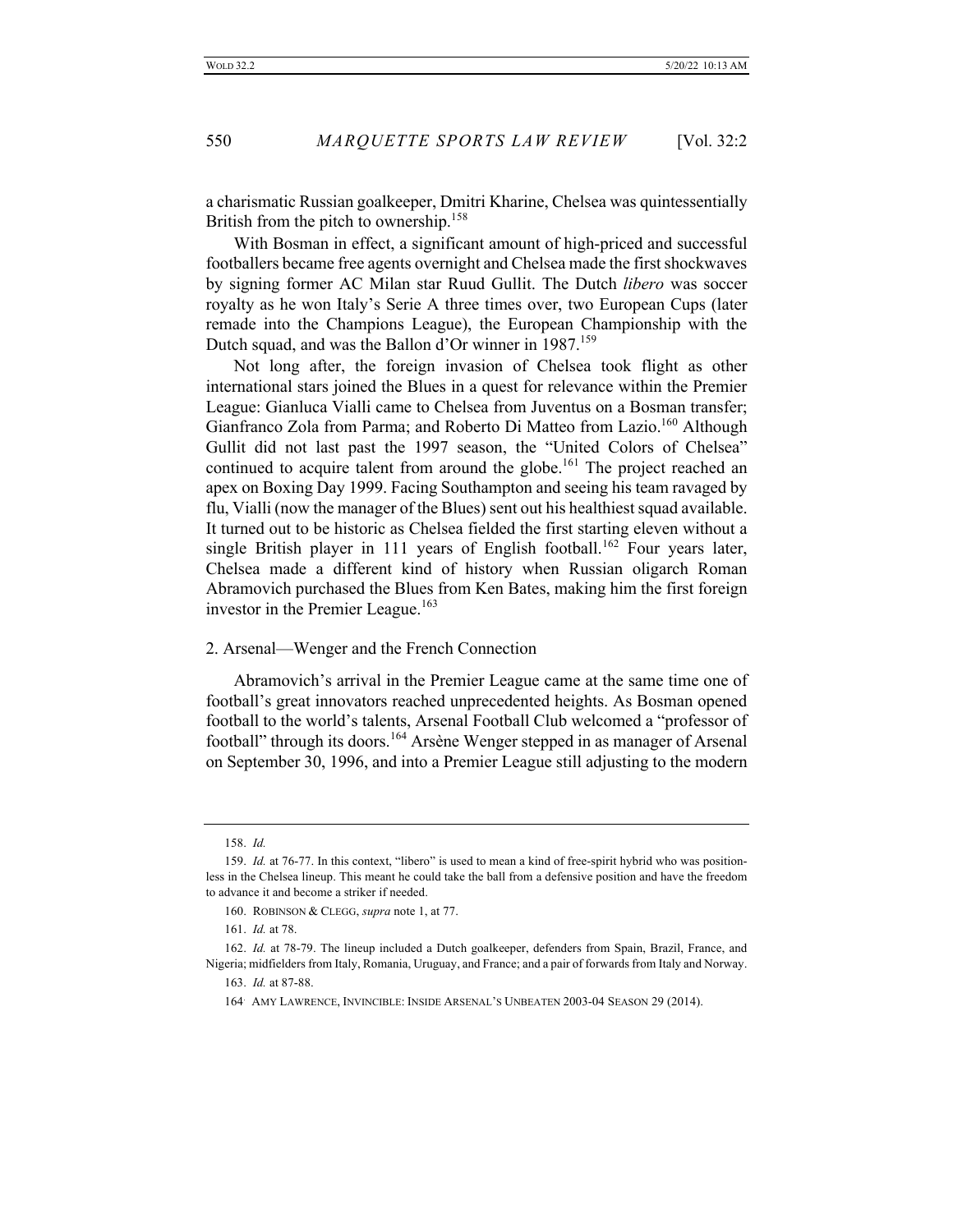a charismatic Russian goalkeeper, Dmitri Kharine, Chelsea was quintessentially British from the pitch to ownership.<sup>158</sup>

With Bosman in effect, a significant amount of high-priced and successful footballers became free agents overnight and Chelsea made the first shockwaves by signing former AC Milan star Ruud Gullit. The Dutch *libero* was soccer royalty as he won Italy's Serie A three times over, two European Cups (later remade into the Champions League), the European Championship with the Dutch squad, and was the Ballon d'Or winner in 1987.<sup>159</sup>

Not long after, the foreign invasion of Chelsea took flight as other international stars joined the Blues in a quest for relevance within the Premier League: Gianluca Vialli came to Chelsea from Juventus on a Bosman transfer; Gianfranco Zola from Parma; and Roberto Di Matteo from Lazio.<sup>160</sup> Although Gullit did not last past the 1997 season, the "United Colors of Chelsea" continued to acquire talent from around the globe.<sup>161</sup> The project reached an apex on Boxing Day 1999. Facing Southampton and seeing his team ravaged by flu, Vialli (now the manager of the Blues) sent out his healthiest squad available. It turned out to be historic as Chelsea fielded the first starting eleven without a single British player in 111 years of English football.<sup>162</sup> Four years later, Chelsea made a different kind of history when Russian oligarch Roman Abramovich purchased the Blues from Ken Bates, making him the first foreign investor in the Premier League.<sup>163</sup>

#### 2. Arsenal—Wenger and the French Connection

Abramovich's arrival in the Premier League came at the same time one of football's great innovators reached unprecedented heights. As Bosman opened football to the world's talents, Arsenal Football Club welcomed a "professor of football" through its doors.<sup>164</sup> Arsène Wenger stepped in as manager of Arsenal on September 30, 1996, and into a Premier League still adjusting to the modern

<sup>158.</sup> *Id.*

<sup>159.</sup> *Id.* at 76-77. In this context, "libero" is used to mean a kind of free-spirit hybrid who was positionless in the Chelsea lineup. This meant he could take the ball from a defensive position and have the freedom to advance it and become a striker if needed.

<sup>160.</sup> ROBINSON & CLEGG, *supra* note 1, at 77.

<sup>161.</sup> *Id.* at 78.

<sup>162.</sup> *Id.* at 78-79. The lineup included a Dutch goalkeeper, defenders from Spain, Brazil, France, and Nigeria; midfielders from Italy, Romania, Uruguay, and France; and a pair of forwards from Italy and Norway.

<sup>163.</sup> *Id.* at 87-88.

<sup>164</sup>. AMY LAWRENCE, INVINCIBLE: INSIDE ARSENAL'S UNBEATEN 2003-04 SEASON 29 (2014).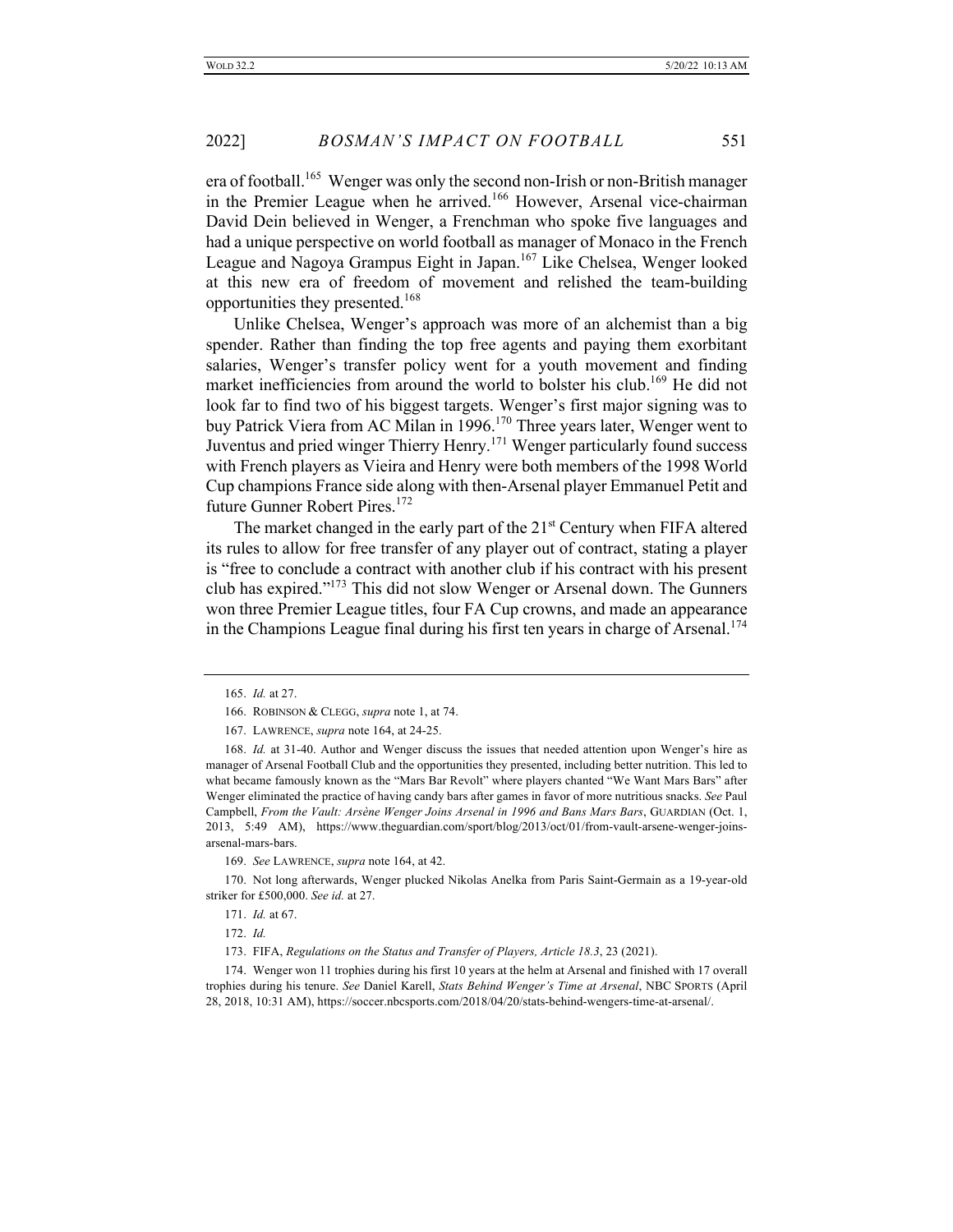era of football.<sup>165</sup> Wenger was only the second non-Irish or non-British manager in the Premier League when he arrived.<sup>166</sup> However, Arsenal vice-chairman David Dein believed in Wenger, a Frenchman who spoke five languages and had a unique perspective on world football as manager of Monaco in the French League and Nagoya Grampus Eight in Japan.<sup>167</sup> Like Chelsea, Wenger looked at this new era of freedom of movement and relished the team-building opportunities they presented.<sup>168</sup>

Unlike Chelsea, Wenger's approach was more of an alchemist than a big spender. Rather than finding the top free agents and paying them exorbitant salaries, Wenger's transfer policy went for a youth movement and finding market inefficiencies from around the world to bolster his club.<sup>169</sup> He did not look far to find two of his biggest targets. Wenger's first major signing was to buy Patrick Viera from AC Milan in 1996.<sup>170</sup> Three years later, Wenger went to Juventus and pried winger Thierry Henry.<sup>171</sup> Wenger particularly found success with French players as Vieira and Henry were both members of the 1998 World Cup champions France side along with then-Arsenal player Emmanuel Petit and future Gunner Robert Pires.<sup>172</sup>

The market changed in the early part of the  $21<sup>st</sup>$  Century when FIFA altered its rules to allow for free transfer of any player out of contract, stating a player is "free to conclude a contract with another club if his contract with his present club has expired."173 This did not slow Wenger or Arsenal down. The Gunners won three Premier League titles, four FA Cup crowns, and made an appearance in the Champions League final during his first ten years in charge of Arsenal.<sup>174</sup>

170. Not long afterwards, Wenger plucked Nikolas Anelka from Paris Saint-Germain as a 19-year-old striker for £500,000. *See id.* at 27.

174. Wenger won 11 trophies during his first 10 years at the helm at Arsenal and finished with 17 overall trophies during his tenure. *See* Daniel Karell, *Stats Behind Wenger's Time at Arsenal*, NBC SPORTS (April 28, 2018, 10:31 AM), https://soccer.nbcsports.com/2018/04/20/stats-behind-wengers-time-at-arsenal/.

<sup>165.</sup> *Id.* at 27.

<sup>166.</sup> ROBINSON & CLEGG, *supra* note 1, at 74.

<sup>167.</sup> LAWRENCE, *supra* note 164, at 24-25.

<sup>168.</sup> *Id.* at 31-40. Author and Wenger discuss the issues that needed attention upon Wenger's hire as manager of Arsenal Football Club and the opportunities they presented, including better nutrition. This led to what became famously known as the "Mars Bar Revolt" where players chanted "We Want Mars Bars" after Wenger eliminated the practice of having candy bars after games in favor of more nutritious snacks. *See* Paul Campbell, *From the Vault: Arsène Wenger Joins Arsenal in 1996 and Bans Mars Bars*, GUARDIAN (Oct. 1, 2013, 5:49 AM), https://www.theguardian.com/sport/blog/2013/oct/01/from-vault-arsene-wenger-joinsarsenal-mars-bars.

<sup>169.</sup> *See* LAWRENCE, *supra* note 164, at 42.

<sup>171.</sup> *Id.* at 67.

<sup>172.</sup> *Id.*

<sup>173.</sup> FIFA, *Regulations on the Status and Transfer of Players, Article 18.3*, 23 (2021).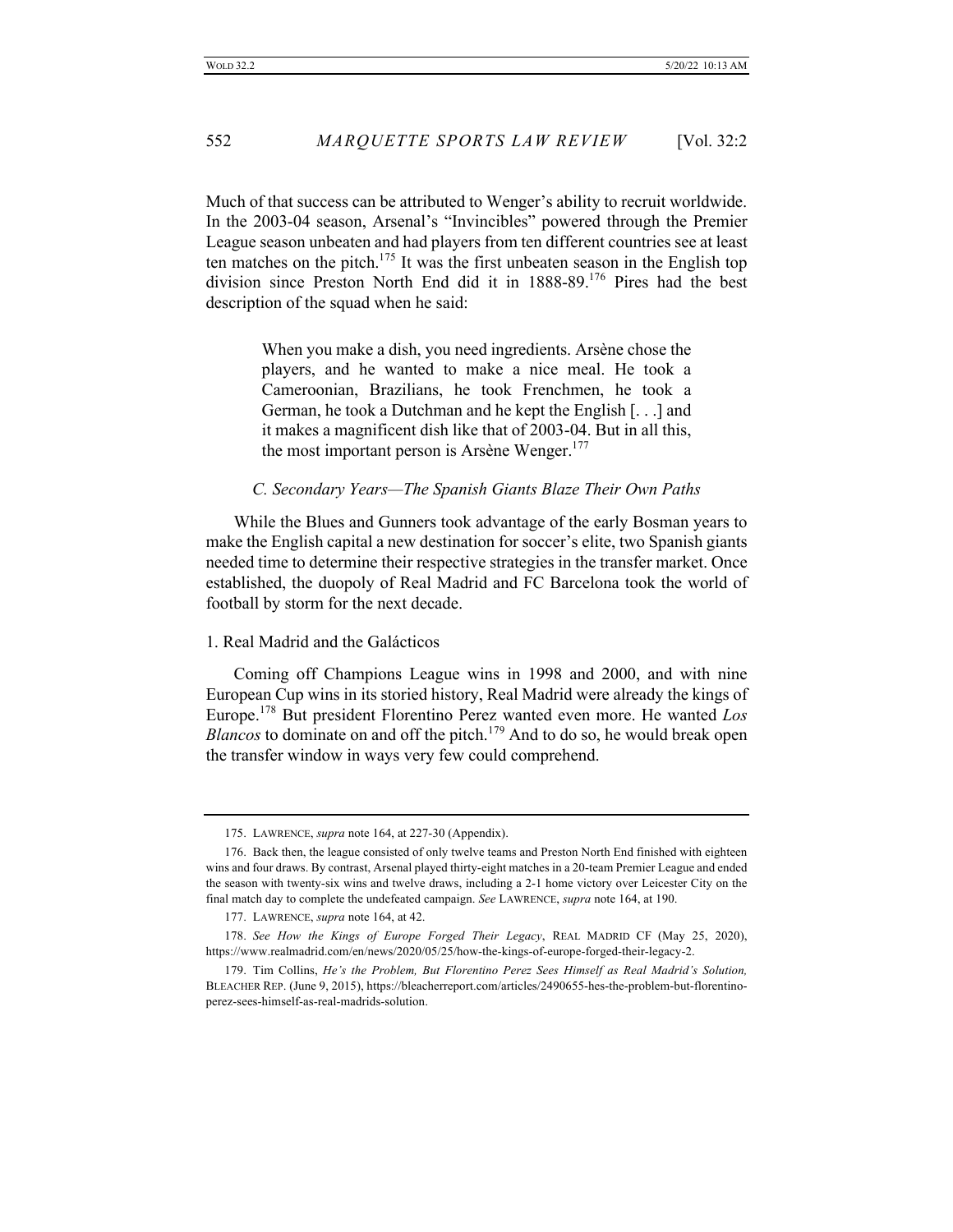Much of that success can be attributed to Wenger's ability to recruit worldwide. In the 2003-04 season, Arsenal's "Invincibles" powered through the Premier League season unbeaten and had players from ten different countries see at least ten matches on the pitch.<sup>175</sup> It was the first unbeaten season in the English top division since Preston North End did it in 1888-89.<sup>176</sup> Pires had the best description of the squad when he said:

> When you make a dish, you need ingredients. Arsène chose the players, and he wanted to make a nice meal. He took a Cameroonian, Brazilians, he took Frenchmen, he took a German, he took a Dutchman and he kept the English [. . .] and it makes a magnificent dish like that of 2003-04. But in all this, the most important person is Arsène Wenger. $177$

## *C. Secondary Years—The Spanish Giants Blaze Their Own Paths*

While the Blues and Gunners took advantage of the early Bosman years to make the English capital a new destination for soccer's elite, two Spanish giants needed time to determine their respective strategies in the transfer market. Once established, the duopoly of Real Madrid and FC Barcelona took the world of football by storm for the next decade.

#### 1. Real Madrid and the Galácticos

Coming off Champions League wins in 1998 and 2000, and with nine European Cup wins in its storied history, Real Madrid were already the kings of Europe.<sup>178</sup> But president Florentino Perez wanted even more. He wanted *Los Blancos* to dominate on and off the pitch.<sup>179</sup> And to do so, he would break open the transfer window in ways very few could comprehend.

<sup>175.</sup> LAWRENCE, *supra* note 164, at 227-30 (Appendix).

<sup>176.</sup> Back then, the league consisted of only twelve teams and Preston North End finished with eighteen wins and four draws. By contrast, Arsenal played thirty-eight matches in a 20-team Premier League and ended the season with twenty-six wins and twelve draws, including a 2-1 home victory over Leicester City on the final match day to complete the undefeated campaign. *See* LAWRENCE, *supra* note 164, at 190.

<sup>177.</sup> LAWRENCE, *supra* note 164, at 42.

<sup>178.</sup> *See How the Kings of Europe Forged Their Legacy*, REAL MADRID CF (May 25, 2020), https://www.realmadrid.com/en/news/2020/05/25/how-the-kings-of-europe-forged-their-legacy-2.

<sup>179.</sup> Tim Collins, *He's the Problem, But Florentino Perez Sees Himself as Real Madrid's Solution,* BLEACHER REP. (June 9, 2015), https://bleacherreport.com/articles/2490655-hes-the-problem-but-florentinoperez-sees-himself-as-real-madrids-solution.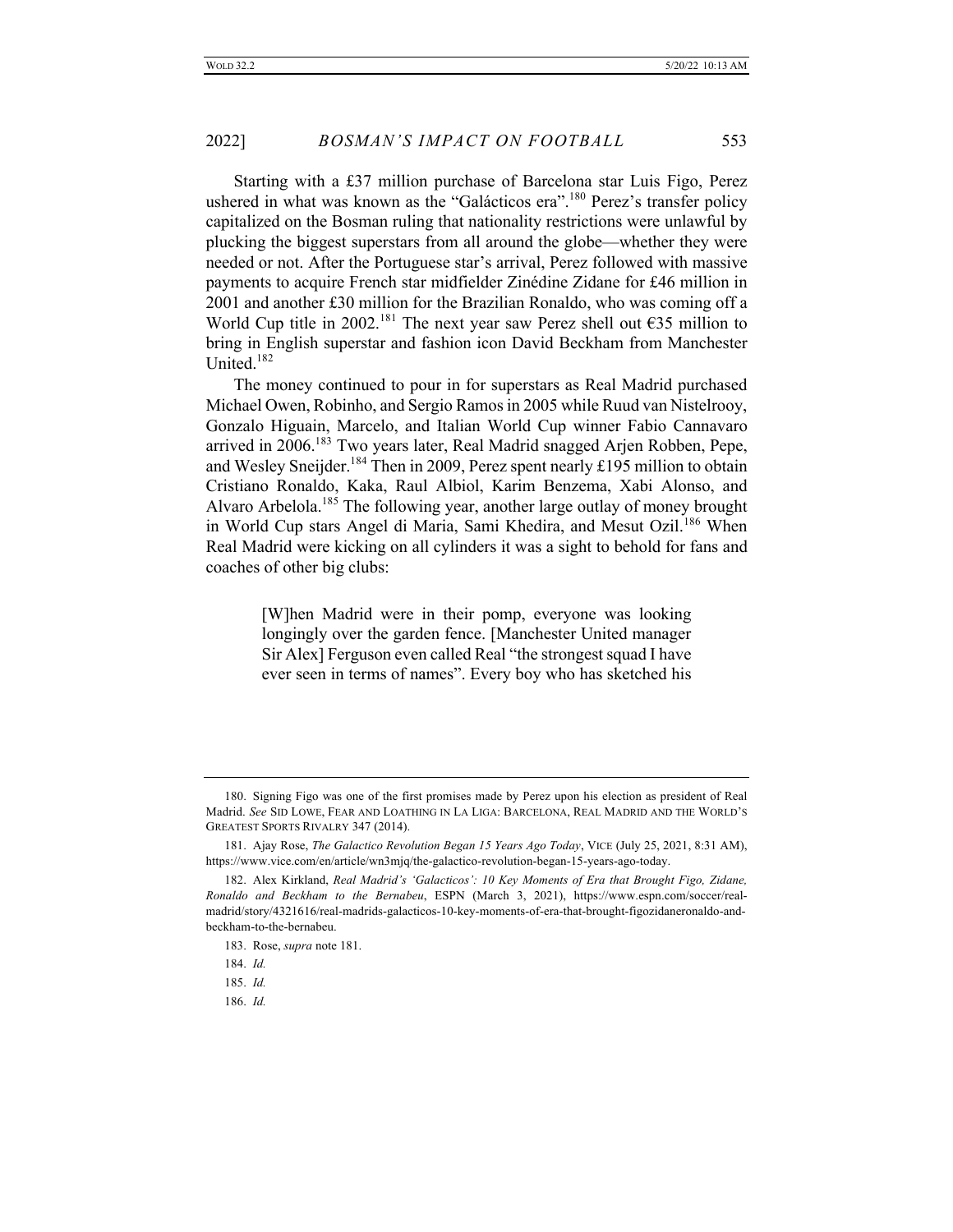Starting with a £37 million purchase of Barcelona star Luis Figo, Perez ushered in what was known as the "Galácticos era".<sup>180</sup> Perez's transfer policy capitalized on the Bosman ruling that nationality restrictions were unlawful by plucking the biggest superstars from all around the globe—whether they were needed or not. After the Portuguese star's arrival, Perez followed with massive payments to acquire French star midfielder Zinédine Zidane for £46 million in 2001 and another £30 million for the Brazilian Ronaldo, who was coming off a World Cup title in 2002.<sup>181</sup> The next year saw Perez shell out  $\epsilon$ 35 million to bring in English superstar and fashion icon David Beckham from Manchester United.<sup>182</sup>

The money continued to pour in for superstars as Real Madrid purchased Michael Owen, Robinho, and Sergio Ramos in 2005 while Ruud van Nistelrooy, Gonzalo Higuain, Marcelo, and Italian World Cup winner Fabio Cannavaro arrived in 2006.<sup>183</sup> Two years later, Real Madrid snagged Arjen Robben, Pepe, and Wesley Sneijder.<sup>184</sup> Then in 2009, Perez spent nearly £195 million to obtain Cristiano Ronaldo, Kaka, Raul Albiol, Karim Benzema, Xabi Alonso, and Alvaro Arbelola.<sup>185</sup> The following year, another large outlay of money brought in World Cup stars Angel di Maria, Sami Khedira, and Mesut Ozil.<sup>186</sup> When Real Madrid were kicking on all cylinders it was a sight to behold for fans and coaches of other big clubs:

> [W]hen Madrid were in their pomp, everyone was looking longingly over the garden fence. [Manchester United manager Sir Alex] Ferguson even called Real "the strongest squad I have ever seen in terms of names". Every boy who has sketched his

<sup>180.</sup> Signing Figo was one of the first promises made by Perez upon his election as president of Real Madrid. *See* SID LOWE, FEAR AND LOATHING IN LA LIGA: BARCELONA, REAL MADRID AND THE WORLD'S GREATEST SPORTS RIVALRY 347 (2014).

<sup>181.</sup> Ajay Rose, *The Galactico Revolution Began 15 Years Ago Today*, VICE (July 25, 2021, 8:31 AM), https://www.vice.com/en/article/wn3mjq/the-galactico-revolution-began-15-years-ago-today.

<sup>182.</sup> Alex Kirkland, *Real Madrid's 'Galacticos': 10 Key Moments of Era that Brought Figo, Zidane, Ronaldo and Beckham to the Bernabeu*, ESPN (March 3, 2021), https://www.espn.com/soccer/realmadrid/story/4321616/real-madrids-galacticos-10-key-moments-of-era-that-brought-figozidaneronaldo-andbeckham-to-the-bernabeu.

<sup>183.</sup> Rose, *supra* note 181.

<sup>184.</sup> *Id.*

<sup>185.</sup> *Id.*

<sup>186.</sup> *Id.*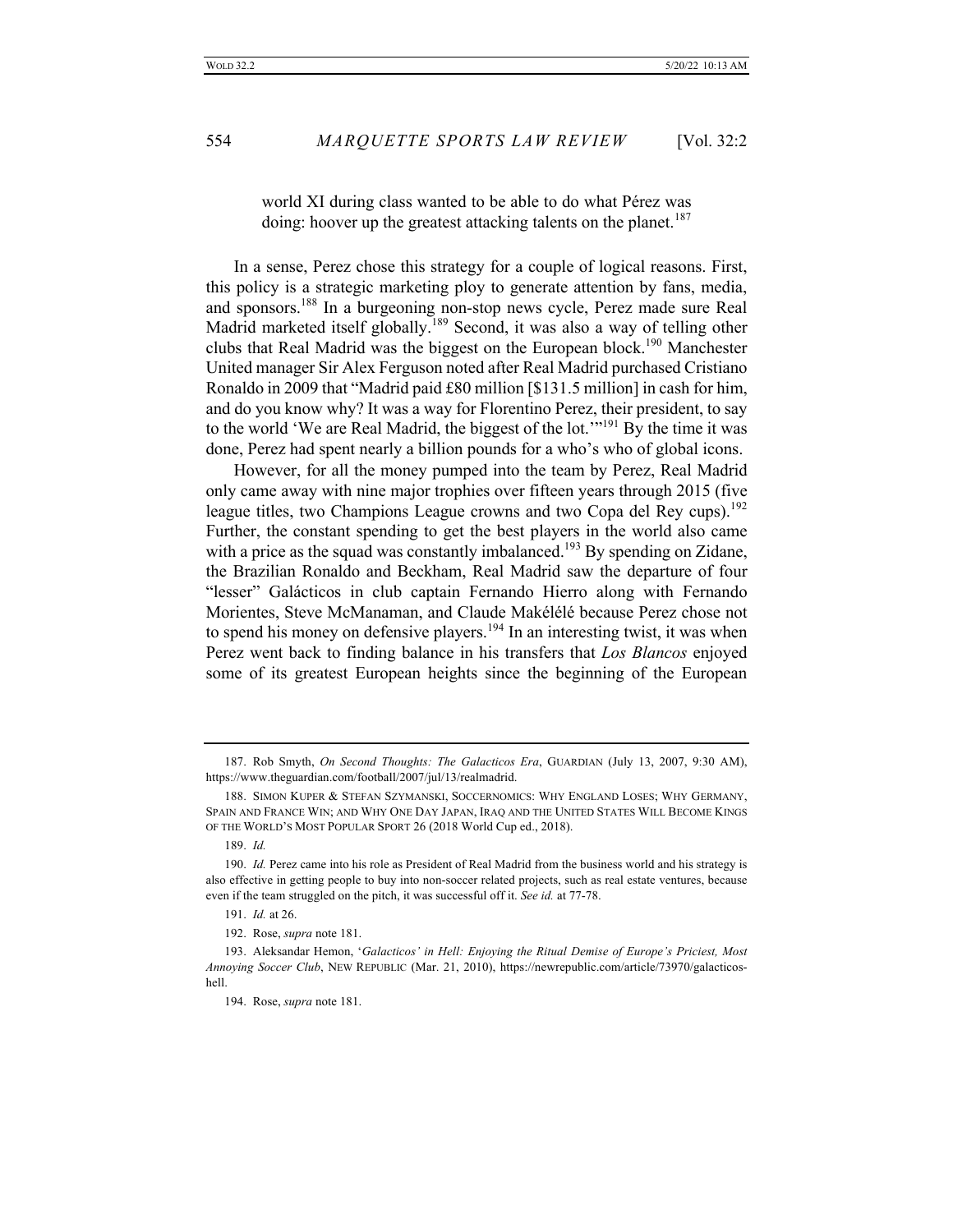world XI during class wanted to be able to do what Pérez was doing: hoover up the greatest attacking talents on the planet.<sup>187</sup>

In a sense, Perez chose this strategy for a couple of logical reasons. First, this policy is a strategic marketing ploy to generate attention by fans, media, and sponsors.188 In a burgeoning non-stop news cycle, Perez made sure Real Madrid marketed itself globally.<sup>189</sup> Second, it was also a way of telling other clubs that Real Madrid was the biggest on the European block.<sup>190</sup> Manchester United manager Sir Alex Ferguson noted after Real Madrid purchased Cristiano Ronaldo in 2009 that "Madrid paid £80 million [\$131.5 million] in cash for him, and do you know why? It was a way for Florentino Perez, their president, to say to the world 'We are Real Madrid, the biggest of the lot."<sup>191</sup> By the time it was done, Perez had spent nearly a billion pounds for a who's who of global icons.

However, for all the money pumped into the team by Perez, Real Madrid only came away with nine major trophies over fifteen years through 2015 (five league titles, two Champions League crowns and two Copa del Rey cups).<sup>192</sup> Further, the constant spending to get the best players in the world also came with a price as the squad was constantly imbalanced.<sup>193</sup> By spending on Zidane, the Brazilian Ronaldo and Beckham, Real Madrid saw the departure of four "lesser" Galácticos in club captain Fernando Hierro along with Fernando Morientes, Steve McManaman, and Claude Makélélé because Perez chose not to spend his money on defensive players.<sup>194</sup> In an interesting twist, it was when Perez went back to finding balance in his transfers that *Los Blancos* enjoyed some of its greatest European heights since the beginning of the European

191. *Id.* at 26.

192. Rose, *supra* note 181.

<sup>187.</sup> Rob Smyth, *On Second Thoughts: The Galacticos Era*, GUARDIAN (July 13, 2007, 9:30 AM), https://www.theguardian.com/football/2007/jul/13/realmadrid.

<sup>188.</sup> SIMON KUPER & STEFAN SZYMANSKI, SOCCERNOMICS: WHY ENGLAND LOSES; WHY GERMANY, SPAIN AND FRANCE WIN; AND WHY ONE DAY JAPAN, IRAQ AND THE UNITED STATES WILL BECOME KINGS OF THE WORLD'S MOST POPULAR SPORT 26 (2018 World Cup ed., 2018).

<sup>189.</sup> *Id.*

<sup>190.</sup> *Id.* Perez came into his role as President of Real Madrid from the business world and his strategy is also effective in getting people to buy into non-soccer related projects, such as real estate ventures, because even if the team struggled on the pitch, it was successful off it. *See id.* at 77-78.

<sup>193.</sup> Aleksandar Hemon, '*Galacticos' in Hell: Enjoying the Ritual Demise of Europe's Priciest, Most Annoying Soccer Club*, NEW REPUBLIC (Mar. 21, 2010), https://newrepublic.com/article/73970/galacticoshell.

<sup>194.</sup> Rose, *supra* note 181.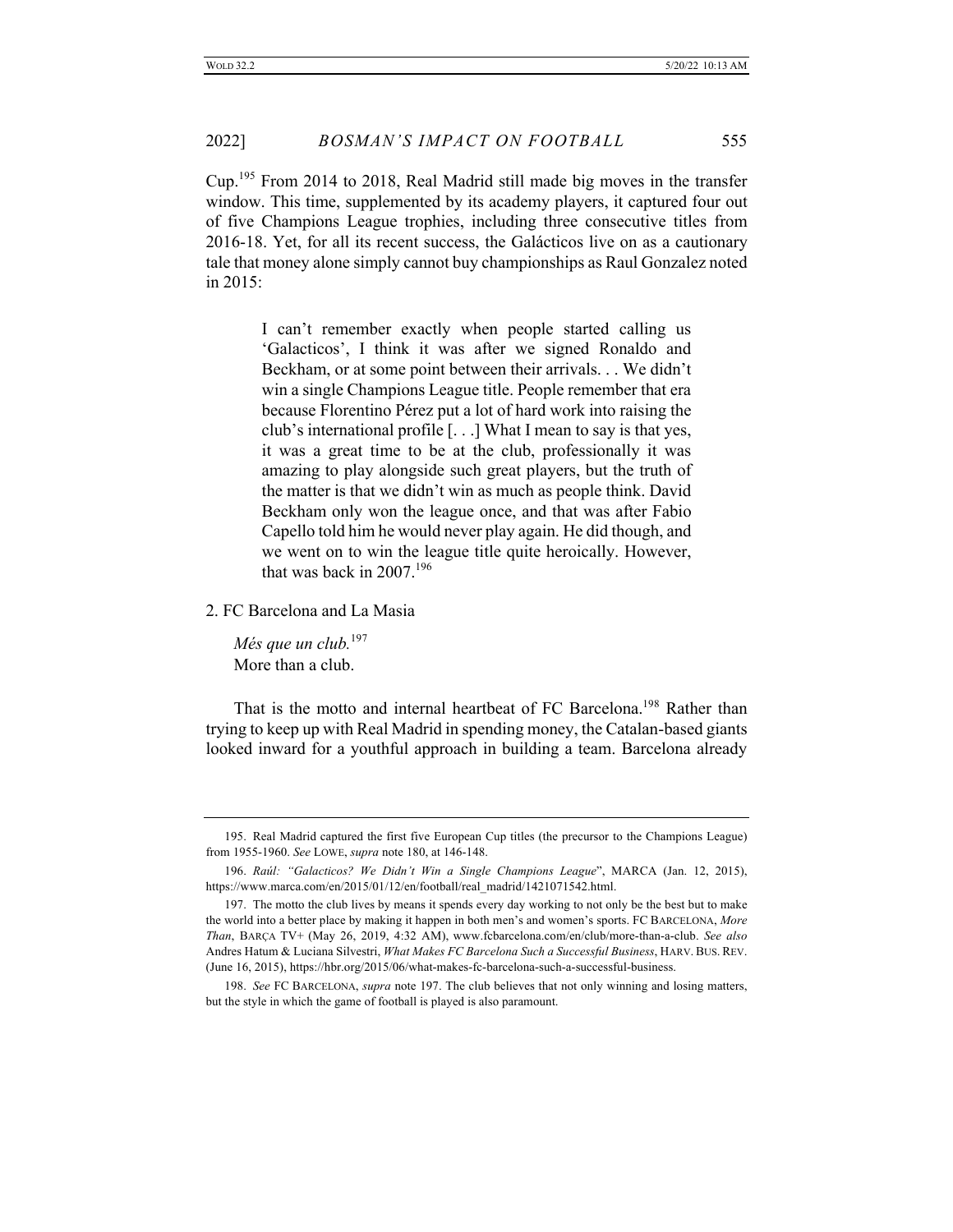2022] *BOSMAN'S IMPACT ON FOOTBALL* 555

Cup.<sup>195</sup> From 2014 to 2018, Real Madrid still made big moves in the transfer window. This time, supplemented by its academy players, it captured four out of five Champions League trophies, including three consecutive titles from 2016-18. Yet, for all its recent success, the Galácticos live on as a cautionary tale that money alone simply cannot buy championships as Raul Gonzalez noted in 2015:

I can't remember exactly when people started calling us 'Galacticos', I think it was after we signed Ronaldo and Beckham, or at some point between their arrivals. . . We didn't win a single Champions League title. People remember that era because Florentino Pérez put a lot of hard work into raising the club's international profile [. . .] What I mean to say is that yes, it was a great time to be at the club, professionally it was amazing to play alongside such great players, but the truth of the matter is that we didn't win as much as people think. David Beckham only won the league once, and that was after Fabio Capello told him he would never play again. He did though, and we went on to win the league title quite heroically. However, that was back in  $2007$ .<sup>196</sup>

2. FC Barcelona and La Masia

*Més que un club.*<sup>197</sup> More than a club.

That is the motto and internal heartbeat of FC Barcelona.<sup>198</sup> Rather than trying to keep up with Real Madrid in spending money, the Catalan-based giants looked inward for a youthful approach in building a team. Barcelona already

<sup>195.</sup> Real Madrid captured the first five European Cup titles (the precursor to the Champions League) from 1955-1960. *See* LOWE, *supra* note 180, at 146-148.

<sup>196.</sup> *Raúl: "Galacticos? We Didn't Win a Single Champions League*", MARCA (Jan. 12, 2015), https://www.marca.com/en/2015/01/12/en/football/real\_madrid/1421071542.html.

<sup>197.</sup> The motto the club lives by means it spends every day working to not only be the best but to make the world into a better place by making it happen in both men's and women's sports. FC BARCELONA, *More Than*, BARÇA TV+ (May 26, 2019, 4:32 AM), www.fcbarcelona.com/en/club/more-than-a-club. *See also* Andres Hatum & Luciana Silvestri, *What Makes FC Barcelona Such a Successful Business*, HARV. BUS. REV. (June 16, 2015), https://hbr.org/2015/06/what-makes-fc-barcelona-such-a-successful-business.

<sup>198.</sup> *See* FC BARCELONA, *supra* note 197. The club believes that not only winning and losing matters, but the style in which the game of football is played is also paramount.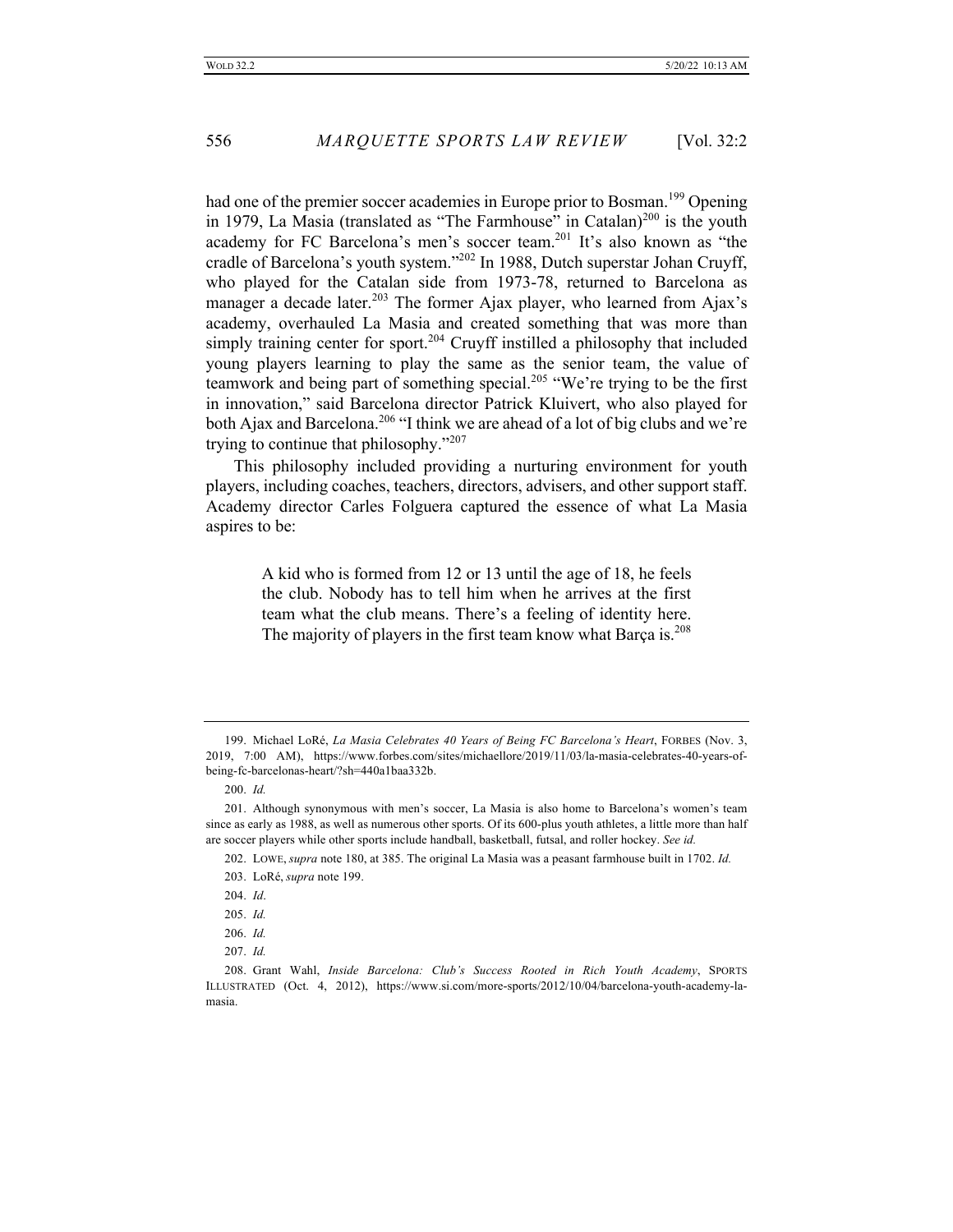had one of the premier soccer academies in Europe prior to Bosman.<sup>199</sup> Opening in 1979, La Masia (translated as "The Farmhouse" in Catalan)<sup>200</sup> is the youth academy for FC Barcelona's men's soccer team.<sup>201</sup> It's also known as "the cradle of Barcelona's youth system."202 In 1988, Dutch superstar Johan Cruyff, who played for the Catalan side from 1973-78, returned to Barcelona as manager a decade later.<sup>203</sup> The former Ajax player, who learned from Ajax's academy, overhauled La Masia and created something that was more than simply training center for sport.<sup>204</sup> Cruyff instilled a philosophy that included young players learning to play the same as the senior team, the value of teamwork and being part of something special.<sup>205</sup> "We're trying to be the first in innovation," said Barcelona director Patrick Kluivert, who also played for both Ajax and Barcelona.<sup>206</sup> "I think we are ahead of a lot of big clubs and we're trying to continue that philosophy."<sup>207</sup>

This philosophy included providing a nurturing environment for youth players, including coaches, teachers, directors, advisers, and other support staff. Academy director Carles Folguera captured the essence of what La Masia aspires to be:

> A kid who is formed from 12 or 13 until the age of 18, he feels the club. Nobody has to tell him when he arrives at the first team what the club means. There's a feeling of identity here. The majority of players in the first team know what Barça is.<sup>208</sup>

<sup>199.</sup> Michael LoRé, *La Masia Celebrates 40 Years of Being FC Barcelona's Heart*, FORBES (Nov. 3, 2019, 7:00 AM), https://www.forbes.com/sites/michaellore/2019/11/03/la-masia-celebrates-40-years-ofbeing-fc-barcelonas-heart/?sh=440a1baa332b.

<sup>200.</sup> *Id.*

<sup>201.</sup> Although synonymous with men's soccer, La Masia is also home to Barcelona's women's team since as early as 1988, as well as numerous other sports. Of its 600-plus youth athletes, a little more than half are soccer players while other sports include handball, basketball, futsal, and roller hockey. *See id.*

<sup>202.</sup> LOWE, *supra* note 180, at 385. The original La Masia was a peasant farmhouse built in 1702. *Id.*

<sup>203.</sup> LoRé, *supra* note 199.

<sup>204.</sup> *Id*.

<sup>205.</sup> *Id.*

<sup>206.</sup> *Id.*

<sup>207.</sup> *Id.*

<sup>208.</sup> Grant Wahl, *Inside Barcelona: Club's Success Rooted in Rich Youth Academy*, SPORTS ILLUSTRATED (Oct. 4, 2012), https://www.si.com/more-sports/2012/10/04/barcelona-youth-academy-lamasia.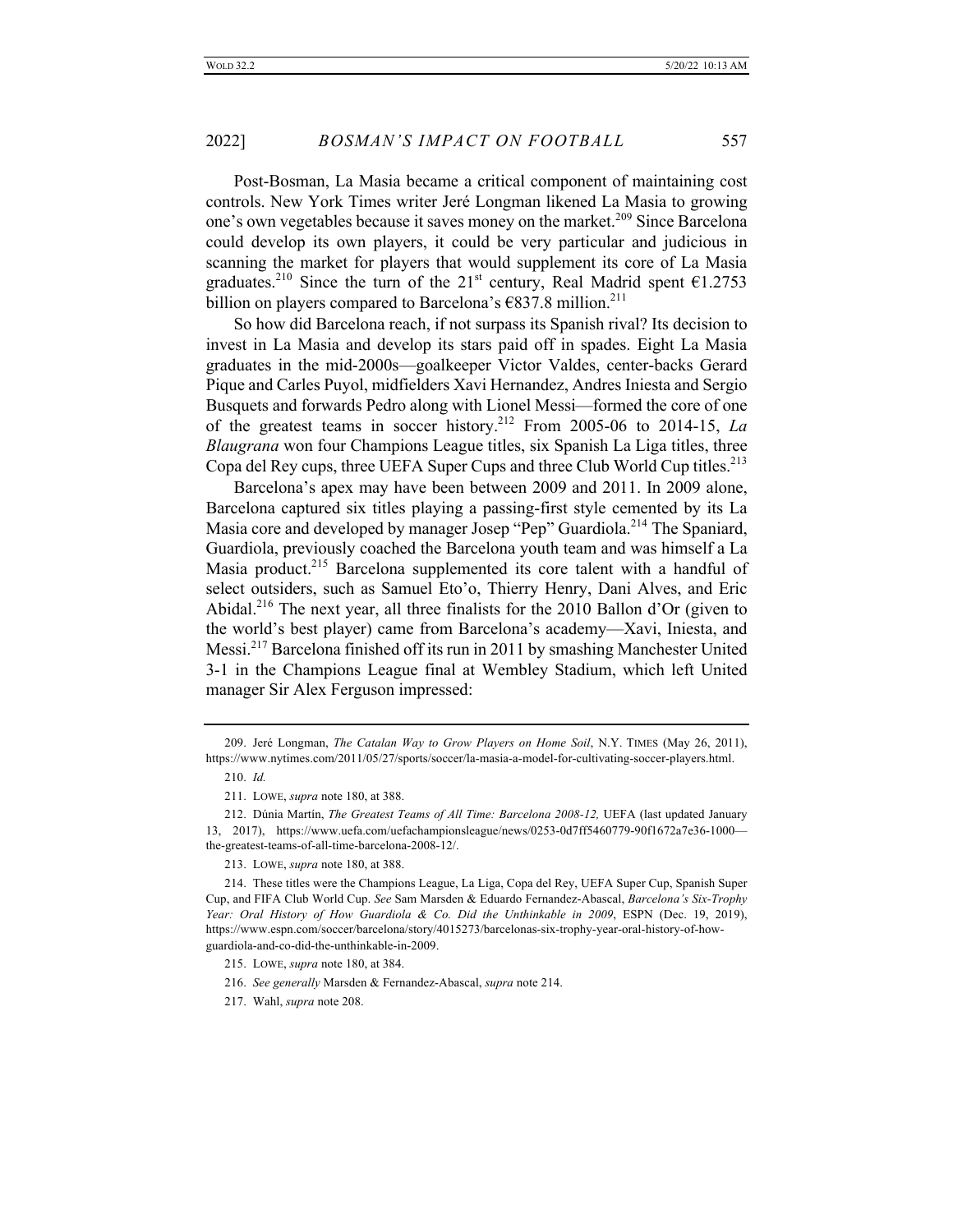Post-Bosman, La Masia became a critical component of maintaining cost controls. New York Times writer Jeré Longman likened La Masia to growing one's own vegetables because it saves money on the market.<sup>209</sup> Since Barcelona could develop its own players, it could be very particular and judicious in scanning the market for players that would supplement its core of La Masia graduates.<sup>210</sup> Since the turn of the 21<sup>st</sup> century, Real Madrid spent  $\epsilon$ 1.2753 billion on players compared to Barcelona's  $6837.8$  million.<sup>211</sup>

So how did Barcelona reach, if not surpass its Spanish rival? Its decision to invest in La Masia and develop its stars paid off in spades. Eight La Masia graduates in the mid-2000s—goalkeeper Victor Valdes, center-backs Gerard Pique and Carles Puyol, midfielders Xavi Hernandez, Andres Iniesta and Sergio Busquets and forwards Pedro along with Lionel Messi—formed the core of one of the greatest teams in soccer history.212 From 2005-06 to 2014-15, *La Blaugrana* won four Champions League titles, six Spanish La Liga titles, three Copa del Rey cups, three UEFA Super Cups and three Club World Cup titles.<sup>213</sup>

Barcelona's apex may have been between 2009 and 2011. In 2009 alone, Barcelona captured six titles playing a passing-first style cemented by its La Masia core and developed by manager Josep "Pep" Guardiola.<sup>214</sup> The Spaniard, Guardiola, previously coached the Barcelona youth team and was himself a La Masia product.<sup>215</sup> Barcelona supplemented its core talent with a handful of select outsiders, such as Samuel Eto'o, Thierry Henry, Dani Alves, and Eric Abidal.<sup>216</sup> The next year, all three finalists for the 2010 Ballon d'Or (given to the world's best player) came from Barcelona's academy—Xavi, Iniesta, and Messi.217 Barcelona finished off its run in 2011 by smashing Manchester United 3-1 in the Champions League final at Wembley Stadium, which left United manager Sir Alex Ferguson impressed:

<sup>209.</sup> Jeré Longman, *The Catalan Way to Grow Players on Home Soil*, N.Y. TIMES (May 26, 2011), https://www.nytimes.com/2011/05/27/sports/soccer/la-masia-a-model-for-cultivating-soccer-players.html.

<sup>210.</sup> *Id.*

<sup>211.</sup> LOWE, *supra* note 180, at 388.

<sup>212.</sup> Dúnia Martín, *The Greatest Teams of All Time: Barcelona 2008-12,* UEFA (last updated January 13, 2017), https://www.uefa.com/uefachampionsleague/news/0253-0d7ff5460779-90f1672a7e36-1000 the-greatest-teams-of-all-time-barcelona-2008-12/.

<sup>213.</sup> LOWE, *supra* note 180, at 388.

<sup>214.</sup> These titles were the Champions League, La Liga, Copa del Rey, UEFA Super Cup, Spanish Super Cup, and FIFA Club World Cup. *See* Sam Marsden & Eduardo Fernandez-Abascal, *Barcelona's Six-Trophy Year: Oral History of How Guardiola & Co. Did the Unthinkable in 2009*, ESPN (Dec. 19, 2019), https://www.espn.com/soccer/barcelona/story/4015273/barcelonas-six-trophy-year-oral-history-of-howguardiola-and-co-did-the-unthinkable-in-2009.

<sup>215.</sup> LOWE, *supra* note 180, at 384.

<sup>216.</sup> *See generally* Marsden & Fernandez-Abascal, *supra* note 214.

<sup>217.</sup> Wahl, *supra* note 208.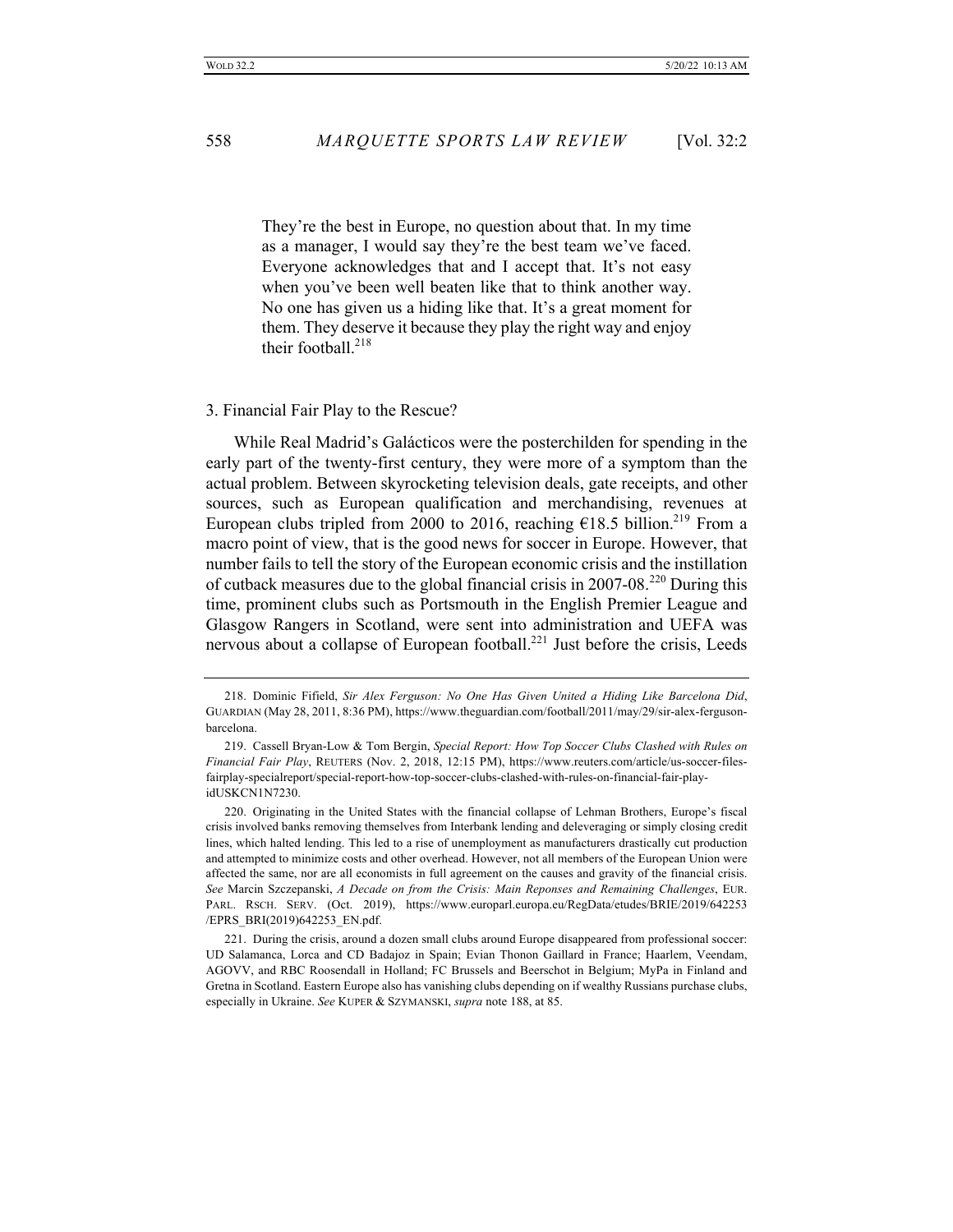They're the best in Europe, no question about that. In my time as a manager, I would say they're the best team we've faced. Everyone acknowledges that and I accept that. It's not easy when you've been well beaten like that to think another way. No one has given us a hiding like that. It's a great moment for them. They deserve it because they play the right way and enjoy their football. $218$ 

### 3. Financial Fair Play to the Rescue?

While Real Madrid's Galácticos were the posterchilden for spending in the early part of the twenty-first century, they were more of a symptom than the actual problem. Between skyrocketing television deals, gate receipts, and other sources, such as European qualification and merchandising, revenues at European clubs tripled from 2000 to 2016, reaching  $\epsilon$ 18.5 billion.<sup>219</sup> From a macro point of view, that is the good news for soccer in Europe. However, that number fails to tell the story of the European economic crisis and the instillation of cutback measures due to the global financial crisis in 2007-08.<sup>220</sup> During this time, prominent clubs such as Portsmouth in the English Premier League and Glasgow Rangers in Scotland, were sent into administration and UEFA was nervous about a collapse of European football.<sup>221</sup> Just before the crisis, Leeds

<sup>218.</sup> Dominic Fifield, *Sir Alex Ferguson: No One Has Given United a Hiding Like Barcelona Did*, GUARDIAN (May 28, 2011, 8:36 PM), https://www.theguardian.com/football/2011/may/29/sir-alex-fergusonbarcelona.

<sup>219.</sup> Cassell Bryan-Low & Tom Bergin, *Special Report: How Top Soccer Clubs Clashed with Rules on Financial Fair Play*, REUTERS (Nov. 2, 2018, 12:15 PM), https://www.reuters.com/article/us-soccer-filesfairplay-specialreport/special-report-how-top-soccer-clubs-clashed-with-rules-on-financial-fair-playidUSKCN1N7230.

<sup>220.</sup> Originating in the United States with the financial collapse of Lehman Brothers, Europe's fiscal crisis involved banks removing themselves from Interbank lending and deleveraging or simply closing credit lines, which halted lending. This led to a rise of unemployment as manufacturers drastically cut production and attempted to minimize costs and other overhead. However, not all members of the European Union were affected the same, nor are all economists in full agreement on the causes and gravity of the financial crisis. *See* Marcin Szczepanski, *A Decade on from the Crisis: Main Reponses and Remaining Challenges*, EUR. PARL. RSCH. SERV. (Oct. 2019), https://www.europarl.europa.eu/RegData/etudes/BRIE/2019/642253 /EPRS\_BRI(2019)642253\_EN.pdf.

<sup>221.</sup> During the crisis, around a dozen small clubs around Europe disappeared from professional soccer: UD Salamanca, Lorca and CD Badajoz in Spain; Evian Thonon Gaillard in France; Haarlem, Veendam, AGOVV, and RBC Roosendall in Holland; FC Brussels and Beerschot in Belgium; MyPa in Finland and Gretna in Scotland. Eastern Europe also has vanishing clubs depending on if wealthy Russians purchase clubs, especially in Ukraine. *See* KUPER & SZYMANSKI, *supra* note 188, at 85.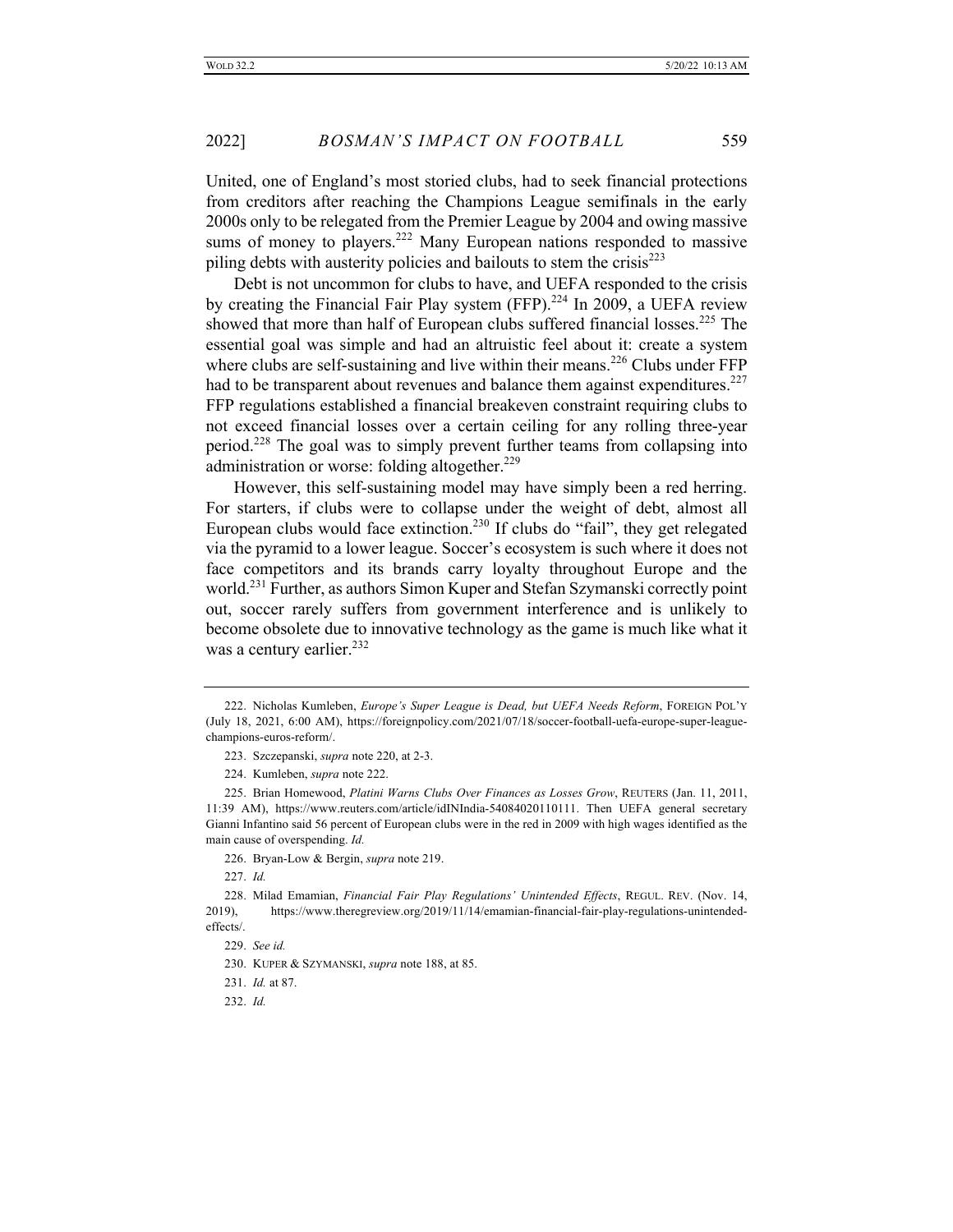United, one of England's most storied clubs, had to seek financial protections from creditors after reaching the Champions League semifinals in the early 2000s only to be relegated from the Premier League by 2004 and owing massive sums of money to players.<sup>222</sup> Many European nations responded to massive piling debts with austerity policies and bailouts to stem the crisis<sup>223</sup>

Debt is not uncommon for clubs to have, and UEFA responded to the crisis by creating the Financial Fair Play system  $(FFP)$ .<sup>224</sup> In 2009, a UEFA review showed that more than half of European clubs suffered financial losses.<sup>225</sup> The essential goal was simple and had an altruistic feel about it: create a system where clubs are self-sustaining and live within their means.<sup>226</sup> Clubs under  $FFP$ had to be transparent about revenues and balance them against expenditures.<sup>227</sup> FFP regulations established a financial breakeven constraint requiring clubs to not exceed financial losses over a certain ceiling for any rolling three-year period.<sup>228</sup> The goal was to simply prevent further teams from collapsing into administration or worse: folding altogether. $229$ 

However, this self-sustaining model may have simply been a red herring. For starters, if clubs were to collapse under the weight of debt, almost all European clubs would face extinction.<sup>230</sup> If clubs do "fail", they get relegated via the pyramid to a lower league. Soccer's ecosystem is such where it does not face competitors and its brands carry loyalty throughout Europe and the world.<sup>231</sup> Further, as authors Simon Kuper and Stefan Szymanski correctly point out, soccer rarely suffers from government interference and is unlikely to become obsolete due to innovative technology as the game is much like what it was a century earlier.<sup>232</sup>

227. *Id.*

232. *Id.*

<sup>222.</sup> Nicholas Kumleben, *Europe's Super League is Dead, but UEFA Needs Reform*, FOREIGN POL'Y (July 18, 2021, 6:00 AM), https://foreignpolicy.com/2021/07/18/soccer-football-uefa-europe-super-leaguechampions-euros-reform/.

<sup>223.</sup> Szczepanski, *supra* note 220, at 2-3.

<sup>224.</sup> Kumleben, *supra* note 222.

<sup>225.</sup> Brian Homewood, *Platini Warns Clubs Over Finances as Losses Grow*, REUTERS (Jan. 11, 2011, 11:39 AM), https://www.reuters.com/article/idINIndia-54084020110111. Then UEFA general secretary Gianni Infantino said 56 percent of European clubs were in the red in 2009 with high wages identified as the main cause of overspending. *Id.*

<sup>226.</sup> Bryan-Low & Bergin, *supra* note 219.

<sup>228.</sup> Milad Emamian, *Financial Fair Play Regulations' Unintended Effects*, REGUL. REV. (Nov. 14, 2019), https://www.theregreview.org/2019/11/14/emamian-financial-fair-play-regulations-unintendedeffects/.

<sup>229.</sup> *See id.*

<sup>230.</sup> KUPER & SZYMANSKI, *supra* note 188, at 85.

<sup>231.</sup> *Id.* at 87.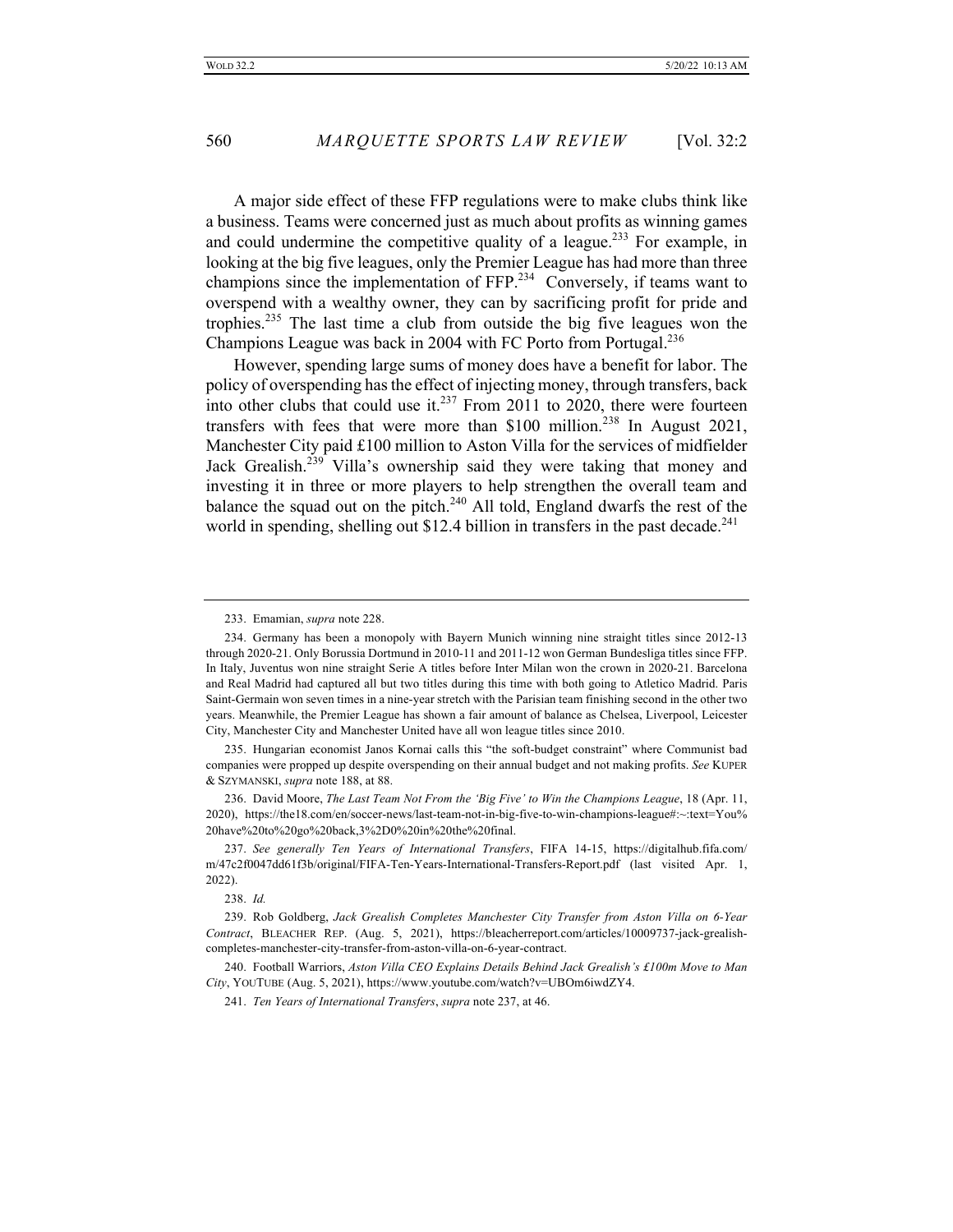A major side effect of these FFP regulations were to make clubs think like a business. Teams were concerned just as much about profits as winning games and could undermine the competitive quality of a league.<sup>233</sup> For example, in looking at the big five leagues, only the Premier League has had more than three champions since the implementation of  $\text{FFP}^{234}$  Conversely, if teams want to overspend with a wealthy owner, they can by sacrificing profit for pride and trophies.<sup>235</sup> The last time a club from outside the big five leagues won the Champions League was back in 2004 with FC Porto from Portugal.<sup>236</sup>

However, spending large sums of money does have a benefit for labor. The policy of overspending has the effect of injecting money, through transfers, back into other clubs that could use it.<sup>237</sup> From 2011 to 2020, there were fourteen transfers with fees that were more than \$100 million.<sup>238</sup> In August 2021, Manchester City paid £100 million to Aston Villa for the services of midfielder Jack Grealish.<sup>239</sup> Villa's ownership said they were taking that money and investing it in three or more players to help strengthen the overall team and balance the squad out on the pitch.<sup>240</sup> All told, England dwarfs the rest of the world in spending, shelling out \$12.4 billion in transfers in the past decade.<sup>241</sup>

235. Hungarian economist Janos Kornai calls this "the soft-budget constraint" where Communist bad companies were propped up despite overspending on their annual budget and not making profits. *See* KUPER & SZYMANSKI, *supra* note 188, at 88.

236. David Moore, *The Last Team Not From the 'Big Five' to Win the Champions League*, 18 (Apr. 11, 2020), https://the18.com/en/soccer-news/last-team-not-in-big-five-to-win-champions-league#:~:text=You% 20have%20to%20go%20back,3%2D0%20in%20the%20final.

237. *See generally Ten Years of International Transfers*, FIFA 14-15, https://digitalhub.fifa.com/ m/47c2f0047dd61f3b/original/FIFA-Ten-Years-International-Transfers-Report.pdf (last visited Apr. 1, 2022).

238. *Id.*

240. Football Warriors, *Aston Villa CEO Explains Details Behind Jack Grealish's £100m Move to Man City*, YOUTUBE (Aug. 5, 2021), https://www.youtube.com/watch?v=UBOm6iwdZY4.

241. *Ten Years of International Transfers*, *supra* note 237, at 46.

<sup>233.</sup> Emamian, *supra* note 228.

<sup>234.</sup> Germany has been a monopoly with Bayern Munich winning nine straight titles since 2012-13 through 2020-21. Only Borussia Dortmund in 2010-11 and 2011-12 won German Bundesliga titles since FFP. In Italy, Juventus won nine straight Serie A titles before Inter Milan won the crown in 2020-21. Barcelona and Real Madrid had captured all but two titles during this time with both going to Atletico Madrid. Paris Saint-Germain won seven times in a nine-year stretch with the Parisian team finishing second in the other two years. Meanwhile, the Premier League has shown a fair amount of balance as Chelsea, Liverpool, Leicester City, Manchester City and Manchester United have all won league titles since 2010.

<sup>239.</sup> Rob Goldberg, *Jack Grealish Completes Manchester City Transfer from Aston Villa on 6-Year Contract*, BLEACHER REP. (Aug. 5, 2021), https://bleacherreport.com/articles/10009737-jack-grealishcompletes-manchester-city-transfer-from-aston-villa-on-6-year-contract.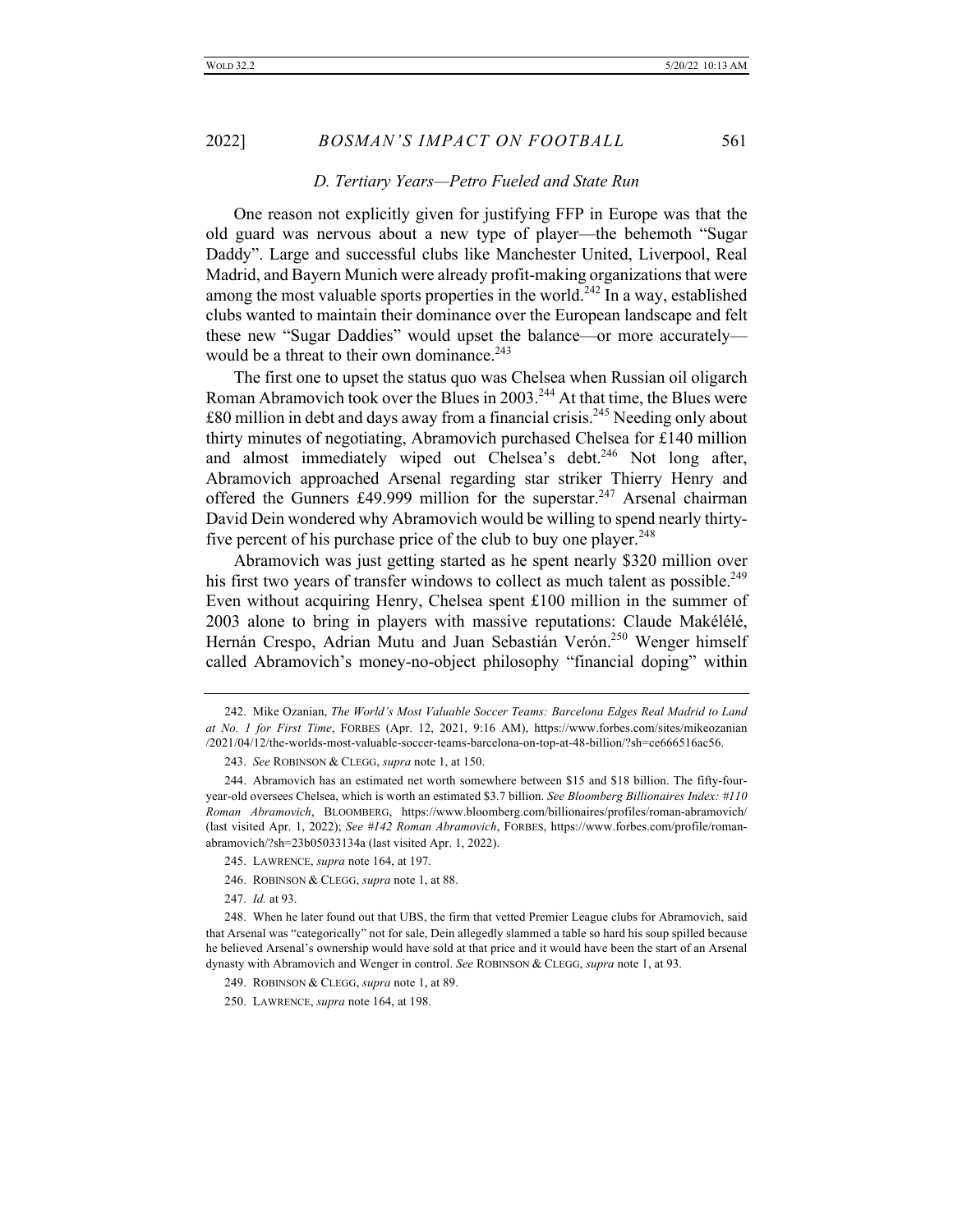# *D. Tertiary Years—Petro Fueled and State Run*

One reason not explicitly given for justifying FFP in Europe was that the old guard was nervous about a new type of player—the behemoth "Sugar Daddy". Large and successful clubs like Manchester United, Liverpool, Real Madrid, and Bayern Munich were already profit-making organizations that were among the most valuable sports properties in the world.<sup>242</sup> In a way, established clubs wanted to maintain their dominance over the European landscape and felt these new "Sugar Daddies" would upset the balance—or more accurately would be a threat to their own dominance.<sup>243</sup>

The first one to upset the status quo was Chelsea when Russian oil oligarch Roman Abramovich took over the Blues in  $2003$ <sup>244</sup> At that time, the Blues were  $\pounds80$  million in debt and days away from a financial crisis.<sup>245</sup> Needing only about thirty minutes of negotiating, Abramovich purchased Chelsea for £140 million and almost immediately wiped out Chelsea's debt.<sup>246</sup> Not long after, Abramovich approached Arsenal regarding star striker Thierry Henry and offered the Gunners £49.999 million for the superstar.<sup>247</sup> Arsenal chairman David Dein wondered why Abramovich would be willing to spend nearly thirtyfive percent of his purchase price of the club to buy one player.<sup>248</sup>

Abramovich was just getting started as he spent nearly \$320 million over his first two years of transfer windows to collect as much talent as possible.<sup>249</sup> Even without acquiring Henry, Chelsea spent £100 million in the summer of 2003 alone to bring in players with massive reputations: Claude Makélélé, Hernán Crespo, Adrian Mutu and Juan Sebastián Verón.<sup>250</sup> Wenger himself called Abramovich's money-no-object philosophy "financial doping" within

- 246. ROBINSON & CLEGG, *supra* note 1, at 88.
- 247. *Id.* at 93.

<sup>242.</sup> Mike Ozanian, *The World's Most Valuable Soccer Teams: Barcelona Edges Real Madrid to Land at No. 1 for First Time*, FORBES (Apr. 12, 2021, 9:16 AM), https://www.forbes.com/sites/mikeozanian /2021/04/12/the-worlds-most-valuable-soccer-teams-barcelona-on-top-at-48-billion/?sh=ce666516ac56.

<sup>243.</sup> *See* ROBINSON & CLEGG, *supra* note 1, at 150.

<sup>244.</sup> Abramovich has an estimated net worth somewhere between \$15 and \$18 billion. The fifty-fouryear-old oversees Chelsea, which is worth an estimated \$3.7 billion. *See Bloomberg Billionaires Index: #110 Roman Abramovich*, BLOOMBERG, https://www.bloomberg.com/billionaires/profiles/roman-abramovich/ (last visited Apr. 1, 2022); *See #142 Roman Abramovich*, FORBES, https://www.forbes.com/profile/romanabramovich/?sh=23b05033134a (last visited Apr. 1, 2022).

<sup>245.</sup> LAWRENCE, *supra* note 164, at 197.

<sup>248.</sup> When he later found out that UBS, the firm that vetted Premier League clubs for Abramovich, said that Arsenal was "categorically" not for sale, Dein allegedly slammed a table so hard his soup spilled because he believed Arsenal's ownership would have sold at that price and it would have been the start of an Arsenal dynasty with Abramovich and Wenger in control. *See* ROBINSON & CLEGG, *supra* note 1, at 93.

<sup>249.</sup> ROBINSON & CLEGG, *supra* note 1, at 89.

<sup>250.</sup> LAWRENCE, *supra* note 164, at 198.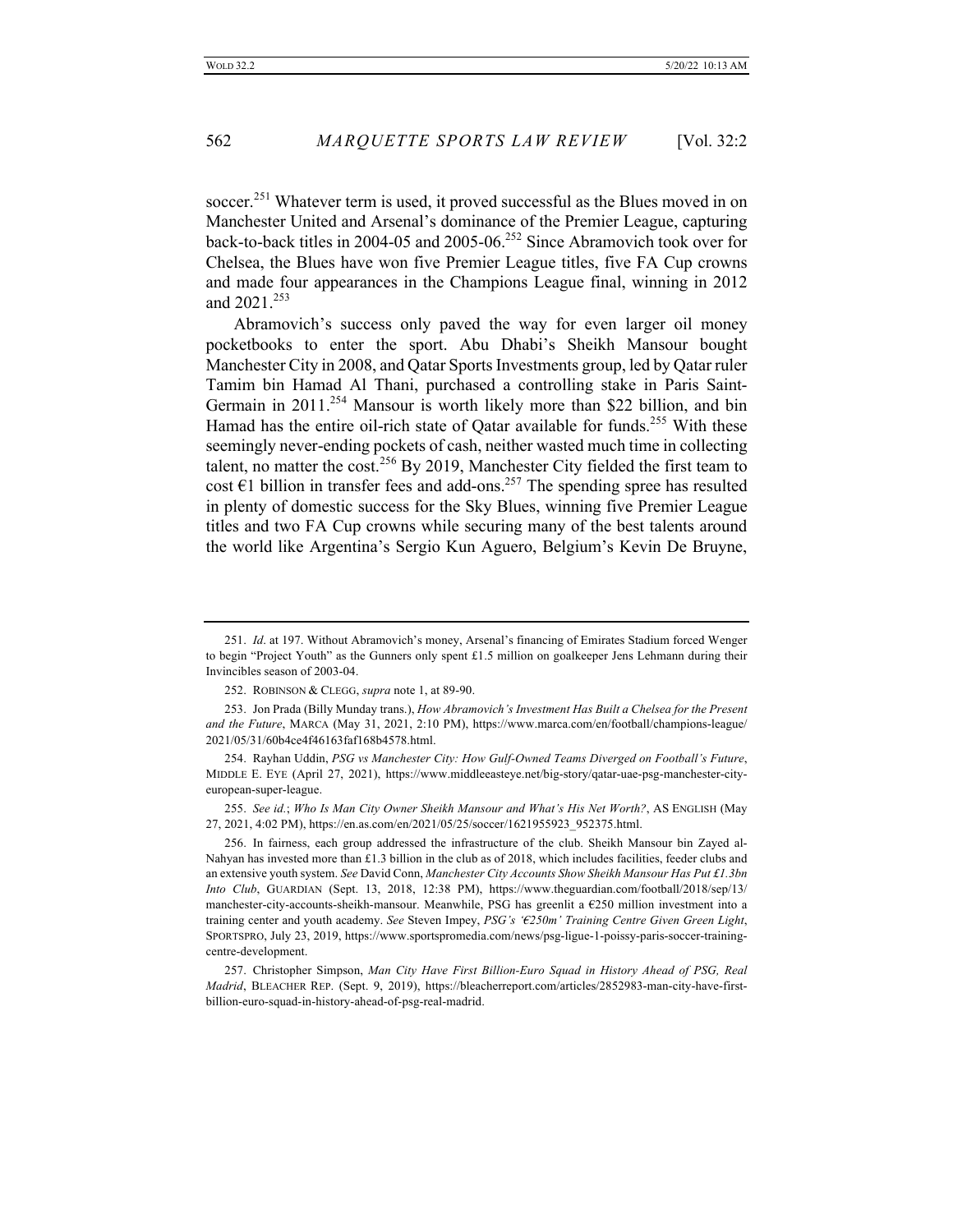soccer.<sup>251</sup> Whatever term is used, it proved successful as the Blues moved in on Manchester United and Arsenal's dominance of the Premier League, capturing back-to-back titles in 2004-05 and 2005-06.252 Since Abramovich took over for Chelsea, the Blues have won five Premier League titles, five FA Cup crowns and made four appearances in the Champions League final, winning in 2012 and 2021.<sup>253</sup>

Abramovich's success only paved the way for even larger oil money pocketbooks to enter the sport. Abu Dhabi's Sheikh Mansour bought Manchester City in 2008, and Qatar Sports Investments group, led by Qatar ruler Tamim bin Hamad Al Thani, purchased a controlling stake in Paris Saint-Germain in 2011.<sup>254</sup> Mansour is worth likely more than \$22 billion, and bin Hamad has the entire oil-rich state of Qatar available for funds.<sup>255</sup> With these seemingly never-ending pockets of cash, neither wasted much time in collecting talent, no matter the cost.<sup>256</sup> By 2019, Manchester City fielded the first team to cost  $\epsilon$ 1 billion in transfer fees and add-ons.<sup>257</sup> The spending spree has resulted in plenty of domestic success for the Sky Blues, winning five Premier League titles and two FA Cup crowns while securing many of the best talents around the world like Argentina's Sergio Kun Aguero, Belgium's Kevin De Bruyne,

<sup>251.</sup> *Id*. at 197. Without Abramovich's money, Arsenal's financing of Emirates Stadium forced Wenger to begin "Project Youth" as the Gunners only spent £1.5 million on goalkeeper Jens Lehmann during their Invincibles season of 2003-04.

<sup>252.</sup> ROBINSON & CLEGG, *supra* note 1, at 89-90.

<sup>253.</sup> Jon Prada (Billy Munday trans.), *How Abramovich's Investment Has Built a Chelsea for the Present and the Future*, MARCA (May 31, 2021, 2:10 PM), https://www.marca.com/en/football/champions-league/ 2021/05/31/60b4ce4f46163faf168b4578.html.

<sup>254.</sup> Rayhan Uddin, *PSG vs Manchester City: How Gulf-Owned Teams Diverged on Football's Future*, MIDDLE E. EYE (April 27, 2021), https://www.middleeasteye.net/big-story/qatar-uae-psg-manchester-cityeuropean-super-league.

<sup>255.</sup> *See id.*; *Who Is Man City Owner Sheikh Mansour and What's His Net Worth?*, AS ENGLISH (May 27, 2021, 4:02 PM), https://en.as.com/en/2021/05/25/soccer/1621955923\_952375.html.

<sup>256.</sup> In fairness, each group addressed the infrastructure of the club. Sheikh Mansour bin Zayed al-Nahyan has invested more than £1.3 billion in the club as of 2018, which includes facilities, feeder clubs and an extensive youth system. *See* David Conn, *Manchester City Accounts Show Sheikh Mansour Has Put £1.3bn Into Club*, GUARDIAN (Sept. 13, 2018, 12:38 PM), https://www.theguardian.com/football/2018/sep/13/ manchester-city-accounts-sheikh-mansour. Meanwhile, PSG has greenlit a €250 million investment into a training center and youth academy. *See* Steven Impey, *PSG's '€250m' Training Centre Given Green Light*, SPORTSPRO, July 23, 2019, https://www.sportspromedia.com/news/psg-ligue-1-poissy-paris-soccer-trainingcentre-development.

<sup>257.</sup> Christopher Simpson, *Man City Have First Billion-Euro Squad in History Ahead of PSG, Real Madrid*, BLEACHER REP. (Sept. 9, 2019), https://bleacherreport.com/articles/2852983-man-city-have-firstbillion-euro-squad-in-history-ahead-of-psg-real-madrid.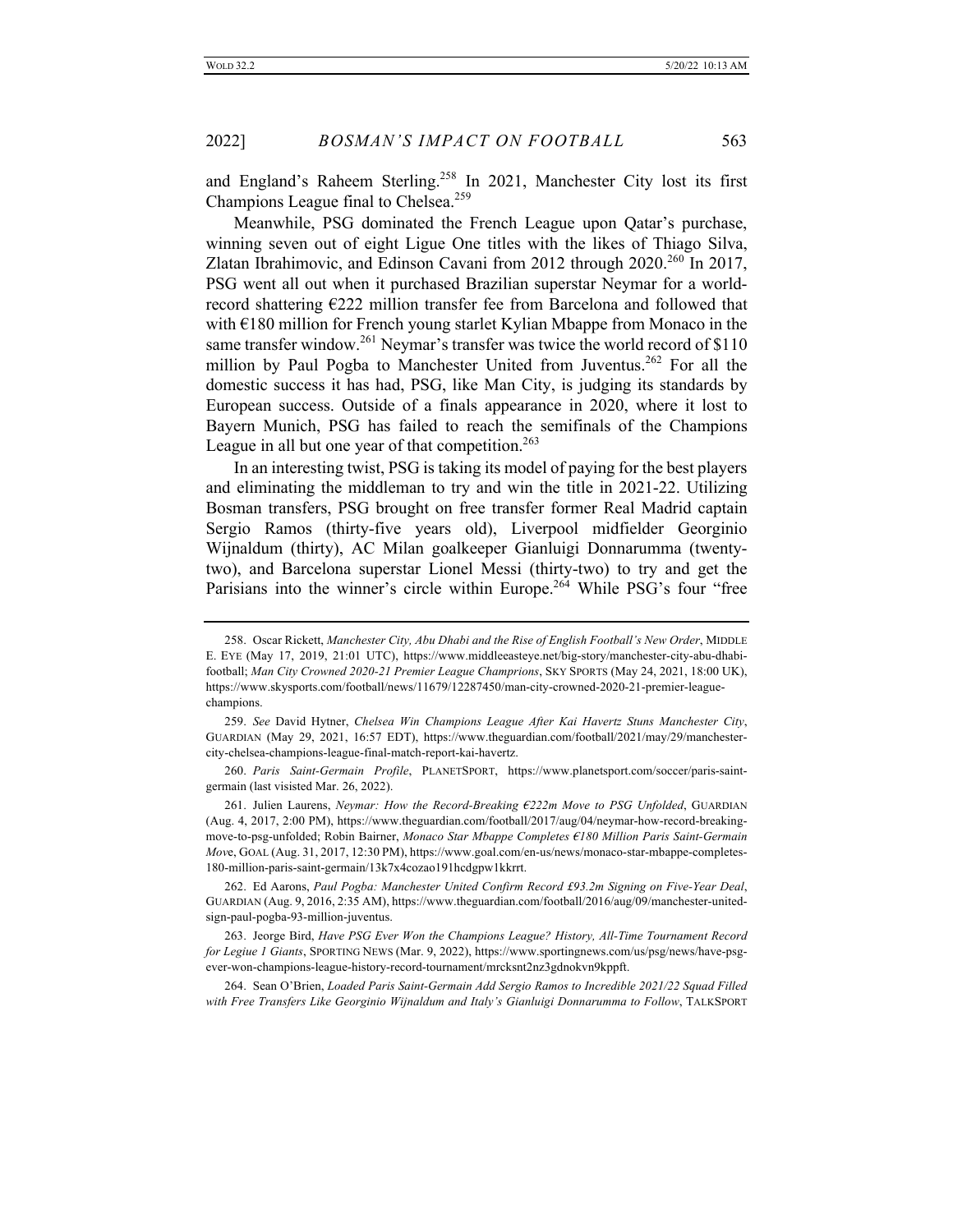and England's Raheem Sterling.<sup>258</sup> In 2021, Manchester City lost its first Champions League final to Chelsea.<sup>259</sup>

Meanwhile, PSG dominated the French League upon Qatar's purchase, winning seven out of eight Ligue One titles with the likes of Thiago Silva, Zlatan Ibrahimovic, and Edinson Cavani from 2012 through  $2020^{260}$  In 2017, PSG went all out when it purchased Brazilian superstar Neymar for a worldrecord shattering €222 million transfer fee from Barcelona and followed that with €180 million for French young starlet Kylian Mbappe from Monaco in the same transfer window.<sup>261</sup> Neymar's transfer was twice the world record of  $$110$ million by Paul Pogba to Manchester United from Juventus.<sup>262</sup> For all the domestic success it has had, PSG, like Man City, is judging its standards by European success. Outside of a finals appearance in 2020, where it lost to Bayern Munich, PSG has failed to reach the semifinals of the Champions League in all but one year of that competition. $263$ 

In an interesting twist, PSG is taking its model of paying for the best players and eliminating the middleman to try and win the title in 2021-22. Utilizing Bosman transfers, PSG brought on free transfer former Real Madrid captain Sergio Ramos (thirty-five years old), Liverpool midfielder Georginio Wijnaldum (thirty), AC Milan goalkeeper Gianluigi Donnarumma (twentytwo), and Barcelona superstar Lionel Messi (thirty-two) to try and get the Parisians into the winner's circle within Europe.<sup>264</sup> While PSG's four "free

<sup>258.</sup> Oscar Rickett, *Manchester City, Abu Dhabi and the Rise of English Football's New Order*, MIDDLE E. EYE (May 17, 2019, 21:01 UTC), https://www.middleeasteye.net/big-story/manchester-city-abu-dhabifootball; *Man City Crowned 2020-21 Premier League Champrions*, SKY SPORTS (May 24, 2021, 18:00 UK), https://www.skysports.com/football/news/11679/12287450/man-city-crowned-2020-21-premier-leaguechampions.

<sup>259.</sup> *See* David Hytner, *Chelsea Win Champions League After Kai Havertz Stuns Manchester City*, GUARDIAN (May 29, 2021, 16:57 EDT), https://www.theguardian.com/football/2021/may/29/manchestercity-chelsea-champions-league-final-match-report-kai-havertz.

<sup>260.</sup> *Paris Saint-Germain Profile*, PLANETSPORT, https://www.planetsport.com/soccer/paris-saintgermain (last visisted Mar. 26, 2022).

<sup>261.</sup> Julien Laurens, *Neymar: How the Record-Breaking €222m Move to PSG Unfolded*, GUARDIAN (Aug. 4, 2017, 2:00 PM), https://www.theguardian.com/football/2017/aug/04/neymar-how-record-breakingmove-to-psg-unfolded; Robin Bairner, *Monaco Star Mbappe Completes €180 Million Paris Saint-Germain Mov*e, GOAL (Aug. 31, 2017, 12:30 PM), https://www.goal.com/en-us/news/monaco-star-mbappe-completes-180-million-paris-saint-germain/13k7x4cozao191hcdgpw1kkrrt.

<sup>262.</sup> Ed Aarons, *Paul Pogba: Manchester United Confirm Record £93.2m Signing on Five-Year Deal*, GUARDIAN (Aug. 9, 2016, 2:35 AM), https://www.theguardian.com/football/2016/aug/09/manchester-unitedsign-paul-pogba-93-million-juventus.

<sup>263.</sup> Jeorge Bird, *Have PSG Ever Won the Champions League? History, All-Time Tournament Record for Legiue 1 Giants*, SPORTING NEWS (Mar. 9, 2022), https://www.sportingnews.com/us/psg/news/have-psgever-won-champions-league-history-record-tournament/mrcksnt2nz3gdnokvn9kppft.

<sup>264.</sup> Sean O'Brien, *Loaded Paris Saint-Germain Add Sergio Ramos to Incredible 2021/22 Squad Filled with Free Transfers Like Georginio Wijnaldum and Italy's Gianluigi Donnarumma to Follow*, TALKSPORT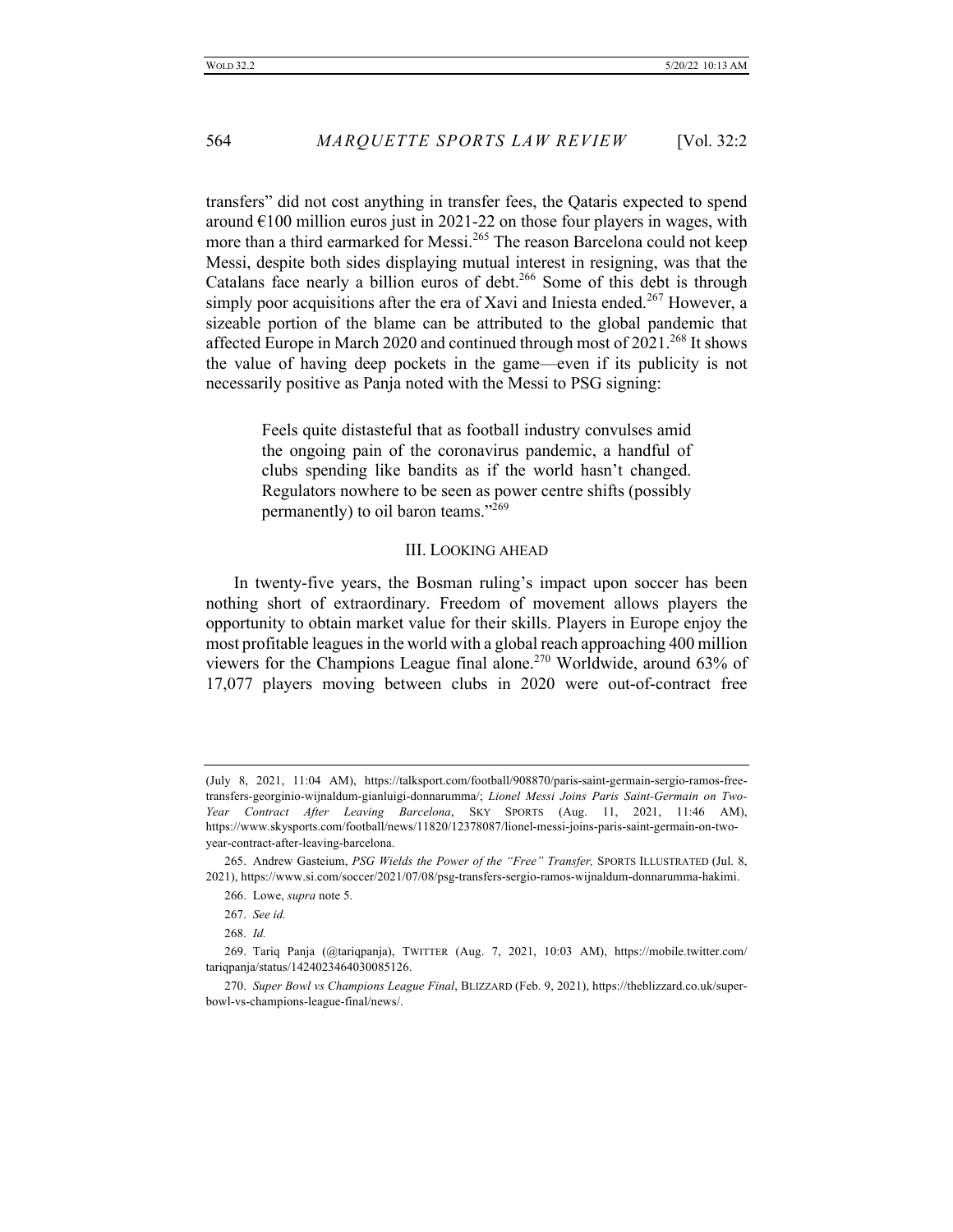transfers" did not cost anything in transfer fees, the Qataris expected to spend around  $\epsilon$ 100 million euros just in 2021-22 on those four players in wages, with more than a third earmarked for Messi.<sup>265</sup> The reason Barcelona could not keep Messi, despite both sides displaying mutual interest in resigning, was that the Catalans face nearly a billion euros of debt.<sup>266</sup> Some of this debt is through simply poor acquisitions after the era of Xavi and Iniesta ended.<sup>267</sup> However, a sizeable portion of the blame can be attributed to the global pandemic that affected Europe in March 2020 and continued through most of  $2021.^{268}$  It shows the value of having deep pockets in the game—even if its publicity is not necessarily positive as Panja noted with the Messi to PSG signing:

> Feels quite distasteful that as football industry convulses amid the ongoing pain of the coronavirus pandemic, a handful of clubs spending like bandits as if the world hasn't changed. Regulators nowhere to be seen as power centre shifts (possibly permanently) to oil baron teams."<sup>269</sup>

#### III. LOOKING AHEAD

In twenty-five years, the Bosman ruling's impact upon soccer has been nothing short of extraordinary. Freedom of movement allows players the opportunity to obtain market value for their skills. Players in Europe enjoy the most profitable leagues in the world with a global reach approaching 400 million viewers for the Champions League final alone.<sup>270</sup> Worldwide, around 63% of 17,077 players moving between clubs in 2020 were out-of-contract free

<sup>(</sup>July 8, 2021, 11:04 AM), https://talksport.com/football/908870/paris-saint-germain-sergio-ramos-freetransfers-georginio-wijnaldum-gianluigi-donnarumma/; *Lionel Messi Joins Paris Saint-Germain on Two-Year Contract After Leaving Barcelona*, SKY SPORTS (Aug. 11, 2021, 11:46 AM), https://www.skysports.com/football/news/11820/12378087/lionel-messi-joins-paris-saint-germain-on-twoyear-contract-after-leaving-barcelona.

<sup>265.</sup> Andrew Gasteium, *PSG Wields the Power of the "Free" Transfer,* SPORTS ILLUSTRATED (Jul. 8, 2021), https://www.si.com/soccer/2021/07/08/psg-transfers-sergio-ramos-wijnaldum-donnarumma-hakimi.

<sup>266.</sup> Lowe, *supra* note 5.

<sup>267.</sup> *See id.*

<sup>268.</sup> *Id.*

<sup>269.</sup> Tariq Panja (@tariqpanja), TWITTER (Aug. 7, 2021, 10:03 AM), https://mobile.twitter.com/ tariqpanja/status/1424023464030085126.

<sup>270.</sup> *Super Bowl vs Champions League Final*, BLIZZARD (Feb. 9, 2021), https://theblizzard.co.uk/superbowl-vs-champions-league-final/news/.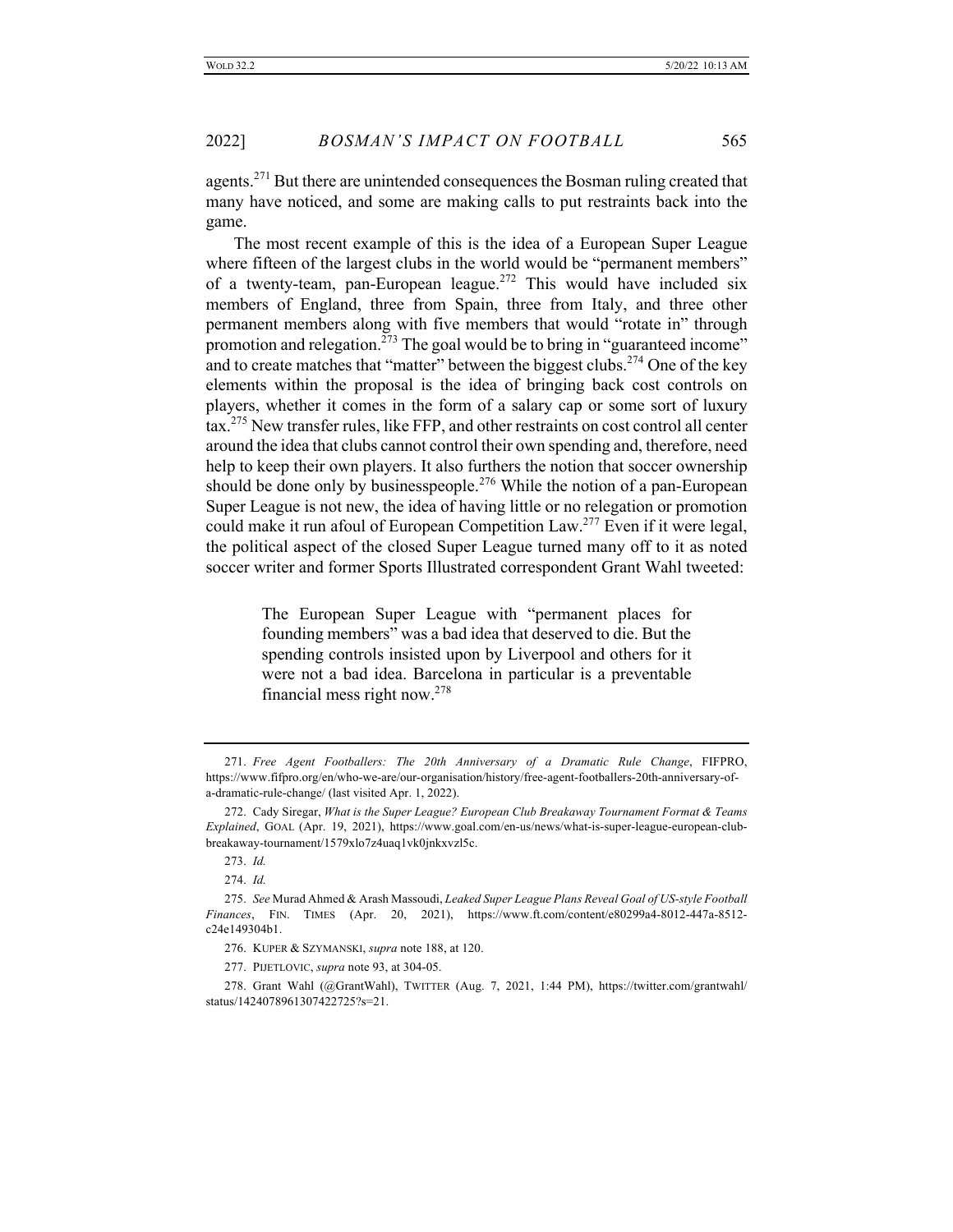agents.<sup>271</sup> But there are unintended consequences the Bosman ruling created that many have noticed, and some are making calls to put restraints back into the game.

The most recent example of this is the idea of a European Super League where fifteen of the largest clubs in the world would be "permanent members" of a twenty-team, pan-European league.<sup>272</sup> This would have included six members of England, three from Spain, three from Italy, and three other permanent members along with five members that would "rotate in" through promotion and relegation.<sup> $273$ </sup> The goal would be to bring in "guaranteed income" and to create matches that "matter" between the biggest clubs.<sup>274</sup> One of the key elements within the proposal is the idea of bringing back cost controls on players, whether it comes in the form of a salary cap or some sort of luxury tax.275 New transfer rules, like FFP, and other restraints on cost control all center around the idea that clubs cannot control their own spending and, therefore, need help to keep their own players. It also furthers the notion that soccer ownership should be done only by businesspeople.<sup>276</sup> While the notion of a pan-European Super League is not new, the idea of having little or no relegation or promotion could make it run afoul of European Competition Law.<sup>277</sup> Even if it were legal, the political aspect of the closed Super League turned many off to it as noted soccer writer and former Sports Illustrated correspondent Grant Wahl tweeted:

> The European Super League with "permanent places for founding members" was a bad idea that deserved to die. But the spending controls insisted upon by Liverpool and others for it were not a bad idea. Barcelona in particular is a preventable financial mess right now.278

274. *Id.*

277. PIJETLOVIC, *supra* note 93, at 304-05.

278. Grant Wahl (@GrantWahl), TWITTER (Aug. 7, 2021, 1:44 PM), https://twitter.com/grantwahl/ status/1424078961307422725?s=21.

<sup>271.</sup> *Free Agent Footballers: The 20th Anniversary of a Dramatic Rule Change*, FIFPRO, https://www.fifpro.org/en/who-we-are/our-organisation/history/free-agent-footballers-20th-anniversary-ofa-dramatic-rule-change/ (last visited Apr. 1, 2022).

<sup>272.</sup> Cady Siregar, *What is the Super League? European Club Breakaway Tournament Format & Teams Explained*, GOAL (Apr. 19, 2021), https://www.goal.com/en-us/news/what-is-super-league-european-clubbreakaway-tournament/1579xlo7z4uaq1vk0jnkxvzl5c.

<sup>273.</sup> *Id.*

<sup>275.</sup> *See* Murad Ahmed & Arash Massoudi, *Leaked Super League Plans Reveal Goal of US-style Football Finances*, FIN. TIMES (Apr. 20, 2021), https://www.ft.com/content/e80299a4-8012-447a-8512 c24e149304b1.

<sup>276.</sup> KUPER & SZYMANSKI, *supra* note 188, at 120.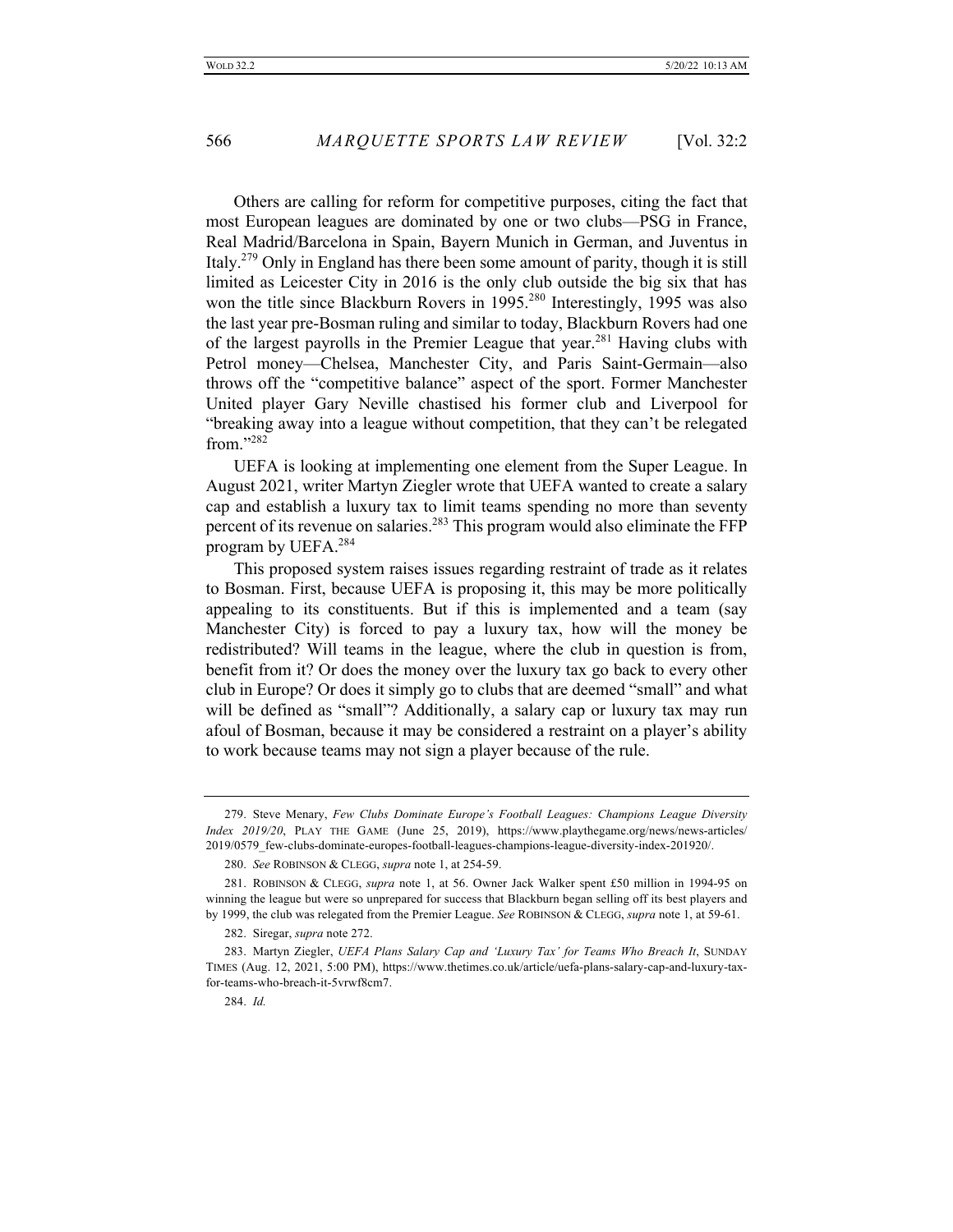Others are calling for reform for competitive purposes, citing the fact that most European leagues are dominated by one or two clubs—PSG in France, Real Madrid/Barcelona in Spain, Bayern Munich in German, and Juventus in Italy.279 Only in England has there been some amount of parity, though it is still limited as Leicester City in 2016 is the only club outside the big six that has won the title since Blackburn Rovers in 1995.<sup>280</sup> Interestingly, 1995 was also the last year pre-Bosman ruling and similar to today, Blackburn Rovers had one of the largest payrolls in the Premier League that year.<sup>281</sup> Having clubs with Petrol money—Chelsea, Manchester City, and Paris Saint-Germain—also throws off the "competitive balance" aspect of the sport. Former Manchester United player Gary Neville chastised his former club and Liverpool for "breaking away into a league without competition, that they can't be relegated from."<sup>282</sup>

UEFA is looking at implementing one element from the Super League. In August 2021, writer Martyn Ziegler wrote that UEFA wanted to create a salary cap and establish a luxury tax to limit teams spending no more than seventy percent of its revenue on salaries.<sup>283</sup> This program would also eliminate the FFP program by UEFA.<sup>284</sup>

This proposed system raises issues regarding restraint of trade as it relates to Bosman. First, because UEFA is proposing it, this may be more politically appealing to its constituents. But if this is implemented and a team (say Manchester City) is forced to pay a luxury tax, how will the money be redistributed? Will teams in the league, where the club in question is from, benefit from it? Or does the money over the luxury tax go back to every other club in Europe? Or does it simply go to clubs that are deemed "small" and what will be defined as "small"? Additionally, a salary cap or luxury tax may run afoul of Bosman, because it may be considered a restraint on a player's ability to work because teams may not sign a player because of the rule.

<sup>279.</sup> Steve Menary, *Few Clubs Dominate Europe's Football Leagues: Champions League Diversity Index 2019/20*, PLAY THE GAME (June 25, 2019), https://www.playthegame.org/news/news-articles/ 2019/0579\_few-clubs-dominate-europes-football-leagues-champions-league-diversity-index-201920/.

<sup>280.</sup> *See* ROBINSON & CLEGG, *supra* note 1, at 254-59.

<sup>281.</sup> ROBINSON & CLEGG, *supra* note 1, at 56. Owner Jack Walker spent £50 million in 1994-95 on winning the league but were so unprepared for success that Blackburn began selling off its best players and by 1999, the club was relegated from the Premier League. *See* ROBINSON & CLEGG, *supra* note 1, at 59-61.

<sup>282.</sup> Siregar, *supra* note 272.

<sup>283.</sup> Martyn Ziegler, *UEFA Plans Salary Cap and 'Luxury Tax' for Teams Who Breach It*, SUNDAY TIMES (Aug. 12, 2021, 5:00 PM), https://www.thetimes.co.uk/article/uefa-plans-salary-cap-and-luxury-taxfor-teams-who-breach-it-5vrwf8cm7.

<sup>284.</sup> *Id.*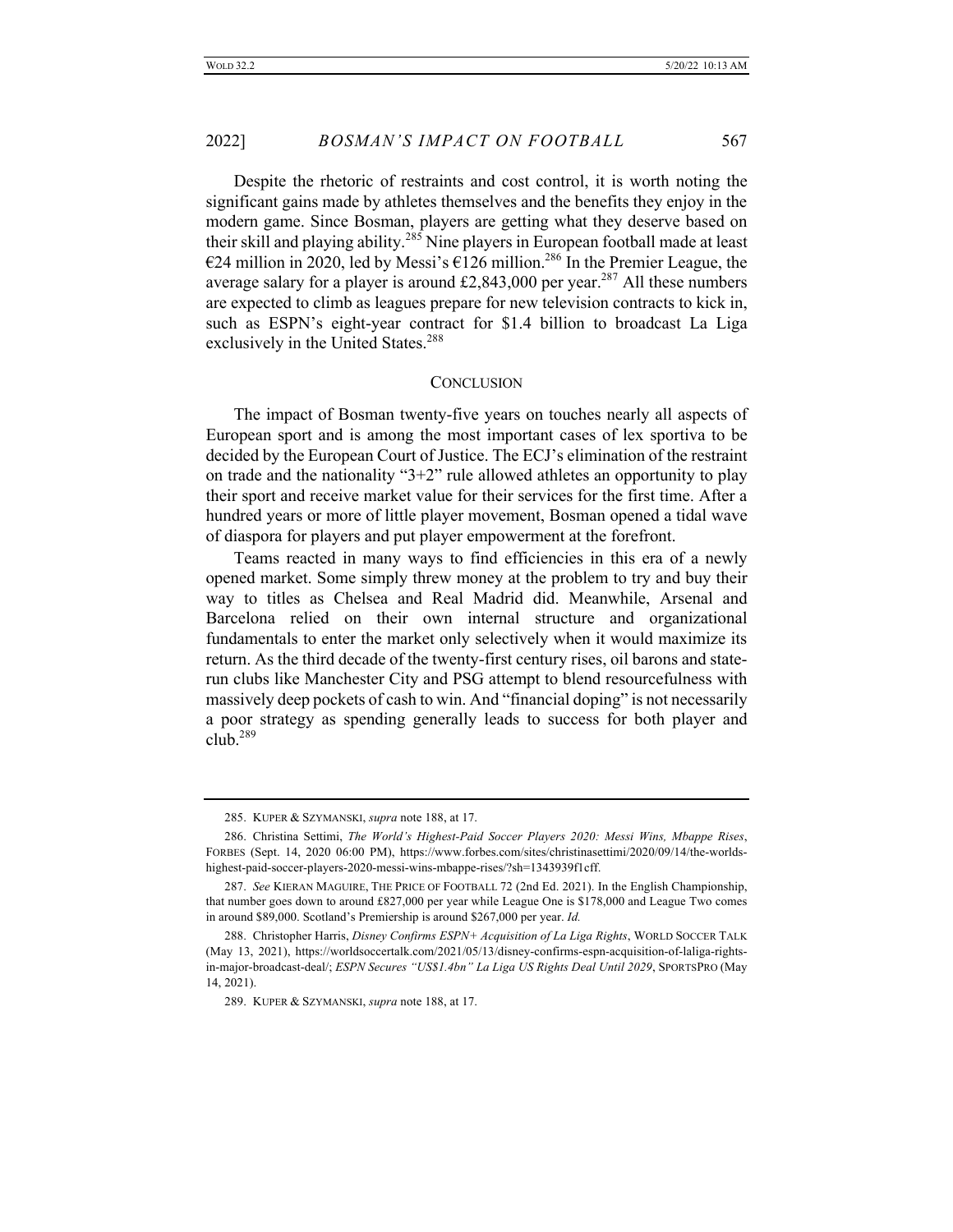2022] *BOSMAN'S IMPACT ON FOOTBALL* 567

Despite the rhetoric of restraints and cost control, it is worth noting the significant gains made by athletes themselves and the benefits they enjoy in the modern game. Since Bosman, players are getting what they deserve based on their skill and playing ability.<sup>285</sup> Nine players in European football made at least €24 million in 2020, led by Messi's €126 million.<sup>286</sup> In the Premier League, the average salary for a player is around £2,843,000 per year.<sup>287</sup> All these numbers are expected to climb as leagues prepare for new television contracts to kick in, such as ESPN's eight-year contract for \$1.4 billion to broadcast La Liga exclusively in the United States.<sup>288</sup>

#### **CONCLUSION**

The impact of Bosman twenty-five years on touches nearly all aspects of European sport and is among the most important cases of lex sportiva to be decided by the European Court of Justice. The ECJ's elimination of the restraint on trade and the nationality "3+2" rule allowed athletes an opportunity to play their sport and receive market value for their services for the first time. After a hundred years or more of little player movement, Bosman opened a tidal wave of diaspora for players and put player empowerment at the forefront.

Teams reacted in many ways to find efficiencies in this era of a newly opened market. Some simply threw money at the problem to try and buy their way to titles as Chelsea and Real Madrid did. Meanwhile, Arsenal and Barcelona relied on their own internal structure and organizational fundamentals to enter the market only selectively when it would maximize its return. As the third decade of the twenty-first century rises, oil barons and staterun clubs like Manchester City and PSG attempt to blend resourcefulness with massively deep pockets of cash to win. And "financial doping" is not necessarily a poor strategy as spending generally leads to success for both player and club. $^{289}$ 

<sup>285.</sup> KUPER & SZYMANSKI, *supra* note 188, at 17.

<sup>286.</sup> Christina Settimi, *The World's Highest-Paid Soccer Players 2020: Messi Wins, Mbappe Rises*, FORBES (Sept. 14, 2020 06:00 PM), https://www.forbes.com/sites/christinasettimi/2020/09/14/the-worldshighest-paid-soccer-players-2020-messi-wins-mbappe-rises/?sh=1343939f1cff.

<sup>287.</sup> *See* KIERAN MAGUIRE, THE PRICE OF FOOTBALL 72 (2nd Ed. 2021). In the English Championship, that number goes down to around £827,000 per year while League One is \$178,000 and League Two comes in around \$89,000. Scotland's Premiership is around \$267,000 per year. *Id.*

<sup>288.</sup> Christopher Harris, *Disney Confirms ESPN+ Acquisition of La Liga Rights*, WORLD SOCCER TALK (May 13, 2021), https://worldsoccertalk.com/2021/05/13/disney-confirms-espn-acquisition-of-laliga-rightsin-major-broadcast-deal/; *ESPN Secures "US\$1.4bn" La Liga US Rights Deal Until 2029*, SPORTSPRO (May 14, 2021).

<sup>289.</sup> KUPER & SZYMANSKI, *supra* note 188, at 17.